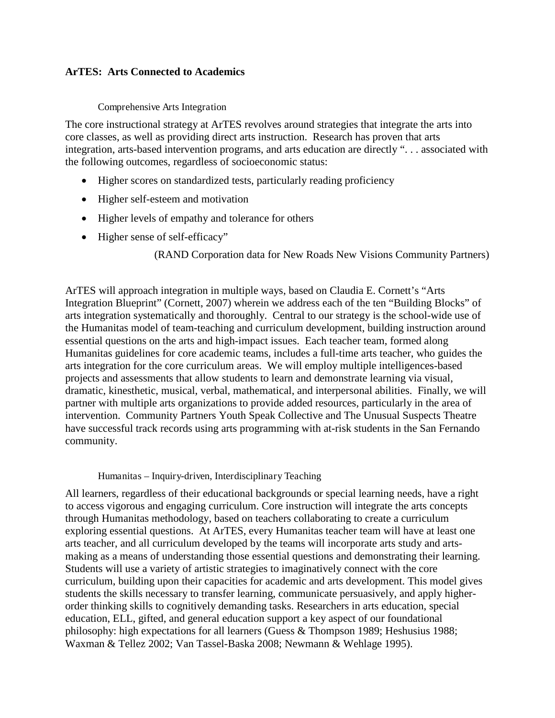## **ArTES: Arts Connected to Academics**

Comprehensive Arts Integration

The core instructional strategy at ArTES revolves around strategies that integrate the arts into core classes, as well as providing direct arts instruction. Research has proven that arts integration, arts-based intervention programs, and arts education are directly ". . . associated with the following outcomes, regardless of socioeconomic status:

- Higher scores on standardized tests, particularly reading proficiency
- Higher self-esteem and motivation
- Higher levels of empathy and tolerance for others
- Higher sense of self-efficacy"

(RAND Corporation data for New Roads New Visions Community Partners)

ArTES will approach integration in multiple ways, based on Claudia E. Cornett's "Arts Integration Blueprint" (Cornett, 2007) wherein we address each of the ten "Building Blocks" of arts integration systematically and thoroughly. Central to our strategy is the school-wide use of the Humanitas model of team-teaching and curriculum development, building instruction around essential questions on the arts and high-impact issues. Each teacher team, formed along Humanitas guidelines for core academic teams, includes a full-time arts teacher, who guides the arts integration for the core curriculum areas. We will employ multiple intelligences-based projects and assessments that allow students to learn and demonstrate learning via visual, dramatic, kinesthetic, musical, verbal, mathematical, and interpersonal abilities. Finally, we will partner with multiple arts organizations to provide added resources, particularly in the area of intervention. Community Partners Youth Speak Collective and The Unusual Suspects Theatre have successful track records using arts programming with at-risk students in the San Fernando community.

#### Humanitas – Inquiry-driven, Interdisciplinary Teaching

All learners, regardless of their educational backgrounds or special learning needs, have a right to access vigorous and engaging curriculum. Core instruction will integrate the arts concepts through Humanitas methodology, based on teachers collaborating to create a curriculum exploring essential questions. At ArTES, every Humanitas teacher team will have at least one arts teacher, and all curriculum developed by the teams will incorporate arts study and artsmaking as a means of understanding those essential questions and demonstrating their learning. Students will use a variety of artistic strategies to imaginatively connect with the core curriculum, building upon their capacities for academic and arts development. This model gives students the skills necessary to transfer learning, communicate persuasively, and apply higherorder thinking skills to cognitively demanding tasks. Researchers in arts education, special education, ELL, gifted, and general education support a key aspect of our foundational philosophy: high expectations for all learners (Guess & Thompson 1989; Heshusius 1988; Waxman & Tellez 2002; Van Tassel-Baska 2008; Newmann & Wehlage 1995).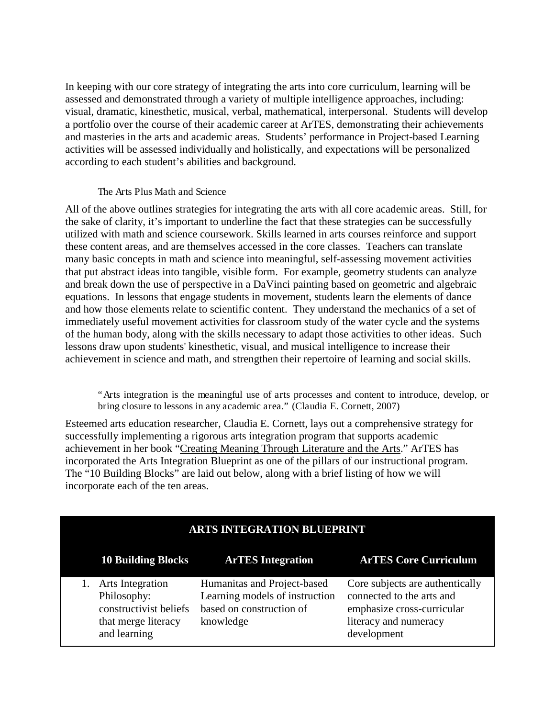In keeping with our core strategy of integrating the arts into core curriculum, learning will be assessed and demonstrated through a variety of multiple intelligence approaches, including: visual, dramatic, kinesthetic, musical, verbal, mathematical, interpersonal. Students will develop a portfolio over the course of their academic career at ArTES, demonstrating their achievements and masteries in the arts and academic areas. Students' performance in Project-based Learning activities will be assessed individually and holistically, and expectations will be personalized according to each student's abilities and background.

## The Arts Plus Math and Science

All of the above outlines strategies for integrating the arts with all core academic areas. Still, for the sake of clarity, it's important to underline the fact that these strategies can be successfully utilized with math and science coursework. Skills learned in arts courses reinforce and support these content areas, and are themselves accessed in the core classes. Teachers can translate many basic concepts in math and science into meaningful, self-assessing movement activities that put abstract ideas into tangible, visible form. For example, geometry students can analyze and break down the use of perspective in a DaVinci painting based on geometric and algebraic equations. In lessons that engage students in movement, students learn the elements of dance and how those elements relate to scientific content. They understand the mechanics of a set of immediately useful movement activities for classroom study of the water cycle and the systems of the human body, along with the skills necessary to adapt those activities to other ideas. Such lessons draw upon students' kinesthetic, visual, and musical intelligence to increase their achievement in science and math, and strengthen their repertoire of learning and social skills.

"Arts integration is the meaningful use of arts processes and content to introduce, develop, or bring closure to lessons in any academic area." (Claudia E. Cornett, 2007)

Esteemed arts education researcher, Claudia E. Cornett, lays out a comprehensive strategy for successfully implementing a rigorous arts integration program that supports academic achievement in her book "Creating Meaning Through Literature and the Arts." ArTES has incorporated the Arts Integration Blueprint as one of the pillars of our instructional program. The "10 Building Blocks" are laid out below, along with a brief listing of how we will incorporate each of the ten areas.

|                                                                                                         | <b>ARTS INTEGRATION BLUEPRINT</b>                                                                      |                                                                                                                                    |  |  |  |  |
|---------------------------------------------------------------------------------------------------------|--------------------------------------------------------------------------------------------------------|------------------------------------------------------------------------------------------------------------------------------------|--|--|--|--|
| <b>10 Building Blocks</b>                                                                               | <b>ArTES</b> Integration                                                                               | <b>ArTES Core Curriculum</b>                                                                                                       |  |  |  |  |
| <b>Arts</b> Integration<br>Philosophy:<br>constructivist beliefs<br>that merge literacy<br>and learning | Humanitas and Project-based<br>Learning models of instruction<br>based on construction of<br>knowledge | Core subjects are authentically<br>connected to the arts and<br>emphasize cross-curricular<br>literacy and numeracy<br>development |  |  |  |  |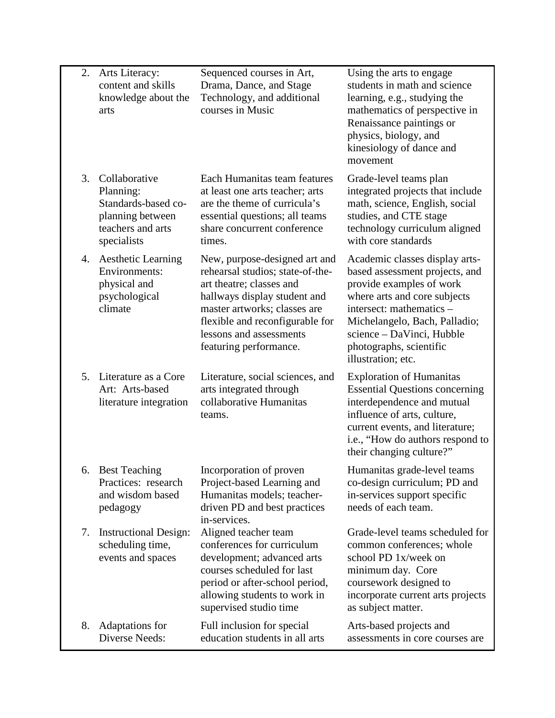| 2.             | Arts Literacy:<br>content and skills<br>knowledge about the<br>arts                                       | Sequenced courses in Art,<br>Drama, Dance, and Stage<br>Technology, and additional<br>courses in Music                                                                                                                                                | Using the arts to engage<br>students in math and science<br>learning, e.g., studying the<br>mathematics of perspective in<br>Renaissance paintings or<br>physics, biology, and<br>kinesiology of dance and<br>movement                                                  |
|----------------|-----------------------------------------------------------------------------------------------------------|-------------------------------------------------------------------------------------------------------------------------------------------------------------------------------------------------------------------------------------------------------|-------------------------------------------------------------------------------------------------------------------------------------------------------------------------------------------------------------------------------------------------------------------------|
| 3.             | Collaborative<br>Planning:<br>Standards-based co-<br>planning between<br>teachers and arts<br>specialists | Each Humanitas team features<br>at least one arts teacher; arts<br>are the theme of curricula's<br>essential questions; all teams<br>share concurrent conference<br>times.                                                                            | Grade-level teams plan<br>integrated projects that include<br>math, science, English, social<br>studies, and CTE stage<br>technology curriculum aligned<br>with core standards                                                                                          |
| 4.             | <b>Aesthetic Learning</b><br>Environments:<br>physical and<br>psychological<br>climate                    | New, purpose-designed art and<br>rehearsal studios; state-of-the-<br>art theatre; classes and<br>hallways display student and<br>master artworks; classes are<br>flexible and reconfigurable for<br>lessons and assessments<br>featuring performance. | Academic classes display arts-<br>based assessment projects, and<br>provide examples of work<br>where arts and core subjects<br>intersect: mathematics -<br>Michelangelo, Bach, Palladio;<br>science – DaVinci, Hubble<br>photographs, scientific<br>illustration; etc. |
| 5 <sub>1</sub> | Literature as a Core<br>Art: Arts-based<br>literature integration                                         | Literature, social sciences, and<br>arts integrated through<br>collaborative Humanitas<br>teams.                                                                                                                                                      | <b>Exploration of Humanitas</b><br><b>Essential Questions concerning</b><br>interdependence and mutual<br>influence of arts, culture,<br>current events, and literature;<br>i.e., "How do authors respond to<br>their changing culture?"                                |
|                | 6. Best Teaching<br>Practices: research<br>and wisdom based<br>pedagogy                                   | Incorporation of proven<br>Project-based Learning and<br>Humanitas models; teacher-<br>driven PD and best practices<br>in-services.                                                                                                                   | Humanitas grade-level teams<br>co-design curriculum; PD and<br>in-services support specific<br>needs of each team.                                                                                                                                                      |
| 7.             | <b>Instructional Design:</b><br>scheduling time,<br>events and spaces                                     | Aligned teacher team<br>conferences for curriculum<br>development; advanced arts<br>courses scheduled for last<br>period or after-school period,<br>allowing students to work in<br>supervised studio time                                            | Grade-level teams scheduled for<br>common conferences; whole<br>school PD 1x/week on<br>minimum day. Core<br>coursework designed to<br>incorporate current arts projects<br>as subject matter.                                                                          |
| 8.             | Adaptations for<br>Diverse Needs:                                                                         | Full inclusion for special<br>education students in all arts                                                                                                                                                                                          | Arts-based projects and<br>assessments in core courses are                                                                                                                                                                                                              |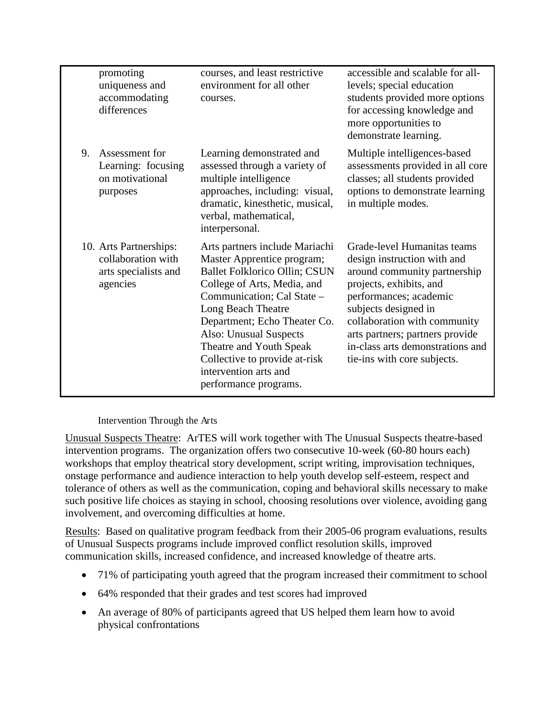|    | promoting<br>uniqueness and<br>accommodating<br>differences                      | courses, and least restrictive<br>environment for all other<br>courses.                                                                                                                                                                                                                                                                                         | accessible and scalable for all-<br>levels; special education<br>students provided more options<br>for accessing knowledge and<br>more opportunities to<br>demonstrate learning.                                                                                                                              |
|----|----------------------------------------------------------------------------------|-----------------------------------------------------------------------------------------------------------------------------------------------------------------------------------------------------------------------------------------------------------------------------------------------------------------------------------------------------------------|---------------------------------------------------------------------------------------------------------------------------------------------------------------------------------------------------------------------------------------------------------------------------------------------------------------|
| 9. | Assessment for<br>Learning: focusing<br>on motivational<br>purposes              | Learning demonstrated and<br>assessed through a variety of<br>multiple intelligence<br>approaches, including: visual,<br>dramatic, kinesthetic, musical,<br>verbal, mathematical,<br>interpersonal.                                                                                                                                                             | Multiple intelligences-based<br>assessments provided in all core<br>classes; all students provided<br>options to demonstrate learning<br>in multiple modes.                                                                                                                                                   |
|    | 10. Arts Partnerships:<br>collaboration with<br>arts specialists and<br>agencies | Arts partners include Mariachi<br>Master Apprentice program;<br>Ballet Folklorico Ollin; CSUN<br>College of Arts, Media, and<br>Communication; Cal State -<br>Long Beach Theatre<br>Department; Echo Theater Co.<br><b>Also: Unusual Suspects</b><br>Theatre and Youth Speak<br>Collective to provide at-risk<br>intervention arts and<br>performance programs. | Grade-level Humanitas teams<br>design instruction with and<br>around community partnership<br>projects, exhibits, and<br>performances; academic<br>subjects designed in<br>collaboration with community<br>arts partners; partners provide<br>in-class arts demonstrations and<br>tie-ins with core subjects. |

## Intervention Through the Arts

Unusual Suspects Theatre: ArTES will work together with The Unusual Suspects theatre-based intervention programs. The organization offers two consecutive 10-week (60-80 hours each) workshops that employ theatrical story development, script writing, improvisation techniques, onstage performance and audience interaction to help youth develop self-esteem, respect and tolerance of others as well as the communication, coping and behavioral skills necessary to make such positive life choices as staying in school, choosing resolutions over violence, avoiding gang involvement, and overcoming difficulties at home.

Results: Based on qualitative program feedback from their 2005-06 program evaluations, results of Unusual Suspects programs include improved conflict resolution skills, improved communication skills, increased confidence, and increased knowledge of theatre arts.

- 71% of participating youth agreed that the program increased their commitment to school
- 64% responded that their grades and test scores had improved
- An average of 80% of participants agreed that US helped them learn how to avoid physical confrontations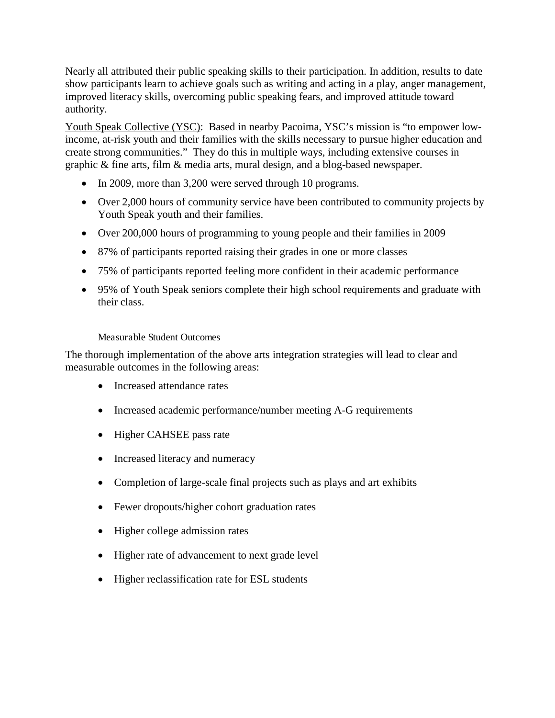Nearly all attributed their public speaking skills to their participation. In addition, results to date show participants learn to achieve goals such as writing and acting in a play, anger management, improved literacy skills, overcoming public speaking fears, and improved attitude toward authority.

Youth Speak Collective (YSC): Based in nearby Pacoima, YSC's mission is "to empower lowincome, at-risk youth and their families with the skills necessary to pursue higher education and create strong communities." They do this in multiple ways, including extensive courses in graphic & fine arts, film & media arts, mural design, and a blog-based newspaper.

- In 2009, more than 3,200 were served through 10 programs.
- Over 2,000 hours of community service have been contributed to community projects by Youth Speak youth and their families.
- Over 200,000 hours of programming to young people and their families in 2009
- 87% of participants reported raising their grades in one or more classes
- 75% of participants reported feeling more confident in their academic performance
- 95% of Youth Speak seniors complete their high school requirements and graduate with their class.

## Measurable Student Outcomes

The thorough implementation of the above arts integration strategies will lead to clear and measurable outcomes in the following areas:

- Increased attendance rates
- Increased academic performance/number meeting A-G requirements
- Higher CAHSEE pass rate
- Increased literacy and numeracy
- Completion of large-scale final projects such as plays and art exhibits
- Fewer dropouts/higher cohort graduation rates
- Higher college admission rates
- Higher rate of advancement to next grade level
- Higher reclassification rate for ESL students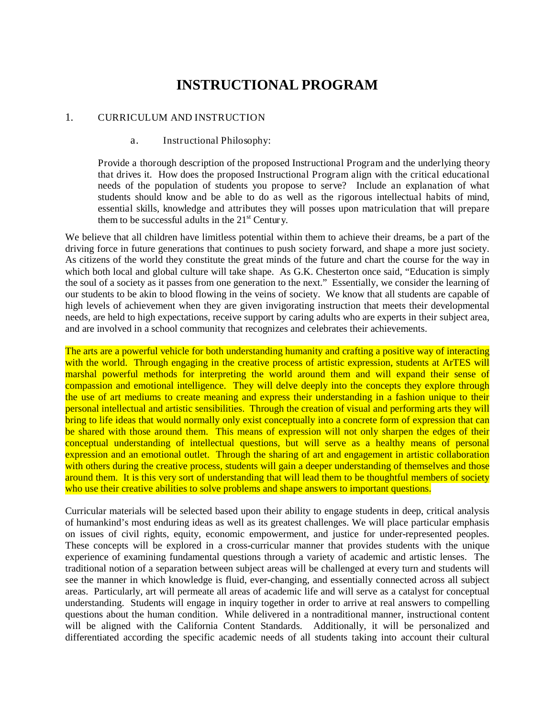# **INSTRUCTIONAL PROGRAM**

#### 1. CURRICULUM AND INSTRUCTION

#### a. Instructional Philosophy:

Provide a thorough description of the proposed Instructional Program and the underlying theory that drives it. How does the proposed Instructional Program align with the critical educational needs of the population of students you propose to serve? Include an explanation of what students should know and be able to do as well as the rigorous intellectual habits of mind, essential skills, knowledge and attributes they will posses upon matriculation that will prepare them to be successful adults in the  $21<sup>st</sup>$  Century.

We believe that all children have limitless potential within them to achieve their dreams, be a part of the driving force in future generations that continues to push society forward, and shape a more just society. As citizens of the world they constitute the great minds of the future and chart the course for the way in which both local and global culture will take shape. As G.K. Chesterton once said, "Education is simply the soul of a society as it passes from one generation to the next." Essentially, we consider the learning of our students to be akin to blood flowing in the veins of society. We know that all students are capable of high levels of achievement when they are given invigorating instruction that meets their developmental needs, are held to high expectations, receive support by caring adults who are experts in their subject area, and are involved in a school community that recognizes and celebrates their achievements.

The arts are a powerful vehicle for both understanding humanity and crafting a positive way of interacting with the world. Through engaging in the creative process of artistic expression, students at ArTES will marshal powerful methods for interpreting the world around them and will expand their sense of compassion and emotional intelligence. They will delve deeply into the concepts they explore through the use of art mediums to create meaning and express their understanding in a fashion unique to their personal intellectual and artistic sensibilities. Through the creation of visual and performing arts they will bring to life ideas that would normally only exist conceptually into a concrete form of expression that can be shared with those around them. This means of expression will not only sharpen the edges of their conceptual understanding of intellectual questions, but will serve as a healthy means of personal expression and an emotional outlet. Through the sharing of art and engagement in artistic collaboration with others during the creative process, students will gain a deeper understanding of themselves and those around them. It is this very sort of understanding that will lead them to be thoughtful members of society who use their creative abilities to solve problems and shape answers to important questions.

Curricular materials will be selected based upon their ability to engage students in deep, critical analysis of humankind's most enduring ideas as well as its greatest challenges. We will place particular emphasis on issues of civil rights, equity, economic empowerment, and justice for under-represented peoples. These concepts will be explored in a cross-curricular manner that provides students with the unique experience of examining fundamental questions through a variety of academic and artistic lenses. The traditional notion of a separation between subject areas will be challenged at every turn and students will see the manner in which knowledge is fluid, ever-changing, and essentially connected across all subject areas. Particularly, art will permeate all areas of academic life and will serve as a catalyst for conceptual understanding. Students will engage in inquiry together in order to arrive at real answers to compelling questions about the human condition. While delivered in a nontraditional manner, instructional content will be aligned with the California Content Standards. Additionally, it will be personalized and differentiated according the specific academic needs of all students taking into account their cultural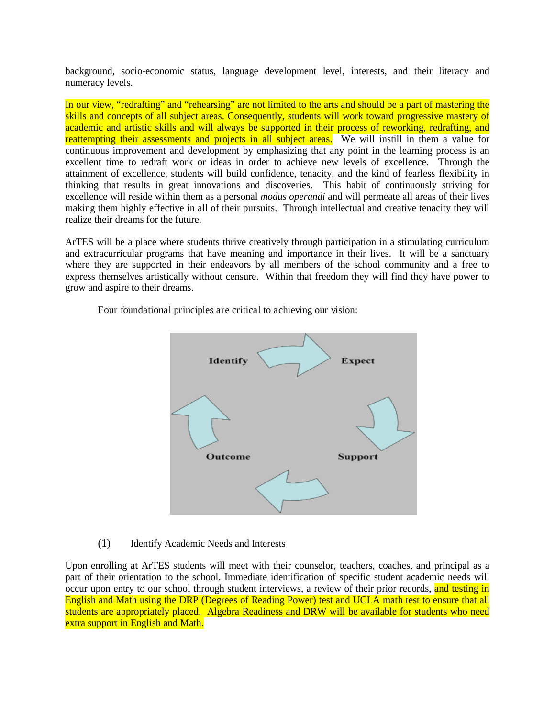background, socio-economic status, language development level, interests, and their literacy and numeracy levels.

In our view, "redrafting" and "rehearsing" are not limited to the arts and should be a part of mastering the skills and concepts of all subject areas. Consequently, students will work toward progressive mastery of academic and artistic skills and will always be supported in their process of reworking, redrafting, and reattempting their assessments and projects in all subject areas. We will instill in them a value for continuous improvement and development by emphasizing that any point in the learning process is an excellent time to redraft work or ideas in order to achieve new levels of excellence. Through the attainment of excellence, students will build confidence, tenacity, and the kind of fearless flexibility in thinking that results in great innovations and discoveries. This habit of continuously striving for excellence will reside within them as a personal *modus operandi* and will permeate all areas of their lives making them highly effective in all of their pursuits. Through intellectual and creative tenacity they will realize their dreams for the future.

ArTES will be a place where students thrive creatively through participation in a stimulating curriculum and extracurricular programs that have meaning and importance in their lives. It will be a sanctuary where they are supported in their endeavors by all members of the school community and a free to express themselves artistically without censure. Within that freedom they will find they have power to grow and aspire to their dreams.



Four foundational principles are critical to achieving our vision:

## (1) Identify Academic Needs and Interests

Upon enrolling at ArTES students will meet with their counselor, teachers, coaches, and principal as a part of their orientation to the school. Immediate identification of specific student academic needs will occur upon entry to our school through student interviews, a review of their prior records, and testing in English and Math using the DRP (Degrees of Reading Power) test and UCLA math test to ensure that all students are appropriately placed. Algebra Readiness and DRW will be available for students who need extra support in English and Math.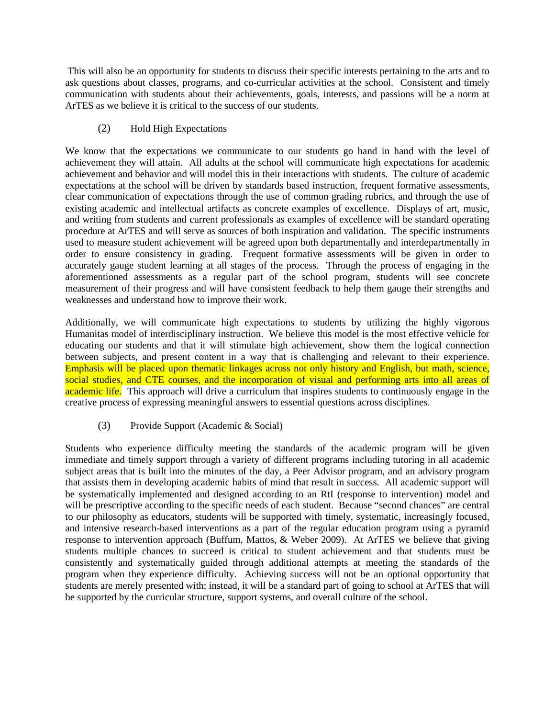This will also be an opportunity for students to discuss their specific interests pertaining to the arts and to ask questions about classes, programs, and co-curricular activities at the school. Consistent and timely communication with students about their achievements, goals, interests, and passions will be a norm at ArTES as we believe it is critical to the success of our students.

## (2) Hold High Expectations

We know that the expectations we communicate to our students go hand in hand with the level of achievement they will attain. All adults at the school will communicate high expectations for academic achievement and behavior and will model this in their interactions with students. The culture of academic expectations at the school will be driven by standards based instruction, frequent formative assessments, clear communication of expectations through the use of common grading rubrics, and through the use of existing academic and intellectual artifacts as concrete examples of excellence. Displays of art, music, and writing from students and current professionals as examples of excellence will be standard operating procedure at ArTES and will serve as sources of both inspiration and validation. The specific instruments used to measure student achievement will be agreed upon both departmentally and interdepartmentally in order to ensure consistency in grading. Frequent formative assessments will be given in order to accurately gauge student learning at all stages of the process. Through the process of engaging in the aforementioned assessments as a regular part of the school program, students will see concrete measurement of their progress and will have consistent feedback to help them gauge their strengths and weaknesses and understand how to improve their work.

Additionally, we will communicate high expectations to students by utilizing the highly vigorous Humanitas model of interdisciplinary instruction. We believe this model is the most effective vehicle for educating our students and that it will stimulate high achievement, show them the logical connection between subjects, and present content in a way that is challenging and relevant to their experience. Emphasis will be placed upon thematic linkages across not only history and English, but math, science, social studies, and CTE courses, and the incorporation of visual and performing arts into all areas of academic life. This approach will drive a curriculum that inspires students to continuously engage in the creative process of expressing meaningful answers to essential questions across disciplines.

## (3) Provide Support (Academic & Social)

Students who experience difficulty meeting the standards of the academic program will be given immediate and timely support through a variety of different programs including tutoring in all academic subject areas that is built into the minutes of the day, a Peer Advisor program, and an advisory program that assists them in developing academic habits of mind that result in success. All academic support will be systematically implemented and designed according to an RtI (response to intervention) model and will be prescriptive according to the specific needs of each student. Because "second chances" are central to our philosophy as educators, students will be supported with timely, systematic, increasingly focused, and intensive research-based interventions as a part of the regular education program using a pyramid response to intervention approach (Buffum, Mattos, & Weber 2009). At ArTES we believe that giving students multiple chances to succeed is critical to student achievement and that students must be consistently and systematically guided through additional attempts at meeting the standards of the program when they experience difficulty. Achieving success will not be an optional opportunity that students are merely presented with; instead, it will be a standard part of going to school at ArTES that will be supported by the curricular structure, support systems, and overall culture of the school.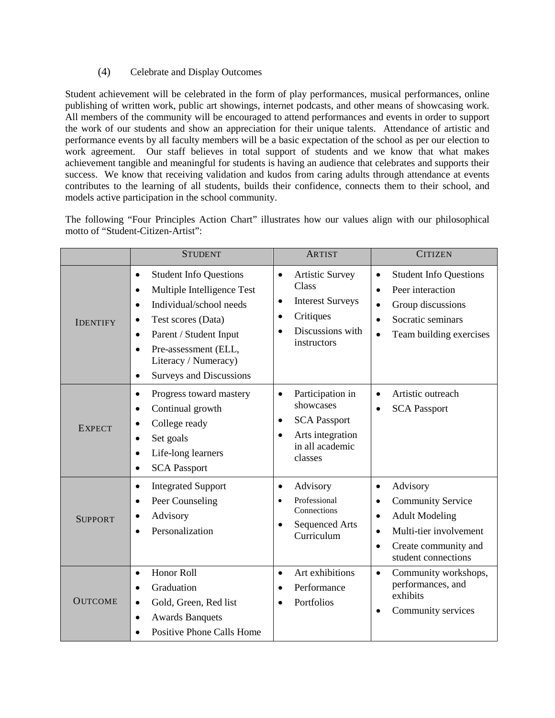## (4) Celebrate and Display Outcomes

Student achievement will be celebrated in the form of play performances, musical performances, online publishing of written work, public art showings, internet podcasts, and other means of showcasing work. All members of the community will be encouraged to attend performances and events in order to support the work of our students and show an appreciation for their unique talents. Attendance of artistic and performance events by all faculty members will be a basic expectation of the school as per our election to work agreement. Our staff believes in total support of students and we know that what makes achievement tangible and meaningful for students is having an audience that celebrates and supports their success. We know that receiving validation and kudos from caring adults through attendance at events contributes to the learning of all students, builds their confidence, connects them to their school, and models active participation in the school community.

The following "Four Principles Action Chart" illustrates how our values align with our philosophical motto of "Student-Citizen-Artist":

|                 | <b>STUDENT</b>                                                                                                                                                                                                                                                                                                      | <b>ARTIST</b>                                                                                                                                     | <b>CITIZEN</b>                                                                                                                                                                                          |
|-----------------|---------------------------------------------------------------------------------------------------------------------------------------------------------------------------------------------------------------------------------------------------------------------------------------------------------------------|---------------------------------------------------------------------------------------------------------------------------------------------------|---------------------------------------------------------------------------------------------------------------------------------------------------------------------------------------------------------|
| <b>IDENTIFY</b> | <b>Student Info Questions</b><br>$\bullet$<br>Multiple Intelligence Test<br>$\bullet$<br>Individual/school needs<br>$\bullet$<br>Test scores (Data)<br>$\bullet$<br>Parent / Student Input<br>$\bullet$<br>Pre-assessment (ELL,<br>$\bullet$<br>Literacy / Numeracy)<br><b>Surveys and Discussions</b><br>$\bullet$ | <b>Artistic Survey</b><br>$\bullet$<br>Class<br><b>Interest Surveys</b><br>$\bullet$<br>Critiques<br>$\bullet$<br>Discussions with<br>instructors | <b>Student Info Questions</b><br>$\bullet$<br>Peer interaction<br>$\bullet$<br>Group discussions<br>$\bullet$<br>Socratic seminars<br>$\bullet$<br>Team building exercises<br>$\bullet$                 |
| <b>EXPECT</b>   | Progress toward mastery<br>$\bullet$<br>Continual growth<br>$\bullet$<br>College ready<br>$\bullet$<br>Set goals<br>$\bullet$<br>Life-long learners<br>$\bullet$<br><b>SCA Passport</b><br>$\bullet$                                                                                                                | Participation in<br>$\bullet$<br>showcases<br><b>SCA Passport</b><br>$\bullet$<br>Arts integration<br>$\bullet$<br>in all academic<br>classes     | Artistic outreach<br>$\bullet$<br><b>SCA Passport</b><br>$\bullet$                                                                                                                                      |
| <b>SUPPORT</b>  | <b>Integrated Support</b><br>$\bullet$<br>Peer Counseling<br>$\bullet$<br>Advisory<br>$\bullet$<br>Personalization                                                                                                                                                                                                  | Advisory<br>$\bullet$<br>Professional<br>Connections<br><b>Sequenced Arts</b><br>$\bullet$<br>Curriculum                                          | Advisory<br>$\bullet$<br><b>Community Service</b><br>$\bullet$<br><b>Adult Modeling</b><br>$\bullet$<br>Multi-tier involvement<br>$\bullet$<br>Create community and<br>$\bullet$<br>student connections |
| <b>OUTCOME</b>  | Honor Roll<br>$\bullet$<br>Graduation<br>$\bullet$<br>Gold, Green, Red list<br>$\bullet$<br><b>Awards Banquets</b><br>$\bullet$<br><b>Positive Phone Calls Home</b>                                                                                                                                                 | Art exhibitions<br>$\bullet$<br>Performance<br>$\bullet$<br>Portfolios                                                                            | Community workshops,<br>$\bullet$<br>performances, and<br>exhibits<br>Community services<br>$\bullet$                                                                                                   |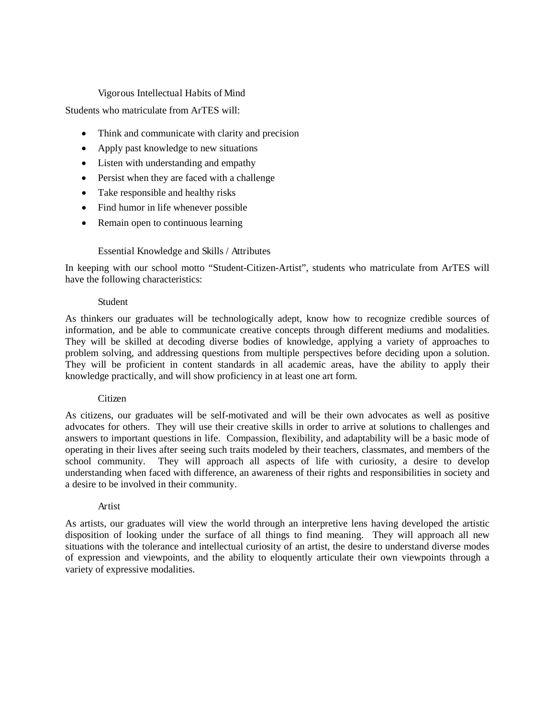#### Vigorous Intellectual Habits of Mind

Students who matriculate from ArTES will:

- Think and communicate with clarity and precision
- Apply past knowledge to new situations
- Listen with understanding and empathy
- Persist when they are faced with a challenge
- Take responsible and healthy risks
- Find humor in life whenever possible
- Remain open to continuous learning

#### Essential Knowledge and Skills / Attributes

In keeping with our school motto "Student-Citizen-Artist", students who matriculate from ArTES will have the following characteristics:

#### Student

As thinkers our graduates will be technologically adept, know how to recognize credible sources of information, and be able to communicate creative concepts through different mediums and modalities. They will be skilled at decoding diverse bodies of knowledge, applying a variety of approaches to problem solving, and addressing questions from multiple perspectives before deciding upon a solution. They will be proficient in content standards in all academic areas, have the ability to apply their knowledge practically, and will show proficiency in at least one art form.

#### Citizen

As citizens, our graduates will be self-motivated and will be their own advocates as well as positive advocates for others. They will use their creative skills in order to arrive at solutions to challenges and answers to important questions in life. Compassion, flexibility, and adaptability will be a basic mode of operating in their lives after seeing such traits modeled by their teachers, classmates, and members of the school community. They will approach all aspects of life with curiosity, a desire to develop understanding when faced with difference, an awareness of their rights and responsibilities in society and a desire to be involved in their community.

#### Artist

As artists, our graduates will view the world through an interpretive lens having developed the artistic disposition of looking under the surface of all things to find meaning. They will approach all new situations with the tolerance and intellectual curiosity of an artist, the desire to understand diverse modes of expression and viewpoints, and the ability to eloquently articulate their own viewpoints through a variety of expressive modalities.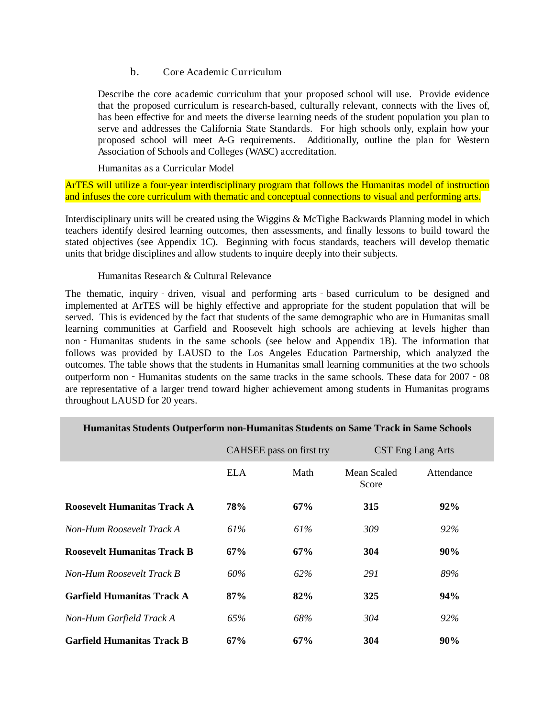#### b. Core Academic Curriculum

Describe the core academic curriculum that your proposed school will use. Provide evidence that the proposed curriculum is research-based, culturally relevant, connects with the lives of, has been effective for and meets the diverse learning needs of the student population you plan to serve and addresses the California State Standards. For high schools only, explain how your proposed school will meet A-G requirements. Additionally, outline the plan for Western Association of Schools and Colleges (WASC) accreditation.

Humanitas as a Curricular Model

ArTES will utilize a four-year interdisciplinary program that follows the Humanitas model of instruction and infuses the core curriculum with thematic and conceptual connections to visual and performing arts.

Interdisciplinary units will be created using the Wiggins & McTighe Backwards Planning model in which teachers identify desired learning outcomes, then assessments, and finally lessons to build toward the stated objectives (see Appendix 1C). Beginning with focus standards, teachers will develop thematic units that bridge disciplines and allow students to inquire deeply into their subjects.

#### Humanitas Research & Cultural Relevance

The thematic, inquiry - driven, visual and performing arts - based curriculum to be designed and implemented at ArTES will be highly effective and appropriate for the student population that will be served. This is evidenced by the fact that students of the same demographic who are in Humanitas small learning communities at Garfield and Roosevelt high schools are achieving at levels higher than non – Humanitas students in the same schools (see below and Appendix 1B). The information that follows was provided by LAUSD to the Los Angeles Education Partnership, which analyzed the outcomes. The table shows that the students in Humanitas small learning communities at the two schools outperform non‐Humanitas students on the same tracks in the same schools. These data for 2007‐08 are representative of a larger trend toward higher achievement among students in Humanitas programs throughout LAUSD for 20 years.

|                                    |            | CAHSEE pass on first try |                      | CST Eng Lang Arts |
|------------------------------------|------------|--------------------------|----------------------|-------------------|
|                                    | <b>ELA</b> | Math                     | Mean Scaled<br>Score | Attendance        |
| <b>Roosevelt Humanitas Track A</b> | 78%        | 67%                      | 315                  | 92%               |
| Non-Hum Roosevelt Track A          | 61%        | 61%                      | 309                  | 92%               |
| <b>Roosevelt Humanitas Track B</b> | 67%        | 67%                      | 304                  | 90%               |
| Non-Hum Roosevelt Track B          | 60%        | 62%                      | 291                  | 89%               |
| <b>Garfield Humanitas Track A</b>  | 87%        | 82%                      | 325                  | 94%               |
| Non-Hum Garfield Track A           | 65%        | 68%                      | 304                  | 92%               |
| <b>Garfield Humanitas Track B</b>  | 67%        | 67%                      | 304                  | <b>90%</b>        |

## **Humanitas Students Outperform non-Humanitas Students on Same Track in Same Schools**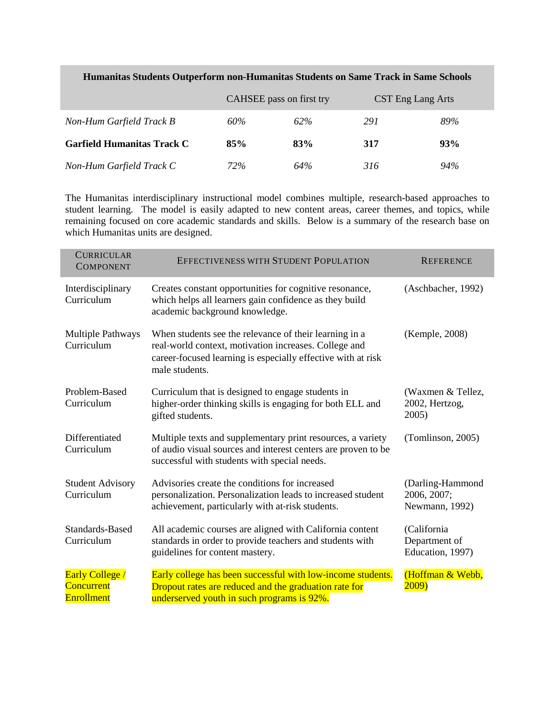|                                   | CAHSEE pass on first try |     | CST Eng Lang Arts |     |
|-----------------------------------|--------------------------|-----|-------------------|-----|
| Non-Hum Garfield Track B          | 60%                      | 62% | 291               | 89% |
| <b>Garfield Humanitas Track C</b> | 85%                      | 83% | 317               | 93% |
| Non-Hum Garfield Track C          | 72%                      | 64% | 316               | 94% |

## **Humanitas Students Outperform non-Humanitas Students on Same Track in Same Schools**

The Humanitas interdisciplinary instructional model combines multiple, research-based approaches to student learning. The model is easily adapted to new content areas, career themes, and topics, while remaining focused on core academic standards and skills. Below is a summary of the research base on which Humanitas units are designed.

| <b>CURRICULAR</b><br><b>COMPONENT</b>                            | EFFECTIVENESS WITH STUDENT POPULATION                                                                                                                                                             | <b>REFERENCE</b>                                  |
|------------------------------------------------------------------|---------------------------------------------------------------------------------------------------------------------------------------------------------------------------------------------------|---------------------------------------------------|
| Interdisciplinary<br>Curriculum                                  | Creates constant opportunities for cognitive resonance,<br>which helps all learners gain confidence as they build<br>academic background knowledge.                                               | (Aschbacher, 1992)                                |
| <b>Multiple Pathways</b><br>Curriculum                           | When students see the relevance of their learning in a<br>real-world context, motivation increases. College and<br>career-focused learning is especially effective with at risk<br>male students. | (Kemple, 2008)                                    |
| Problem-Based<br>Curriculum                                      | Curriculum that is designed to engage students in<br>higher-order thinking skills is engaging for both ELL and<br>gifted students.                                                                | (Waxmen & Tellez,<br>2002, Hertzog,<br>2005)      |
| Differentiated<br>Curriculum                                     | Multiple texts and supplementary print resources, a variety<br>of audio visual sources and interest centers are proven to be<br>successful with students with special needs.                      | (Tomlinson, 2005)                                 |
| <b>Student Advisory</b><br>Curriculum                            | Advisories create the conditions for increased<br>personalization. Personalization leads to increased student<br>achievement, particularly with at-risk students.                                 | (Darling-Hammond<br>2006, 2007;<br>Newmann, 1992) |
| Standards-Based<br>Curriculum                                    | All academic courses are aligned with California content<br>standards in order to provide teachers and students with<br>guidelines for content mastery.                                           | (California)<br>Department of<br>Education, 1997) |
| <b>Early College</b> /<br><b>Concurrent</b><br><b>Enrollment</b> | Early college has been successful with low-income students.<br>Dropout rates are reduced and the graduation rate for<br>underserved youth in such programs is 92%.                                | (Hoffman & Webb,<br>2009)                         |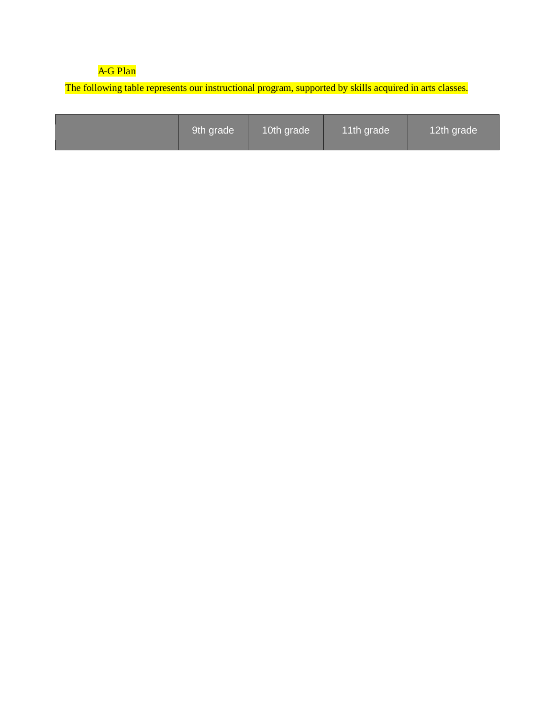## A-G Plan

The following table represents our instructional program, supported by skills acquired in arts classes.

|--|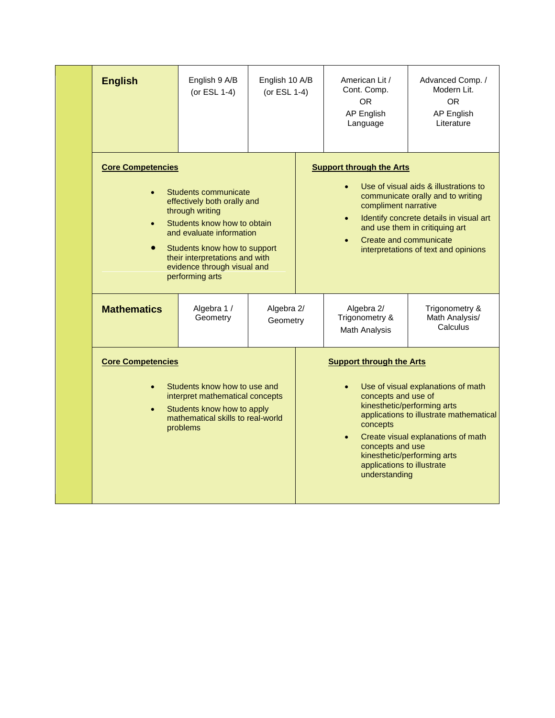| <b>English</b>                                                                                                                                                                                                                                                                    | English 9 A/B<br>(or ESL 1-4) | English 10 A/B<br>(or ESL 1-4)                                                                                                        | American Lit /<br>Cont. Comp.<br><b>OR</b><br>AP English<br>Language                                                                                                              | Advanced Comp. /<br>Modern Lit.<br><b>OR</b><br>AP English<br>Literature                                                                                                                        |
|-----------------------------------------------------------------------------------------------------------------------------------------------------------------------------------------------------------------------------------------------------------------------------------|-------------------------------|---------------------------------------------------------------------------------------------------------------------------------------|-----------------------------------------------------------------------------------------------------------------------------------------------------------------------------------|-------------------------------------------------------------------------------------------------------------------------------------------------------------------------------------------------|
| <b>Core Competencies</b><br>Students communicate<br>effectively both orally and<br>through writing<br>Students know how to obtain<br>and evaluate information<br>Students know how to support<br>their interpretations and with<br>evidence through visual and<br>performing arts |                               |                                                                                                                                       | <b>Support through the Arts</b><br>compliment narrative<br>Create and communicate                                                                                                 | Use of visual aids & illustrations to<br>communicate orally and to writing<br>Identify concrete details in visual art<br>and use them in critiquing art<br>interpretations of text and opinions |
| <b>Mathematics</b>                                                                                                                                                                                                                                                                | Algebra 1 /<br>Geometry       | Algebra 2/<br>Geometry                                                                                                                | Algebra 2/<br>Trigonometry &<br>Math Analysis                                                                                                                                     | Trigonometry &<br>Math Analysis/<br>Calculus                                                                                                                                                    |
| <b>Core Competencies</b><br>Students know how to use and<br>interpret mathematical concepts<br>Students know how to apply<br>$\bullet$<br>mathematical skills to real-world<br>problems                                                                                           |                               | <b>Support through the Arts</b><br>concepts and use of<br>concepts<br>concepts and use<br>applications to illustrate<br>understanding | Use of visual explanations of math<br>kinesthetic/performing arts<br>applications to illustrate mathematical<br>Create visual explanations of math<br>kinesthetic/performing arts |                                                                                                                                                                                                 |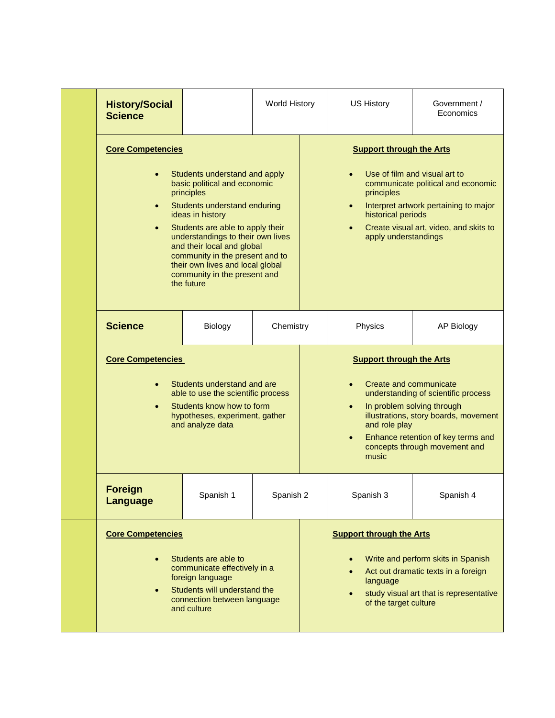| <b>History/Social</b><br><b>Science</b>                                                                                                                                                                                                                                                                                                                                                                           |           | World History                                                                                                                                                                                                                                                                                      |                                                                                   | <b>US History</b>                                                                                                    | Government /<br>Economics |
|-------------------------------------------------------------------------------------------------------------------------------------------------------------------------------------------------------------------------------------------------------------------------------------------------------------------------------------------------------------------------------------------------------------------|-----------|----------------------------------------------------------------------------------------------------------------------------------------------------------------------------------------------------------------------------------------------------------------------------------------------------|-----------------------------------------------------------------------------------|----------------------------------------------------------------------------------------------------------------------|---------------------------|
| <b>Core Competencies</b><br>Students understand and apply<br>basic political and economic<br>principles<br>Students understand enduring<br>$\bullet$<br>ideas in history<br>Students are able to apply their<br>$\bullet$<br>understandings to their own lives<br>and their local and global<br>community in the present and to<br>their own lives and local global<br>community in the present and<br>the future |           | <b>Support through the Arts</b><br>Use of film and visual art to<br>communicate political and economic<br>principles<br>Interpret artwork pertaining to major<br>$\bullet$<br>historical periods<br>Create visual art, video, and skits to<br>apply understandings                                 |                                                                                   |                                                                                                                      |                           |
| <b>Science</b>                                                                                                                                                                                                                                                                                                                                                                                                    | Biology   | Chemistry                                                                                                                                                                                                                                                                                          |                                                                                   | Physics                                                                                                              | <b>AP Biology</b>         |
| <b>Core Competencies</b><br>Students understand and are<br>able to use the scientific process<br>Students know how to form<br>hypotheses, experiment, gather<br>and analyze data                                                                                                                                                                                                                                  |           | <b>Support through the Arts</b><br>Create and communicate<br>$\bullet$<br>understanding of scientific process<br>In problem solving through<br>illustrations, story boards, movement<br>and role play<br>Enhance retention of key terms and<br>$\bullet$<br>concepts through movement and<br>music |                                                                                   |                                                                                                                      |                           |
| <b>Foreign</b><br><b>Language</b>                                                                                                                                                                                                                                                                                                                                                                                 | Spanish 1 | Spanish 2                                                                                                                                                                                                                                                                                          |                                                                                   | Spanish 3                                                                                                            | Spanish 4                 |
| <b>Core Competencies</b><br>Students are able to<br>communicate effectively in a<br>foreign language<br>Students will understand the<br>connection between language<br>and culture                                                                                                                                                                                                                                |           |                                                                                                                                                                                                                                                                                                    | <b>Support through the Arts</b><br>$\bullet$<br>language<br>of the target culture | Write and perform skits in Spanish<br>Act out dramatic texts in a foreign<br>study visual art that is representative |                           |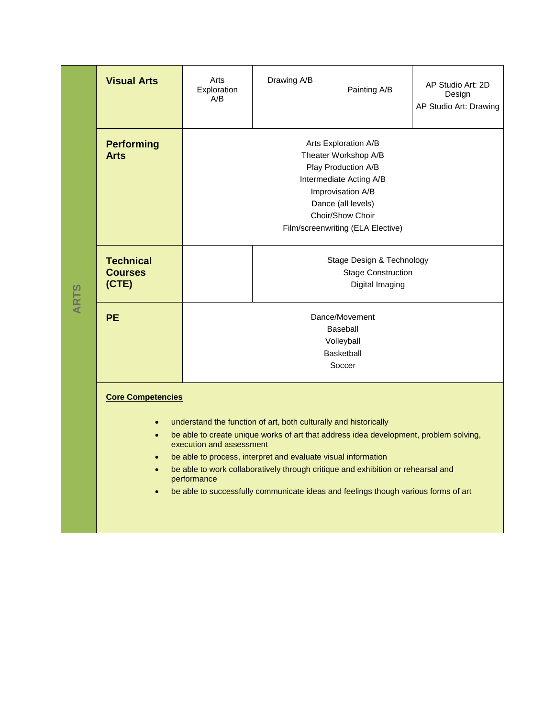|             | <b>Visual Arts</b>                          | Arts<br>Exploration<br>A/B                                                                                                                                                                                                                                                                                                                                                                                                                      | Drawing A/B | Painting A/B | AP Studio Art: 2D<br>Design<br>AP Studio Art: Drawing |  |  |  |  |
|-------------|---------------------------------------------|-------------------------------------------------------------------------------------------------------------------------------------------------------------------------------------------------------------------------------------------------------------------------------------------------------------------------------------------------------------------------------------------------------------------------------------------------|-------------|--------------|-------------------------------------------------------|--|--|--|--|
|             | <b>Performing</b><br>Arts                   | Arts Exploration A/B<br>Theater Workshop A/B<br>Play Production A/B<br>Intermediate Acting A/B<br>Improvisation A/B<br>Dance (all levels)<br>Choir/Show Choir<br>Film/screenwriting (ELA Elective)                                                                                                                                                                                                                                              |             |              |                                                       |  |  |  |  |
| <b>ARTS</b> | <b>Technical</b><br><b>Courses</b><br>(CTE) | Stage Design & Technology<br><b>Stage Construction</b><br>Digital Imaging                                                                                                                                                                                                                                                                                                                                                                       |             |              |                                                       |  |  |  |  |
|             | <b>PE</b>                                   | Dance/Movement<br><b>Baseball</b><br>Volleyball<br><b>Basketball</b><br>Soccer                                                                                                                                                                                                                                                                                                                                                                  |             |              |                                                       |  |  |  |  |
|             | <b>Core Competencies</b>                    | understand the function of art, both culturally and historically<br>be able to create unique works of art that address idea development, problem solving,<br>execution and assessment<br>be able to process, interpret and evaluate visual information<br>be able to work collaboratively through critique and exhibition or rehearsal and<br>performance<br>be able to successfully communicate ideas and feelings though various forms of art |             |              |                                                       |  |  |  |  |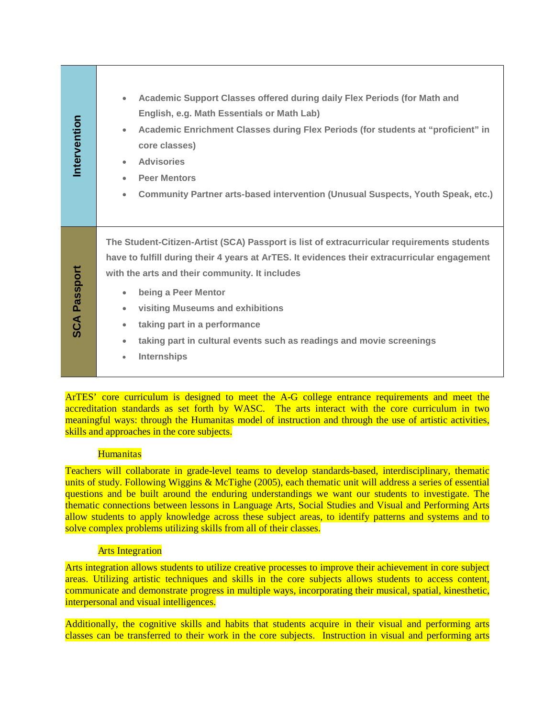| Intervention        | Academic Support Classes offered during daily Flex Periods (for Math and<br>$\bullet$<br>English, e.g. Math Essentials or Math Lab)<br>Academic Enrichment Classes during Flex Periods (for students at "proficient" in<br>$\bullet$<br>core classes)<br><b>Advisories</b><br>$\bullet$<br><b>Peer Mentors</b><br>$\bullet$<br>Community Partner arts-based intervention (Unusual Suspects, Youth Speak, etc.)<br>$\bullet$                                                                                                                                                                                                                                                                                                                                                                                                                                                                                                                                                                                                   |
|---------------------|-------------------------------------------------------------------------------------------------------------------------------------------------------------------------------------------------------------------------------------------------------------------------------------------------------------------------------------------------------------------------------------------------------------------------------------------------------------------------------------------------------------------------------------------------------------------------------------------------------------------------------------------------------------------------------------------------------------------------------------------------------------------------------------------------------------------------------------------------------------------------------------------------------------------------------------------------------------------------------------------------------------------------------|
| <b>SCA Passport</b> | The Student-Citizen-Artist (SCA) Passport is list of extracurricular requirements students<br>have to fulfill during their 4 years at ArTES. It evidences their extracurricular engagement<br>with the arts and their community. It includes<br>being a Peer Mentor<br>$\bullet$<br>visiting Museums and exhibitions<br>$\bullet$<br>taking part in a performance<br>$\bullet$<br>taking part in cultural events such as readings and movie screenings<br>$\bullet$<br>Internships<br>$\bullet$                                                                                                                                                                                                                                                                                                                                                                                                                                                                                                                               |
|                     | ArTES' core curriculum is designed to meet the A-G college entrance requirements and meet the<br>accreditation standards as set forth by WASC. The arts interact with the core curriculum in two<br>meaningful ways: through the Humanitas model of instruction and through the use of artistic activities,<br>skills and approaches in the core subjects.<br><b>Humanitas</b><br>Teachers will collaborate in grade-level teams to develop standards-based, interdisciplinary, thematic<br>units of study. Following Wiggins & McTighe (2005), each thematic unit will address a series of essential<br>questions and be built around the enduring understandings we want our students to investigate. The<br>thematic connections between lessons in Language Arts, Social Studies and Visual and Performing Arts<br>allow students to apply knowledge across these subject areas, to identify patterns and systems and to<br>solve complex problems utilizing skills from all of their classes.<br><b>Arts Integration</b> |
|                     | Arts integration allows students to utilize creative processes to improve their achievement in core subject<br>areas. Utilizing artistic techniques and skills in the core subjects allows students to access content,<br>communicate and demonstrate progress in multiple ways, incorporating their musical, spatial, kinesthetic,                                                                                                                                                                                                                                                                                                                                                                                                                                                                                                                                                                                                                                                                                           |
|                     | interpersonal and visual intelligences.<br>Additionally, the cognitive skills and habits that students acquire in their visual and performing arts<br>classes can be transferred to their work in the core subjects. Instruction in visual and performing arts                                                                                                                                                                                                                                                                                                                                                                                                                                                                                                                                                                                                                                                                                                                                                                |

#### **Humanitas**

## **Arts Integration**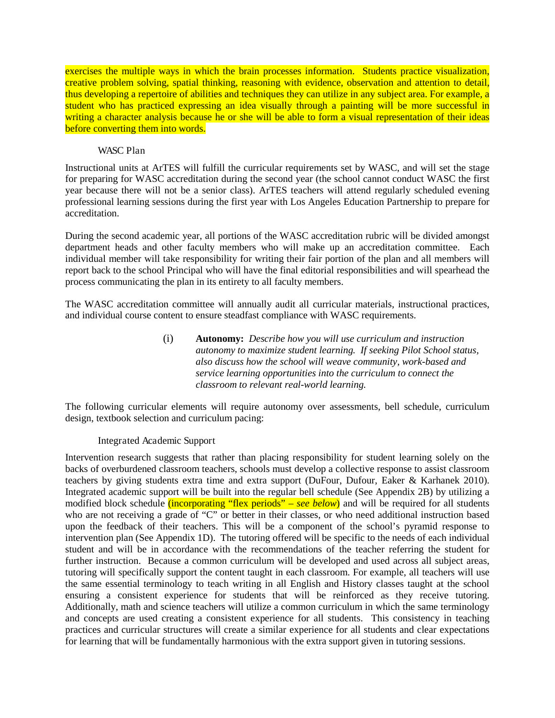exercises the multiple ways in which the brain processes information. Students practice visualization, creative problem solving, spatial thinking, reasoning with evidence, observation and attention to detail, thus developing a repertoire of abilities and techniques they can utilize in any subject area. For example, a student who has practiced expressing an idea visually through a painting will be more successful in writing a character analysis because he or she will be able to form a visual representation of their ideas before converting them into words.

#### WASC Plan

Instructional units at ArTES will fulfill the curricular requirements set by WASC, and will set the stage for preparing for WASC accreditation during the second year (the school cannot conduct WASC the first year because there will not be a senior class). ArTES teachers will attend regularly scheduled evening professional learning sessions during the first year with Los Angeles Education Partnership to prepare for accreditation.

During the second academic year, all portions of the WASC accreditation rubric will be divided amongst department heads and other faculty members who will make up an accreditation committee. Each individual member will take responsibility for writing their fair portion of the plan and all members will report back to the school Principal who will have the final editorial responsibilities and will spearhead the process communicating the plan in its entirety to all faculty members.

The WASC accreditation committee will annually audit all curricular materials, instructional practices, and individual course content to ensure steadfast compliance with WASC requirements.

> (i) **Autonomy:** *Describe how you will use curriculum and instruction autonomy to maximize student learning. If seeking Pilot School status, also discuss how the school will weave community, work-based and service learning opportunities into the curriculum to connect the classroom to relevant real-world learning.*

The following curricular elements will require autonomy over assessments, bell schedule, curriculum design, textbook selection and curriculum pacing:

#### Integrated Academic Support

Intervention research suggests that rather than placing responsibility for student learning solely on the backs of overburdened classroom teachers, schools must develop a collective response to assist classroom teachers by giving students extra time and extra support (DuFour, Dufour, Eaker & Karhanek 2010). Integrated academic support will be built into the regular bell schedule (See Appendix 2B) by utilizing a modified block schedule *(incorporating "flex periods" – see below)* and will be required for all students who are not receiving a grade of "C" or better in their classes, or who need additional instruction based upon the feedback of their teachers. This will be a component of the school's pyramid response to intervention plan (See Appendix 1D). The tutoring offered will be specific to the needs of each individual student and will be in accordance with the recommendations of the teacher referring the student for further instruction. Because a common curriculum will be developed and used across all subject areas, tutoring will specifically support the content taught in each classroom. For example, all teachers will use the same essential terminology to teach writing in all English and History classes taught at the school ensuring a consistent experience for students that will be reinforced as they receive tutoring. Additionally, math and science teachers will utilize a common curriculum in which the same terminology and concepts are used creating a consistent experience for all students. This consistency in teaching practices and curricular structures will create a similar experience for all students and clear expectations for learning that will be fundamentally harmonious with the extra support given in tutoring sessions.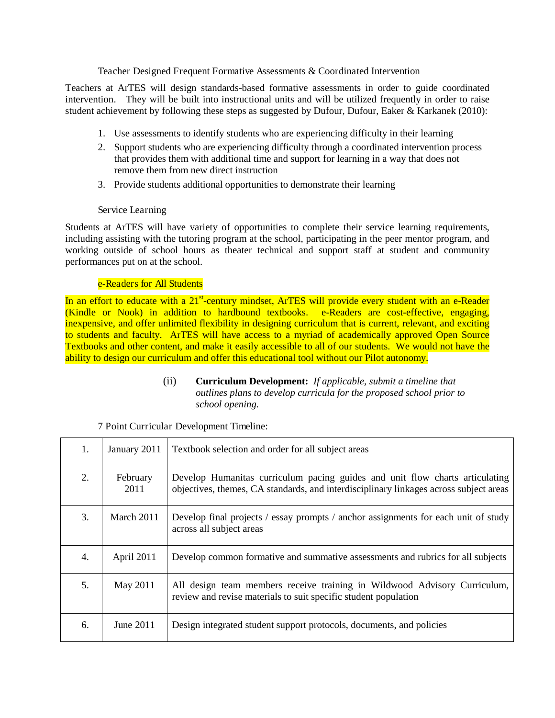#### Teacher Designed Frequent Formative Assessments & Coordinated Intervention

Teachers at ArTES will design standards-based formative assessments in order to guide coordinated intervention. They will be built into instructional units and will be utilized frequently in order to raise student achievement by following these steps as suggested by Dufour, Dufour, Eaker & Karkanek (2010):

- 1. Use assessments to identify students who are experiencing difficulty in their learning
- 2. Support students who are experiencing difficulty through a coordinated intervention process that provides them with additional time and support for learning in a way that does not remove them from new direct instruction
- 3. Provide students additional opportunities to demonstrate their learning

#### Service Learning

Students at ArTES will have variety of opportunities to complete their service learning requirements, including assisting with the tutoring program at the school, participating in the peer mentor program, and working outside of school hours as theater technical and support staff at student and community performances put on at the school.

#### e-Readers for All Students

In an effort to educate with a 21<sup>st</sup>-century mindset, ArTES will provide every student with an e-Reader (Kindle or Nook) in addition to hardbound textbooks. e-Readers are cost-effective, engaging, inexpensive, and offer unlimited flexibility in designing curriculum that is current, relevant, and exciting to students and faculty. ArTES will have access to a myriad of academically approved Open Source Textbooks and other content, and make it easily accessible to all of our students. We would not have the ability to design our curriculum and offer this educational tool without our Pilot autonomy.

> (ii) **Curriculum Development:** *If applicable, submit a timeline that outlines plans to develop curricula for the proposed school prior to school opening.*

| 1. | January 2011     | Textbook selection and order for all subject areas                                                                                                                    |
|----|------------------|-----------------------------------------------------------------------------------------------------------------------------------------------------------------------|
| 2. | February<br>2011 | Develop Humanitas curriculum pacing guides and unit flow charts articulating<br>objectives, themes, CA standards, and interdisciplinary linkages across subject areas |
| 3. | March 2011       | Develop final projects / essay prompts / anchor assignments for each unit of study<br>across all subject areas                                                        |
| 4. | April 2011       | Develop common formative and summative assessments and rubrics for all subjects                                                                                       |
| 5. | May 2011         | All design team members receive training in Wildwood Advisory Curriculum,<br>review and revise materials to suit specific student population                          |
| 6. | June 2011        | Design integrated student support protocols, documents, and policies                                                                                                  |

#### 7 Point Curricular Development Timeline: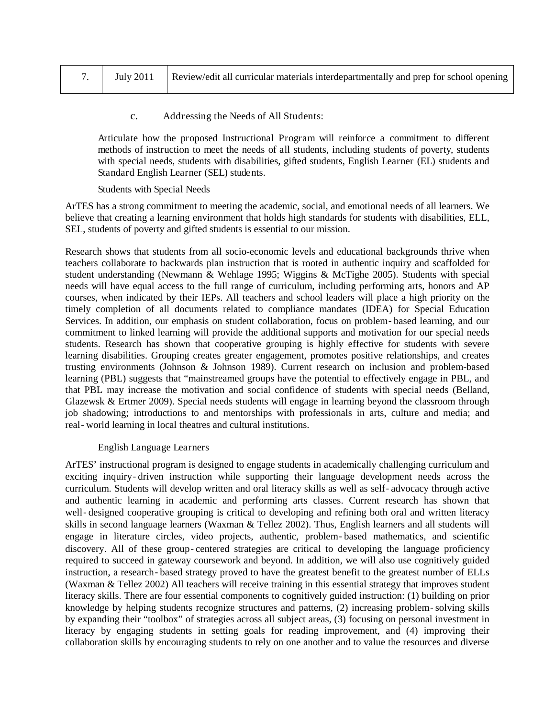|  |  | 7. July 2011   Review/edit all curricular materials interdepartmentally and prep for school opening |
|--|--|-----------------------------------------------------------------------------------------------------|
|--|--|-----------------------------------------------------------------------------------------------------|

#### c. Addressing the Needs of All Students:

Articulate how the proposed Instructional Program will reinforce a commitment to different methods of instruction to meet the needs of all students, including students of poverty, students with special needs, students with disabilities, gifted students, English Learner (EL) students and Standard English Learner (SEL) students.

#### Students with Special Needs

ArTES has a strong commitment to meeting the academic, social, and emotional needs of all learners. We believe that creating a learning environment that holds high standards for students with disabilities, ELL, SEL, students of poverty and gifted students is essential to our mission.

Research shows that students from all socio-economic levels and educational backgrounds thrive when teachers collaborate to backwards plan instruction that is rooted in authentic inquiry and scaffolded for student understanding (Newmann & Wehlage 1995; Wiggins & McTighe 2005). Students with special needs will have equal access to the full range of curriculum, including performing arts, honors and AP courses, when indicated by their IEPs. All teachers and school leaders will place a high priority on the timely completion of all documents related to compliance mandates (IDEA) for Special Education Services. In addition, our emphasis on student collaboration, focus on problem-based learning, and our commitment to linked learning will provide the additional supports and motivation for our special needs students. Research has shown that cooperative grouping is highly effective for students with severe learning disabilities. Grouping creates greater engagement, promotes positive relationships, and creates trusting environments (Johnson & Johnson 1989). Current research on inclusion and problem-based learning (PBL) suggests that "mainstreamed groups have the potential to effectively engage in PBL, and that PBL may increase the motivation and social confidence of students with special needs (Belland, Glazewsk & Ertmer 2009). Special needs students will engage in learning beyond the classroom through job shadowing; introductions to and mentorships with professionals in arts, culture and media; and real‐world learning in local theatres and cultural institutions.

#### English Language Learners

ArTES' instructional program is designed to engage students in academically challenging curriculum and exciting inquiry‐driven instruction while supporting their language development needs across the curriculum. Students will develop written and oral literacy skills as well as self-advocacy through active and authentic learning in academic and performing arts classes. Current research has shown that well-designed cooperative grouping is critical to developing and refining both oral and written literacy skills in second language learners (Waxman & Tellez 2002). Thus, English learners and all students will engage in literature circles, video projects, authentic, problem‐based mathematics, and scientific discovery. All of these group‐centered strategies are critical to developing the language proficiency required to succeed in gateway coursework and beyond. In addition, we will also use cognitively guided instruction, a research-based strategy proved to have the greatest benefit to the greatest number of ELLs (Waxman & Tellez 2002) All teachers will receive training in this essential strategy that improves student literacy skills. There are four essential components to cognitively guided instruction: (1) building on prior knowledge by helping students recognize structures and patterns, (2) increasing problem–solving skills by expanding their "toolbox" of strategies across all subject areas, (3) focusing on personal investment in literacy by engaging students in setting goals for reading improvement, and (4) improving their collaboration skills by encouraging students to rely on one another and to value the resources and diverse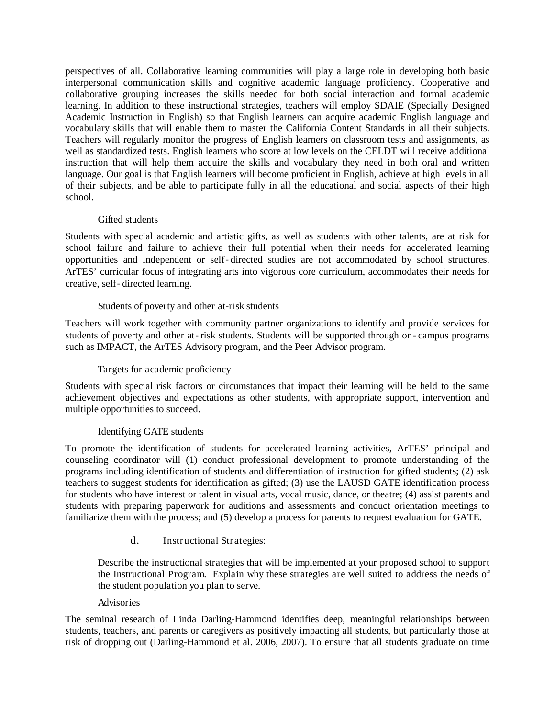perspectives of all. Collaborative learning communities will play a large role in developing both basic interpersonal communication skills and cognitive academic language proficiency. Cooperative and collaborative grouping increases the skills needed for both social interaction and formal academic learning. In addition to these instructional strategies, teachers will employ SDAIE (Specially Designed Academic Instruction in English) so that English learners can acquire academic English language and vocabulary skills that will enable them to master the California Content Standards in all their subjects. Teachers will regularly monitor the progress of English learners on classroom tests and assignments, as well as standardized tests. English learners who score at low levels on the CELDT will receive additional instruction that will help them acquire the skills and vocabulary they need in both oral and written language. Our goal is that English learners will become proficient in English, achieve at high levels in all of their subjects, and be able to participate fully in all the educational and social aspects of their high school.

## Gifted students

Students with special academic and artistic gifts, as well as students with other talents, are at risk for school failure and failure to achieve their full potential when their needs for accelerated learning opportunities and independent or self‐directed studies are not accommodated by school structures. ArTES' curricular focus of integrating arts into vigorous core curriculum, accommodates their needs for creative, self‐directed learning.

## Students of poverty and other at-risk students

Teachers will work together with community partner organizations to identify and provide services for students of poverty and other at-risk students. Students will be supported through on-campus programs such as IMPACT, the ArTES Advisory program, and the Peer Advisor program.

## Targets for academic proficiency

Students with special risk factors or circumstances that impact their learning will be held to the same achievement objectives and expectations as other students, with appropriate support, intervention and multiple opportunities to succeed.

#### Identifying GATE students

To promote the identification of students for accelerated learning activities, ArTES' principal and counseling coordinator will (1) conduct professional development to promote understanding of the programs including identification of students and differentiation of instruction for gifted students; (2) ask teachers to suggest students for identification as gifted; (3) use the LAUSD GATE identification process for students who have interest or talent in visual arts, vocal music, dance, or theatre; (4) assist parents and students with preparing paperwork for auditions and assessments and conduct orientation meetings to familiarize them with the process; and (5) develop a process for parents to request evaluation for GATE.

#### d. Instructional Strategies:

Describe the instructional strategies that will be implemented at your proposed school to support the Instructional Program. Explain why these strategies are well suited to address the needs of the student population you plan to serve.

#### Advisories

The seminal research of Linda Darling-Hammond identifies deep, meaningful relationships between students, teachers, and parents or caregivers as positively impacting all students, but particularly those at risk of dropping out (Darling-Hammond et al. 2006, 2007). To ensure that all students graduate on time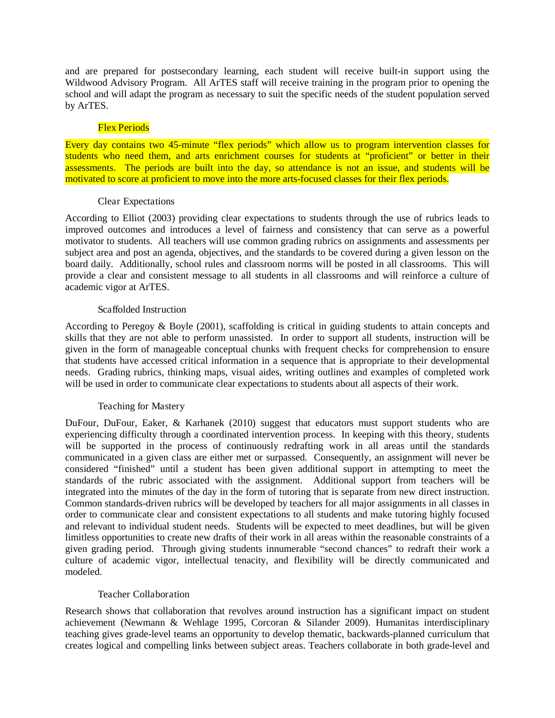and are prepared for postsecondary learning, each student will receive built-in support using the Wildwood Advisory Program. All ArTES staff will receive training in the program prior to opening the school and will adapt the program as necessary to suit the specific needs of the student population served by ArTES.

#### Flex Periods

Every day contains two 45-minute "flex periods" which allow us to program intervention classes for students who need them, and arts enrichment courses for students at "proficient" or better in their assessments. The periods are built into the day, so attendance is not an issue, and students will be motivated to score at proficient to move into the more arts-focused classes for their flex periods.

#### Clear Expectations

According to Elliot (2003) providing clear expectations to students through the use of rubrics leads to improved outcomes and introduces a level of fairness and consistency that can serve as a powerful motivator to students. All teachers will use common grading rubrics on assignments and assessments per subject area and post an agenda, objectives, and the standards to be covered during a given lesson on the board daily. Additionally, school rules and classroom norms will be posted in all classrooms. This will provide a clear and consistent message to all students in all classrooms and will reinforce a culture of academic vigor at ArTES.

## Scaffolded Instruction

According to Peregoy & Boyle (2001), scaffolding is critical in guiding students to attain concepts and skills that they are not able to perform unassisted. In order to support all students, instruction will be given in the form of manageable conceptual chunks with frequent checks for comprehension to ensure that students have accessed critical information in a sequence that is appropriate to their developmental needs. Grading rubrics, thinking maps, visual aides, writing outlines and examples of completed work will be used in order to communicate clear expectations to students about all aspects of their work.

#### Teaching for Mastery

DuFour, DuFour, Eaker, & Karhanek (2010) suggest that educators must support students who are experiencing difficulty through a coordinated intervention process. In keeping with this theory, students will be supported in the process of continuously redrafting work in all areas until the standards communicated in a given class are either met or surpassed. Consequently, an assignment will never be considered "finished" until a student has been given additional support in attempting to meet the standards of the rubric associated with the assignment. Additional support from teachers will be integrated into the minutes of the day in the form of tutoring that is separate from new direct instruction. Common standards-driven rubrics will be developed by teachers for all major assignments in all classes in order to communicate clear and consistent expectations to all students and make tutoring highly focused and relevant to individual student needs. Students will be expected to meet deadlines, but will be given limitless opportunities to create new drafts of their work in all areas within the reasonable constraints of a given grading period. Through giving students innumerable "second chances" to redraft their work a culture of academic vigor, intellectual tenacity, and flexibility will be directly communicated and modeled.

#### Teacher Collaboration

Research shows that collaboration that revolves around instruction has a significant impact on student achievement (Newmann & Wehlage 1995, Corcoran & Silander 2009). Humanitas interdisciplinary teaching gives grade-level teams an opportunity to develop thematic, backwards-planned curriculum that creates logical and compelling links between subject areas. Teachers collaborate in both grade-level and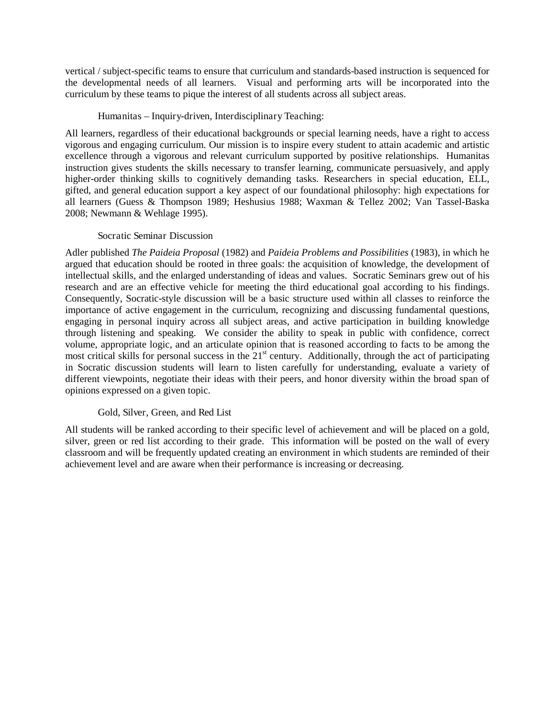vertical / subject-specific teams to ensure that curriculum and standards-based instruction is sequenced for the developmental needs of all learners. Visual and performing arts will be incorporated into the curriculum by these teams to pique the interest of all students across all subject areas.

#### Humanitas – Inquiry-driven, Interdisciplinary Teaching:

All learners, regardless of their educational backgrounds or special learning needs, have a right to access vigorous and engaging curriculum. Our mission is to inspire every student to attain academic and artistic excellence through a vigorous and relevant curriculum supported by positive relationships. Humanitas instruction gives students the skills necessary to transfer learning, communicate persuasively, and apply higher-order thinking skills to cognitively demanding tasks. Researchers in special education, ELL, gifted, and general education support a key aspect of our foundational philosophy: high expectations for all learners (Guess & Thompson 1989; Heshusius 1988; Waxman & Tellez 2002; Van Tassel-Baska 2008; Newmann & Wehlage 1995).

#### Socratic Seminar Discussion

Adler published *The Paideia Proposal* (1982) and *Paideia Problems and Possibilities* (1983), in which he argued that education should be rooted in three goals: the acquisition of knowledge, the development of intellectual skills, and the enlarged understanding of ideas and values. Socratic Seminars grew out of his research and are an effective vehicle for meeting the third educational goal according to his findings. Consequently, Socratic-style discussion will be a basic structure used within all classes to reinforce the importance of active engagement in the curriculum, recognizing and discussing fundamental questions, engaging in personal inquiry across all subject areas, and active participation in building knowledge through listening and speaking. We consider the ability to speak in public with confidence, correct volume, appropriate logic, and an articulate opinion that is reasoned according to facts to be among the most critical skills for personal success in the 21<sup>st</sup> century. Additionally, through the act of participating in Socratic discussion students will learn to listen carefully for understanding, evaluate a variety of different viewpoints, negotiate their ideas with their peers, and honor diversity within the broad span of opinions expressed on a given topic.

#### Gold, Silver, Green, and Red List

All students will be ranked according to their specific level of achievement and will be placed on a gold, silver, green or red list according to their grade. This information will be posted on the wall of every classroom and will be frequently updated creating an environment in which students are reminded of their achievement level and are aware when their performance is increasing or decreasing.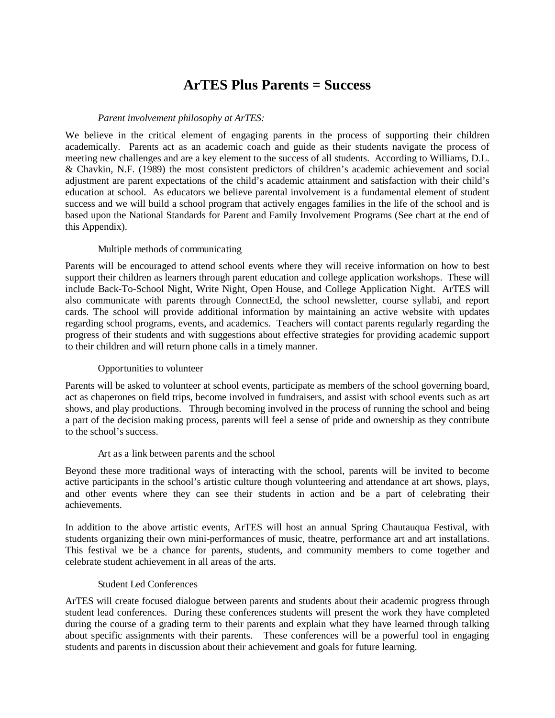## **ArTES Plus Parents = Success**

#### *Parent involvement philosophy at ArTES:*

We believe in the critical element of engaging parents in the process of supporting their children academically. Parents act as an academic coach and guide as their students navigate the process of meeting new challenges and are a key element to the success of all students. According to Williams, D.L. & Chavkin, N.F. (1989) the most consistent predictors of children's academic achievement and social adjustment are parent expectations of the child's academic attainment and satisfaction with their child's education at school. As educators we believe parental involvement is a fundamental element of student success and we will build a school program that actively engages families in the life of the school and is based upon the National Standards for Parent and Family Involvement Programs (See chart at the end of this Appendix).

#### Multiple methods of communicating

Parents will be encouraged to attend school events where they will receive information on how to best support their children as learners through parent education and college application workshops. These will include Back-To-School Night, Write Night, Open House, and College Application Night. ArTES will also communicate with parents through ConnectEd, the school newsletter, course syllabi, and report cards. The school will provide additional information by maintaining an active website with updates regarding school programs, events, and academics. Teachers will contact parents regularly regarding the progress of their students and with suggestions about effective strategies for providing academic support to their children and will return phone calls in a timely manner.

#### Opportunities to volunteer

Parents will be asked to volunteer at school events, participate as members of the school governing board, act as chaperones on field trips, become involved in fundraisers, and assist with school events such as art shows, and play productions. Through becoming involved in the process of running the school and being a part of the decision making process, parents will feel a sense of pride and ownership as they contribute to the school's success.

#### Art as a link between parents and the school

Beyond these more traditional ways of interacting with the school, parents will be invited to become active participants in the school's artistic culture though volunteering and attendance at art shows, plays, and other events where they can see their students in action and be a part of celebrating their achievements.

In addition to the above artistic events, ArTES will host an annual Spring Chautauqua Festival, with students organizing their own mini-performances of music, theatre, performance art and art installations. This festival we be a chance for parents, students, and community members to come together and celebrate student achievement in all areas of the arts.

#### Student Led Conferences

ArTES will create focused dialogue between parents and students about their academic progress through student lead conferences. During these conferences students will present the work they have completed during the course of a grading term to their parents and explain what they have learned through talking about specific assignments with their parents. These conferences will be a powerful tool in engaging students and parents in discussion about their achievement and goals for future learning.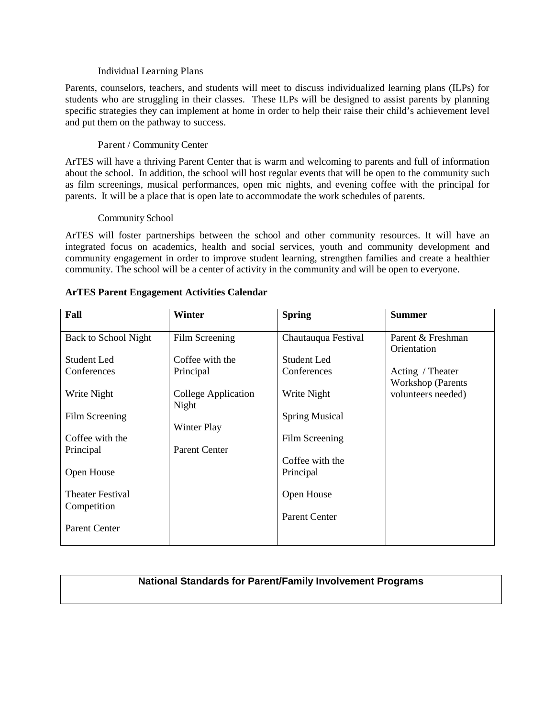#### Individual Learning Plans

Parents, counselors, teachers, and students will meet to discuss individualized learning plans (ILPs) for students who are struggling in their classes. These ILPs will be designed to assist parents by planning specific strategies they can implement at home in order to help their raise their child's achievement level and put them on the pathway to success.

#### Parent / Community Center

ArTES will have a thriving Parent Center that is warm and welcoming to parents and full of information about the school. In addition, the school will host regular events that will be open to the community such as film screenings, musical performances, open mic nights, and evening coffee with the principal for parents. It will be a place that is open late to accommodate the work schedules of parents.

#### Community School

ArTES will foster partnerships between the school and other community resources. It will have an integrated focus on academics, health and social services, youth and community development and community engagement in order to improve student learning, strengthen families and create a healthier community. The school will be a center of activity in the community and will be open to everyone.

| Fall                                   | Winter                       | <b>Spring</b>         | <b>Summer</b>                                  |
|----------------------------------------|------------------------------|-----------------------|------------------------------------------------|
| <b>Back to School Night</b>            | Film Screening               | Chautauqua Festival   | Parent & Freshman<br>Orientation               |
| Student Led                            | Coffee with the              | Student Led           |                                                |
| Conferences                            | Principal                    | Conferences           | Acting / Theater                               |
| Write Night                            | College Application<br>Night | Write Night           | <b>Workshop</b> (Parents<br>volunteers needed) |
| Film Screening                         |                              | <b>Spring Musical</b> |                                                |
|                                        | Winter Play                  |                       |                                                |
| Coffee with the                        |                              | Film Screening        |                                                |
| Principal                              | <b>Parent Center</b>         |                       |                                                |
|                                        |                              | Coffee with the       |                                                |
| Open House                             |                              | Principal             |                                                |
| <b>Theater Festival</b><br>Competition |                              | Open House            |                                                |
|                                        |                              | <b>Parent Center</b>  |                                                |
| <b>Parent Center</b>                   |                              |                       |                                                |

#### **ArTES Parent Engagement Activities Calendar**

## **National Standards for Parent/Family Involvement Programs**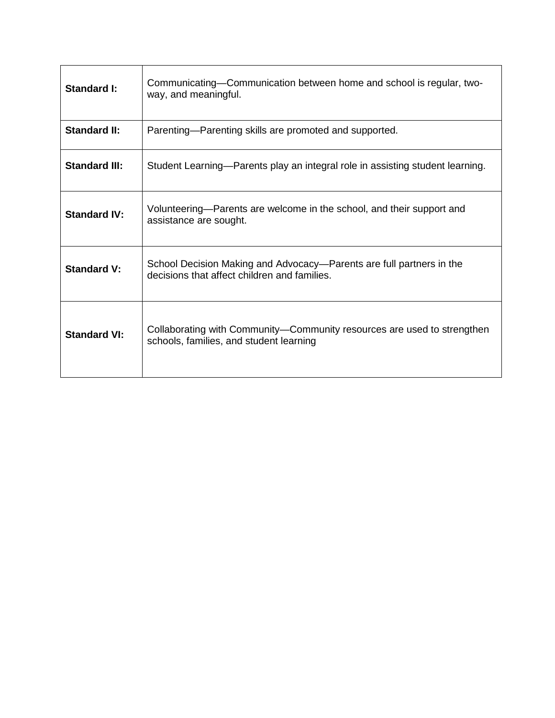| Standard I:          | Communicating—Communication between home and school is regular, two-<br>way, and meaningful.                         |
|----------------------|----------------------------------------------------------------------------------------------------------------------|
| <b>Standard II:</b>  | Parenting-Parenting skills are promoted and supported.                                                               |
| <b>Standard III:</b> | Student Learning—Parents play an integral role in assisting student learning.                                        |
| <b>Standard IV:</b>  | Volunteering—Parents are welcome in the school, and their support and<br>assistance are sought.                      |
| <b>Standard V:</b>   | School Decision Making and Advocacy—Parents are full partners in the<br>decisions that affect children and families. |
| <b>Standard VI:</b>  | Collaborating with Community-Community resources are used to strengthen<br>schools, families, and student learning   |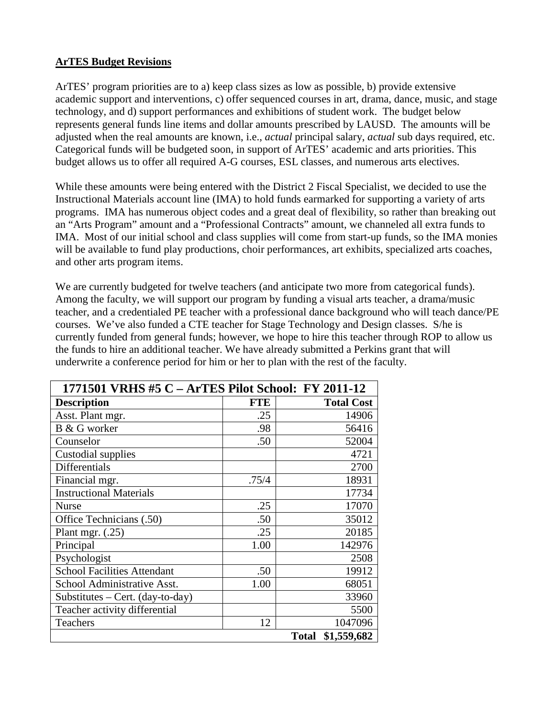## **ArTES Budget Revisions**

ArTES' program priorities are to a) keep class sizes as low as possible, b) provide extensive academic support and interventions, c) offer sequenced courses in art, drama, dance, music, and stage technology, and d) support performances and exhibitions of student work. The budget below represents general funds line items and dollar amounts prescribed by LAUSD. The amounts will be adjusted when the real amounts are known, i.e., *actual* principal salary, *actual* sub days required, etc. Categorical funds will be budgeted soon, in support of ArTES' academic and arts priorities. This budget allows us to offer all required A-G courses, ESL classes, and numerous arts electives.

While these amounts were being entered with the District 2 Fiscal Specialist, we decided to use the Instructional Materials account line (IMA) to hold funds earmarked for supporting a variety of arts programs. IMA has numerous object codes and a great deal of flexibility, so rather than breaking out an "Arts Program" amount and a "Professional Contracts" amount, we channeled all extra funds to IMA. Most of our initial school and class supplies will come from start-up funds, so the IMA monies will be available to fund play productions, choir performances, art exhibits, specialized arts coaches, and other arts program items.

We are currently budgeted for twelve teachers (and anticipate two more from categorical funds). Among the faculty, we will support our program by funding a visual arts teacher, a drama/music teacher, and a credentialed PE teacher with a professional dance background who will teach dance/PE courses. We've also funded a CTE teacher for Stage Technology and Design classes. S/he is currently funded from general funds; however, we hope to hire this teacher through ROP to allow us the funds to hire an additional teacher. We have already submitted a Perkins grant that will underwrite a conference period for him or her to plan with the rest of the faculty.

| 1771501 VRHS #5 C - ArTES Pilot School: FY 2011-12 |            |                             |  |  |  |  |
|----------------------------------------------------|------------|-----------------------------|--|--|--|--|
| <b>Description</b>                                 | <b>FTE</b> | <b>Total Cost</b>           |  |  |  |  |
| Asst. Plant mgr.                                   | .25        | 14906                       |  |  |  |  |
| B & G worker                                       | .98        | 56416                       |  |  |  |  |
| Counselor                                          | .50        | 52004                       |  |  |  |  |
| Custodial supplies                                 |            | 4721                        |  |  |  |  |
| Differentials                                      |            | 2700                        |  |  |  |  |
| Financial mgr.                                     | .75/4      | 18931                       |  |  |  |  |
| <b>Instructional Materials</b>                     |            | 17734                       |  |  |  |  |
| <b>Nurse</b>                                       | .25        | 17070                       |  |  |  |  |
| Office Technicians (.50)                           | .50        | 35012                       |  |  |  |  |
| Plant mgr. $(.25)$                                 | .25        | 20185                       |  |  |  |  |
| Principal                                          | 1.00       | 142976                      |  |  |  |  |
| Psychologist                                       |            | 2508                        |  |  |  |  |
| <b>School Facilities Attendant</b>                 | .50        | 19912                       |  |  |  |  |
| School Administrative Asst.                        | 1.00       | 68051                       |  |  |  |  |
| Substitutes – Cert. (day-to-day)                   |            | 33960                       |  |  |  |  |
| Teacher activity differential                      |            | 5500                        |  |  |  |  |
| Teachers                                           | 12         | 1047096                     |  |  |  |  |
|                                                    |            | \$1,559,682<br><b>Total</b> |  |  |  |  |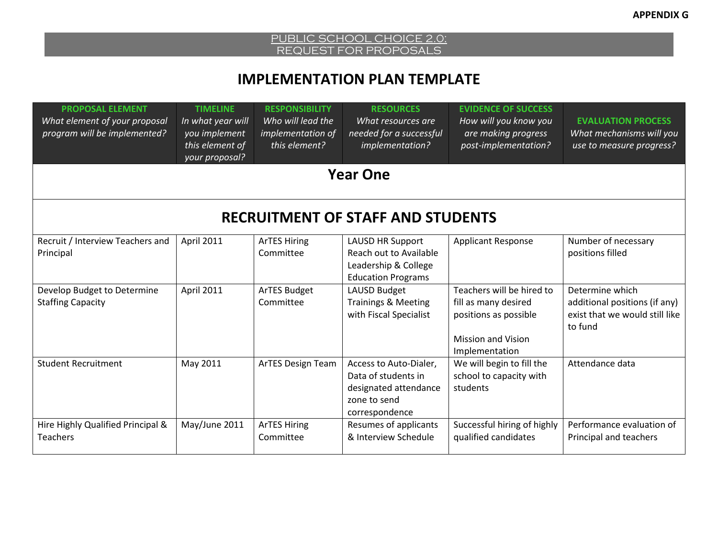# **IMPLEMENTATION PLAN TEMPLATE**

| <b>PROPOSAL ELEMENT</b><br>What element of your proposal<br>program will be implemented? | <b>TIMELINE</b><br>In what year will<br>you implement<br>this element of<br>your proposal? | <b>RESPONSIBILITY</b><br>Who will lead the<br>implementation of<br>this element? | <b>RESOURCES</b><br>What resources are<br>needed for a successful<br>implementation?                     | <b>EVIDENCE OF SUCCESS</b><br>How will you know you<br>are making progress<br>post-implementation?                        | <b>EVALUATION PROCESS</b><br>What mechanisms will you<br>use to measure progress?             |
|------------------------------------------------------------------------------------------|--------------------------------------------------------------------------------------------|----------------------------------------------------------------------------------|----------------------------------------------------------------------------------------------------------|---------------------------------------------------------------------------------------------------------------------------|-----------------------------------------------------------------------------------------------|
|                                                                                          |                                                                                            |                                                                                  | <b>Year One</b>                                                                                          |                                                                                                                           |                                                                                               |
|                                                                                          |                                                                                            |                                                                                  | <b>RECRUITMENT OF STAFF AND STUDENTS</b>                                                                 |                                                                                                                           |                                                                                               |
| Recruit / Interview Teachers and<br>Principal                                            | April 2011                                                                                 | <b>ArTES Hiring</b><br>Committee                                                 | <b>LAUSD HR Support</b><br>Reach out to Available<br>Leadership & College<br><b>Education Programs</b>   | <b>Applicant Response</b>                                                                                                 | Number of necessary<br>positions filled                                                       |
| Develop Budget to Determine<br><b>Staffing Capacity</b>                                  | April 2011                                                                                 | <b>ArTES Budget</b><br>Committee                                                 | <b>LAUSD Budget</b><br><b>Trainings &amp; Meeting</b><br>with Fiscal Specialist                          | Teachers will be hired to<br>fill as many desired<br>positions as possible<br><b>Mission and Vision</b><br>Implementation | Determine which<br>additional positions (if any)<br>exist that we would still like<br>to fund |
| <b>Student Recruitment</b>                                                               | May 2011                                                                                   | <b>ArTES Design Team</b>                                                         | Access to Auto-Dialer,<br>Data of students in<br>designated attendance<br>zone to send<br>correspondence | We will begin to fill the<br>school to capacity with<br>students                                                          | Attendance data                                                                               |
| Hire Highly Qualified Principal &<br><b>Teachers</b>                                     | May/June 2011                                                                              | <b>ArTES Hiring</b><br>Committee                                                 | Resumes of applicants<br>& Interview Schedule                                                            | Successful hiring of highly<br>qualified candidates                                                                       | Performance evaluation of<br>Principal and teachers                                           |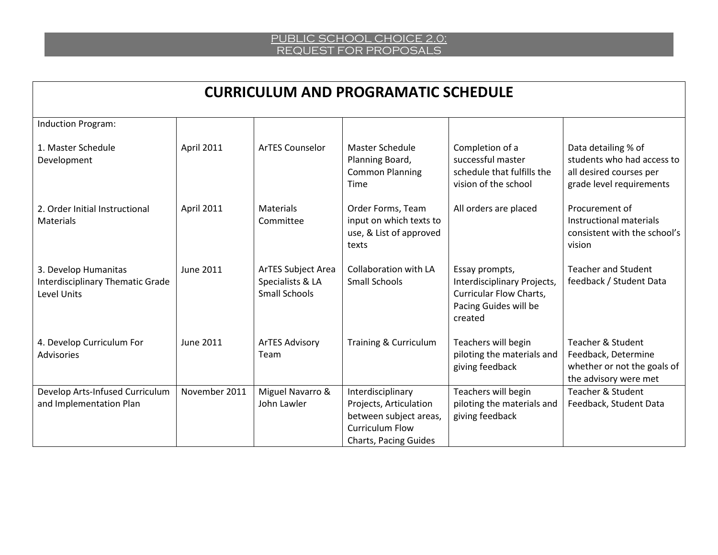| <b>CURRICULUM AND PROGRAMATIC SCHEDULE</b>                                     |                   |                                                                       |                                                                                                                                 |                                                                                                                     |                                                                                                             |  |
|--------------------------------------------------------------------------------|-------------------|-----------------------------------------------------------------------|---------------------------------------------------------------------------------------------------------------------------------|---------------------------------------------------------------------------------------------------------------------|-------------------------------------------------------------------------------------------------------------|--|
| Induction Program:                                                             |                   |                                                                       |                                                                                                                                 |                                                                                                                     |                                                                                                             |  |
| 1. Master Schedule<br>Development                                              | <b>April 2011</b> | <b>ArTES Counselor</b>                                                | <b>Master Schedule</b><br>Planning Board,<br><b>Common Planning</b><br>Time                                                     | Completion of a<br>successful master<br>schedule that fulfills the<br>vision of the school                          | Data detailing % of<br>students who had access to<br>all desired courses per<br>grade level requirements    |  |
| 2. Order Initial Instructional<br>Materials                                    | <b>April 2011</b> | <b>Materials</b><br>Committee                                         | Order Forms, Team<br>input on which texts to<br>use, & List of approved<br>texts                                                | All orders are placed                                                                                               | Procurement of<br>Instructional materials<br>consistent with the school's<br>vision                         |  |
| 3. Develop Humanitas<br><b>Interdisciplinary Thematic Grade</b><br>Level Units | <b>June 2011</b>  | <b>ArTES Subject Area</b><br>Specialists & LA<br><b>Small Schools</b> | Collaboration with LA<br><b>Small Schools</b>                                                                                   | Essay prompts,<br>Interdisciplinary Projects,<br><b>Curricular Flow Charts,</b><br>Pacing Guides will be<br>created | <b>Teacher and Student</b><br>feedback / Student Data                                                       |  |
| 4. Develop Curriculum For<br><b>Advisories</b>                                 | <b>June 2011</b>  | <b>ArTES Advisory</b><br>Team                                         | Training & Curriculum                                                                                                           | Teachers will begin<br>piloting the materials and<br>giving feedback                                                | <b>Teacher &amp; Student</b><br>Feedback, Determine<br>whether or not the goals of<br>the advisory were met |  |
| Develop Arts-Infused Curriculum<br>and Implementation Plan                     | November 2011     | Miguel Navarro &<br>John Lawler                                       | Interdisciplinary<br>Projects, Articulation<br>between subject areas,<br><b>Curriculum Flow</b><br><b>Charts, Pacing Guides</b> | Teachers will begin<br>piloting the materials and<br>giving feedback                                                | <b>Teacher &amp; Student</b><br>Feedback, Student Data                                                      |  |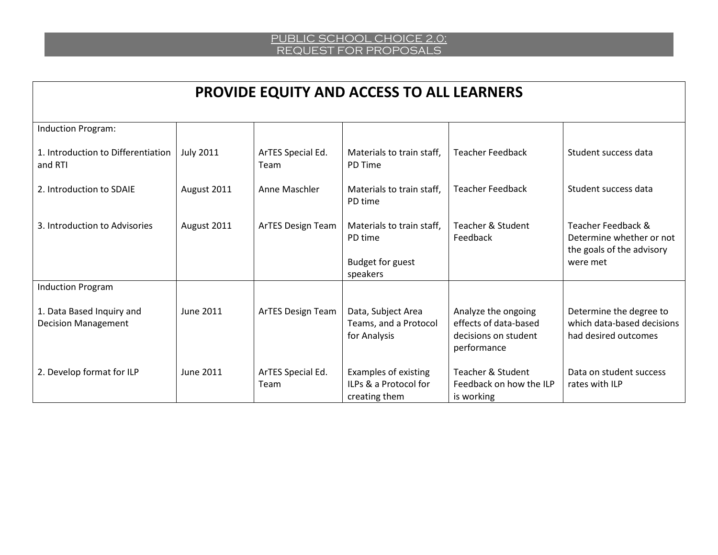| <b>PROVIDE EQUITY AND ACCESS TO ALL LEARNERS</b>        |                  |                           |                                                                             |                                                                                     |                                                                                         |  |
|---------------------------------------------------------|------------------|---------------------------|-----------------------------------------------------------------------------|-------------------------------------------------------------------------------------|-----------------------------------------------------------------------------------------|--|
| Induction Program:                                      |                  |                           |                                                                             |                                                                                     |                                                                                         |  |
| 1. Introduction to Differentiation<br>and RTI           | <b>July 2011</b> | ArTES Special Ed.<br>Team | Materials to train staff,<br>PD Time                                        | <b>Teacher Feedback</b>                                                             | Student success data                                                                    |  |
| 2. Introduction to SDAIE                                | August 2011      | Anne Maschler             | Materials to train staff,<br>PD time                                        | <b>Teacher Feedback</b>                                                             | Student success data                                                                    |  |
| 3. Introduction to Advisories                           | August 2011      | ArTES Design Team         | Materials to train staff.<br>PD time<br><b>Budget for guest</b><br>speakers | <b>Teacher &amp; Student</b><br>Feedback                                            | Teacher Feedback &<br>Determine whether or not<br>the goals of the advisory<br>were met |  |
| <b>Induction Program</b>                                |                  |                           |                                                                             |                                                                                     |                                                                                         |  |
| 1. Data Based Inquiry and<br><b>Decision Management</b> | June 2011        | <b>ArTES Design Team</b>  | Data, Subject Area<br>Teams, and a Protocol<br>for Analysis                 | Analyze the ongoing<br>effects of data-based<br>decisions on student<br>performance | Determine the degree to<br>which data-based decisions<br>had desired outcomes           |  |
| 2. Develop format for ILP                               | June 2011        | ArTES Special Ed.<br>Team | Examples of existing<br>ILPs & a Protocol for<br>creating them              | <b>Teacher &amp; Student</b><br>Feedback on how the ILP<br>is working               | Data on student success<br>rates with ILP                                               |  |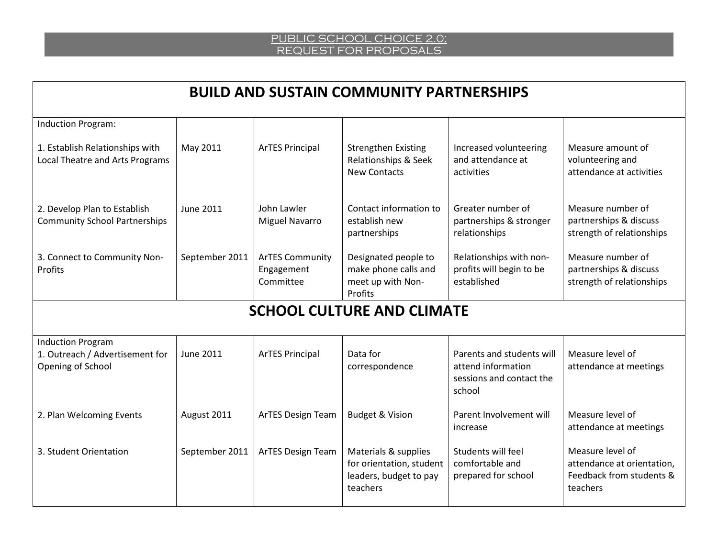| <b>BUILD AND SUSTAIN COMMUNITY PARTNERSHIPS</b>                                  |                  |                                                   |                                                                                        |                                                                                       |                                                                                        |  |
|----------------------------------------------------------------------------------|------------------|---------------------------------------------------|----------------------------------------------------------------------------------------|---------------------------------------------------------------------------------------|----------------------------------------------------------------------------------------|--|
| <b>Induction Program:</b>                                                        |                  |                                                   |                                                                                        |                                                                                       |                                                                                        |  |
| 1. Establish Relationships with<br>Local Theatre and Arts Programs               | May 2011         | <b>ArTES Principal</b>                            | <b>Strengthen Existing</b><br>Relationships & Seek<br><b>New Contacts</b>              | Increased volunteering<br>and attendance at<br>activities                             | Measure amount of<br>volunteering and<br>attendance at activities                      |  |
| 2. Develop Plan to Establish<br><b>Community School Partnerships</b>             | <b>June 2011</b> | John Lawler<br><b>Miguel Navarro</b>              | Contact information to<br>establish new<br>partnerships                                | Greater number of<br>partnerships & stronger<br>relationships                         | Measure number of<br>partnerships & discuss<br>strength of relationships               |  |
| 3. Connect to Community Non-<br>Profits                                          | September 2011   | <b>ArTES Community</b><br>Engagement<br>Committee | Designated people to<br>make phone calls and<br>meet up with Non-<br>Profits           | Relationships with non-<br>profits will begin to be<br>established                    | Measure number of<br>partnerships & discuss<br>strength of relationships               |  |
|                                                                                  |                  |                                                   | <b>SCHOOL CULTURE AND CLIMATE</b>                                                      |                                                                                       |                                                                                        |  |
| <b>Induction Program</b><br>1. Outreach / Advertisement for<br>Opening of School | June 2011        | <b>ArTES Principal</b>                            | Data for<br>correspondence                                                             | Parents and students will<br>attend information<br>sessions and contact the<br>school | Measure level of<br>attendance at meetings                                             |  |
| 2. Plan Welcoming Events                                                         | August 2011      | ArTES Design Team                                 | <b>Budget &amp; Vision</b>                                                             | Parent Involvement will<br>increase                                                   | Measure level of<br>attendance at meetings                                             |  |
| 3. Student Orientation                                                           | September 2011   | <b>ArTES Design Team</b>                          | Materials & supplies<br>for orientation, student<br>leaders, budget to pay<br>teachers | Students will feel<br>comfortable and<br>prepared for school                          | Measure level of<br>attendance at orientation,<br>Feedback from students &<br>teachers |  |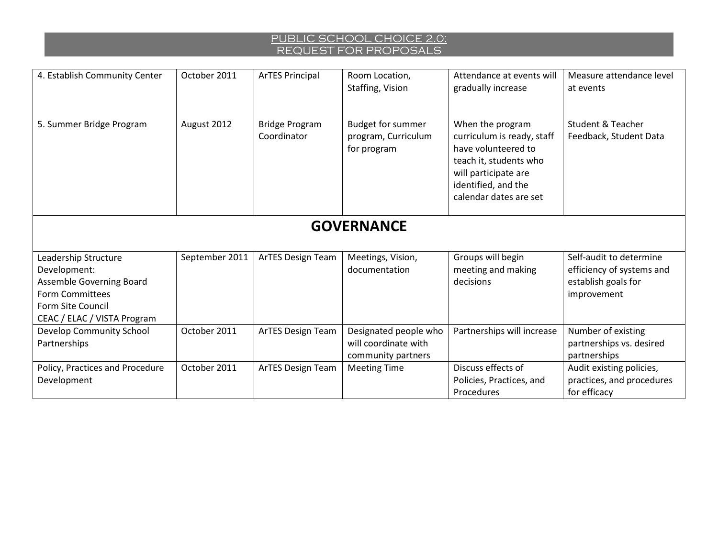| 4. Establish Community Center                                                                                                                  | October 2011   | <b>ArTES Principal</b>               | Room Location,<br>Staffing, Vision                                  | Attendance at events will<br>gradually increase                                                                                                                          | Measure attendance level<br>at events                                                      |  |
|------------------------------------------------------------------------------------------------------------------------------------------------|----------------|--------------------------------------|---------------------------------------------------------------------|--------------------------------------------------------------------------------------------------------------------------------------------------------------------------|--------------------------------------------------------------------------------------------|--|
| 5. Summer Bridge Program                                                                                                                       | August 2012    | <b>Bridge Program</b><br>Coordinator | <b>Budget for summer</b><br>program, Curriculum<br>for program      | When the program<br>curriculum is ready, staff<br>have volunteered to<br>teach it, students who<br>will participate are<br>identified, and the<br>calendar dates are set | <b>Student &amp; Teacher</b><br>Feedback, Student Data                                     |  |
| <b>GOVERNANCE</b>                                                                                                                              |                |                                      |                                                                     |                                                                                                                                                                          |                                                                                            |  |
| Leadership Structure<br>Development:<br>Assemble Governing Board<br><b>Form Committees</b><br>Form Site Council<br>CEAC / ELAC / VISTA Program | September 2011 | ArTES Design Team                    | Meetings, Vision,<br>documentation                                  | Groups will begin<br>meeting and making<br>decisions                                                                                                                     | Self-audit to determine<br>efficiency of systems and<br>establish goals for<br>improvement |  |
| Develop Community School<br>Partnerships                                                                                                       | October 2011   | ArTES Design Team                    | Designated people who<br>will coordinate with<br>community partners | Partnerships will increase                                                                                                                                               | Number of existing<br>partnerships vs. desired<br>partnerships                             |  |
| Policy, Practices and Procedure<br>Development                                                                                                 | October 2011   | ArTES Design Team                    | <b>Meeting Time</b>                                                 | Discuss effects of<br>Policies, Practices, and<br>Procedures                                                                                                             | Audit existing policies,<br>practices, and procedures<br>for efficacy                      |  |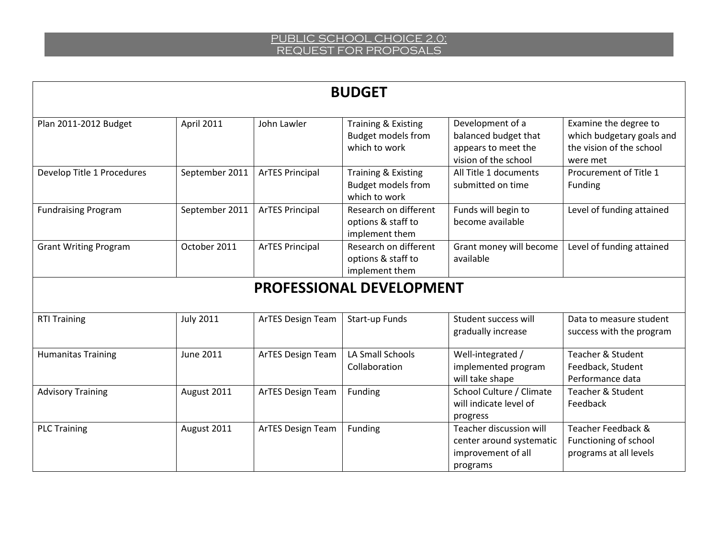| <b>BUDGET</b>                |                  |                          |                                                                   |                                                                                         |                                                                                            |  |
|------------------------------|------------------|--------------------------|-------------------------------------------------------------------|-----------------------------------------------------------------------------------------|--------------------------------------------------------------------------------------------|--|
| Plan 2011-2012 Budget        | April 2011       | John Lawler              | Training & Existing<br><b>Budget models from</b><br>which to work | Development of a<br>balanced budget that<br>appears to meet the<br>vision of the school | Examine the degree to<br>which budgetary goals and<br>the vision of the school<br>were met |  |
| Develop Title 1 Procedures   | September 2011   | <b>ArTES Principal</b>   | Training & Existing<br><b>Budget models from</b><br>which to work | All Title 1 documents<br>submitted on time                                              | Procurement of Title 1<br>Funding                                                          |  |
| <b>Fundraising Program</b>   | September 2011   | <b>ArTES Principal</b>   | Research on different<br>options & staff to<br>implement them     | Funds will begin to<br>become available                                                 | Level of funding attained                                                                  |  |
| <b>Grant Writing Program</b> | October 2011     | <b>ArTES Principal</b>   | Research on different<br>options & staff to<br>implement them     | Grant money will become<br>available                                                    | Level of funding attained                                                                  |  |
|                              |                  |                          | <b>PROFESSIONAL DEVELOPMENT</b>                                   |                                                                                         |                                                                                            |  |
| <b>RTI Training</b>          | <b>July 2011</b> | <b>ArTES Design Team</b> | Start-up Funds                                                    | Student success will<br>gradually increase                                              | Data to measure student<br>success with the program                                        |  |
| <b>Humanitas Training</b>    | <b>June 2011</b> | <b>ArTES Design Team</b> | <b>LA Small Schools</b><br>Collaboration                          | Well-integrated /<br>implemented program<br>will take shape                             | Teacher & Student<br>Feedback, Student<br>Performance data                                 |  |
| <b>Advisory Training</b>     | August 2011      | <b>ArTES Design Team</b> | Funding                                                           | School Culture / Climate<br>will indicate level of<br>progress                          | <b>Teacher &amp; Student</b><br>Feedback                                                   |  |
| <b>PLC Training</b>          | August 2011      | <b>ArTES Design Team</b> | Funding                                                           | Teacher discussion will<br>center around systematic<br>improvement of all<br>programs   | Teacher Feedback &<br>Functioning of school<br>programs at all levels                      |  |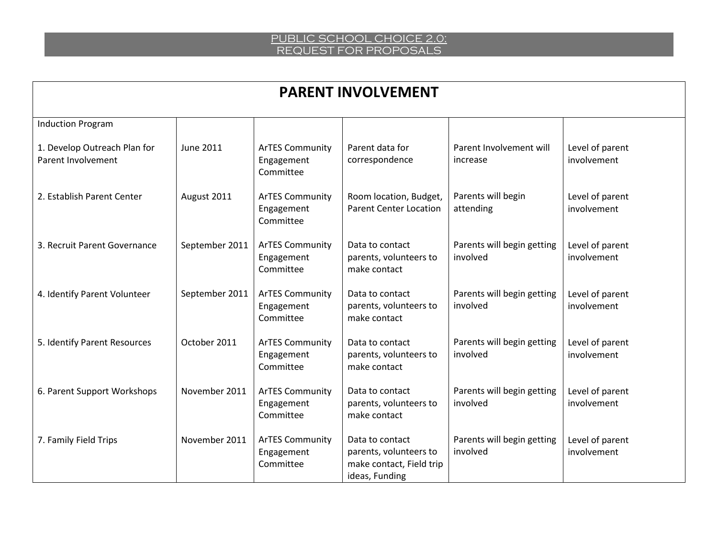| <b>PARENT INVOLVEMENT</b>                          |                |                                                   |                                                                                         |                                        |                                |  |
|----------------------------------------------------|----------------|---------------------------------------------------|-----------------------------------------------------------------------------------------|----------------------------------------|--------------------------------|--|
| <b>Induction Program</b>                           |                |                                                   |                                                                                         |                                        |                                |  |
| 1. Develop Outreach Plan for<br>Parent Involvement | June 2011      | <b>ArTES Community</b><br>Engagement<br>Committee | Parent data for<br>correspondence                                                       | Parent Involvement will<br>increase    | Level of parent<br>involvement |  |
| 2. Establish Parent Center                         | August 2011    | <b>ArTES Community</b><br>Engagement<br>Committee | Room location, Budget,<br><b>Parent Center Location</b>                                 | Parents will begin<br>attending        | Level of parent<br>involvement |  |
| 3. Recruit Parent Governance                       | September 2011 | <b>ArTES Community</b><br>Engagement<br>Committee | Data to contact<br>parents, volunteers to<br>make contact                               | Parents will begin getting<br>involved | Level of parent<br>involvement |  |
| 4. Identify Parent Volunteer                       | September 2011 | <b>ArTES Community</b><br>Engagement<br>Committee | Data to contact<br>parents, volunteers to<br>make contact                               | Parents will begin getting<br>involved | Level of parent<br>involvement |  |
| 5. Identify Parent Resources                       | October 2011   | <b>ArTES Community</b><br>Engagement<br>Committee | Data to contact<br>parents, volunteers to<br>make contact                               | Parents will begin getting<br>involved | Level of parent<br>involvement |  |
| 6. Parent Support Workshops                        | November 2011  | <b>ArTES Community</b><br>Engagement<br>Committee | Data to contact<br>parents, volunteers to<br>make contact                               | Parents will begin getting<br>involved | Level of parent<br>involvement |  |
| 7. Family Field Trips                              | November 2011  | <b>ArTES Community</b><br>Engagement<br>Committee | Data to contact<br>parents, volunteers to<br>make contact, Field trip<br>ideas, Funding | Parents will begin getting<br>involved | Level of parent<br>involvement |  |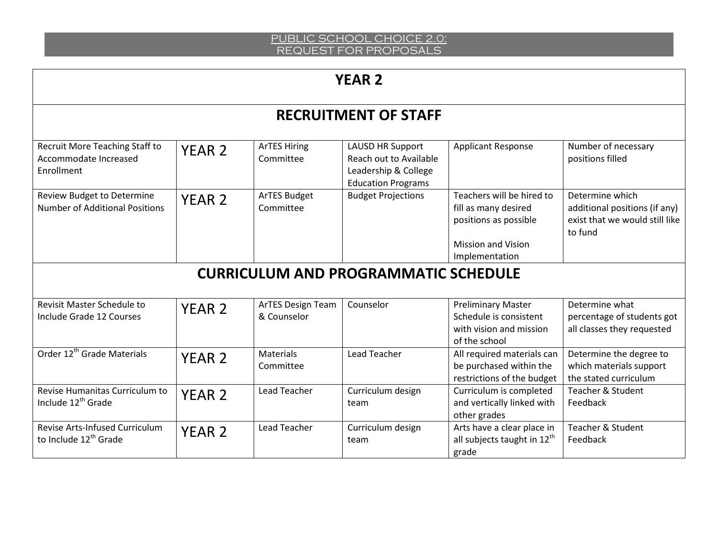# **YEAR 2**

|                                                                       |                   |                                  | <b>RECRUITMENT OF STAFF</b>                                                                            |                                                                                                                           |                                                                                               |
|-----------------------------------------------------------------------|-------------------|----------------------------------|--------------------------------------------------------------------------------------------------------|---------------------------------------------------------------------------------------------------------------------------|-----------------------------------------------------------------------------------------------|
| Recruit More Teaching Staff to<br>Accommodate Increased<br>Enrollment | <b>YEAR 2</b>     | <b>ArTES Hiring</b><br>Committee | <b>LAUSD HR Support</b><br>Reach out to Available<br>Leadership & College<br><b>Education Programs</b> | <b>Applicant Response</b>                                                                                                 | Number of necessary<br>positions filled                                                       |
| Review Budget to Determine<br><b>Number of Additional Positions</b>   | <b>YEAR 2</b>     | ArTES Budget<br>Committee        | <b>Budget Projections</b>                                                                              | Teachers will be hired to<br>fill as many desired<br>positions as possible<br><b>Mission and Vision</b><br>Implementation | Determine which<br>additional positions (if any)<br>exist that we would still like<br>to fund |
|                                                                       |                   |                                  | <b>CURRICULUM AND PROGRAMMATIC SCHEDULE</b>                                                            |                                                                                                                           |                                                                                               |
| <b>Revisit Master Schedule to</b><br>Include Grade 12 Courses         | YEAR <sub>2</sub> | ArTES Design Team<br>& Counselor | Counselor                                                                                              | <b>Preliminary Master</b><br>Schedule is consistent<br>with vision and mission<br>of the school                           | Determine what<br>percentage of students got<br>all classes they requested                    |
| Order 12 <sup>th</sup> Grade Materials                                | <b>YEAR 2</b>     | <b>Materials</b><br>Committee    | <b>Lead Teacher</b>                                                                                    | All required materials can<br>be purchased within the<br>restrictions of the budget                                       | Determine the degree to<br>which materials support<br>the stated curriculum                   |
| Revise Humanitas Curriculum to<br>Include 12 <sup>th</sup> Grade      | <b>YEAR 2</b>     | Lead Teacher                     | Curriculum design<br>team                                                                              | Curriculum is completed<br>and vertically linked with<br>other grades                                                     | <b>Teacher &amp; Student</b><br>Feedback                                                      |
| Revise Arts-Infused Curriculum<br>to Include 12 <sup>th</sup> Grade   | <b>YEAR 2</b>     | <b>Lead Teacher</b>              | Curriculum design<br>team                                                                              | Arts have a clear place in<br>all subjects taught in $12^{\text{th}}$<br>grade                                            | <b>Teacher &amp; Student</b><br>Feedback                                                      |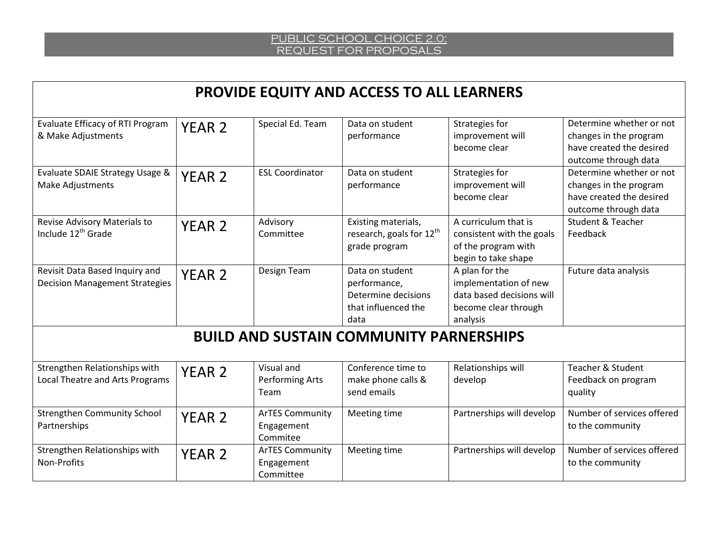|                                                                         |                   |                                                   | <b>PROVIDE EQUITY AND ACCESS TO ALL LEARNERS</b>                                      |                                                                                                          |                                                                                                        |  |  |
|-------------------------------------------------------------------------|-------------------|---------------------------------------------------|---------------------------------------------------------------------------------------|----------------------------------------------------------------------------------------------------------|--------------------------------------------------------------------------------------------------------|--|--|
| Evaluate Efficacy of RTI Program<br>& Make Adjustments                  | YEAR <sub>2</sub> | Special Ed. Team                                  | Data on student<br>performance                                                        | Strategies for<br>improvement will<br>become clear                                                       | Determine whether or not<br>changes in the program<br>have created the desired<br>outcome through data |  |  |
| Evaluate SDAIE Strategy Usage &<br><b>Make Adjustments</b>              | <b>YEAR 2</b>     | <b>ESL Coordinator</b>                            | Data on student<br>performance                                                        | Strategies for<br>improvement will<br>become clear                                                       | Determine whether or not<br>changes in the program<br>have created the desired<br>outcome through data |  |  |
| Revise Advisory Materials to<br>Include 12 <sup>th</sup> Grade          | YEAR <sub>2</sub> | Advisory<br>Committee                             | Existing materials,<br>research, goals for 12 <sup>th</sup><br>grade program          | A curriculum that is<br>consistent with the goals<br>of the program with<br>begin to take shape          | <b>Student &amp; Teacher</b><br>Feedback                                                               |  |  |
| Revisit Data Based Inquiry and<br><b>Decision Management Strategies</b> | <b>YEAR 2</b>     | Design Team                                       | Data on student<br>performance,<br>Determine decisions<br>that influenced the<br>data | A plan for the<br>implementation of new<br>data based decisions will<br>become clear through<br>analysis | Future data analysis                                                                                   |  |  |
| <b>BUILD AND SUSTAIN COMMUNITY PARNERSHIPS</b>                          |                   |                                                   |                                                                                       |                                                                                                          |                                                                                                        |  |  |
| Strengthen Relationships with<br>Local Theatre and Arts Programs        | YEAR <sub>2</sub> | Visual and<br><b>Performing Arts</b><br>Team      | Conference time to<br>make phone calls &<br>send emails                               | Relationships will<br>develop                                                                            | <b>Teacher &amp; Student</b><br>Feedback on program<br>quality                                         |  |  |
| <b>Strengthen Community School</b><br>Partnerships                      | YEAR <sub>2</sub> | <b>ArTES Community</b><br>Engagement<br>Commitee  | Meeting time                                                                          | Partnerships will develop                                                                                | Number of services offered<br>to the community                                                         |  |  |
| Strengthen Relationships with<br>Non-Profits                            | <b>YEAR 2</b>     | <b>ArTES Community</b><br>Engagement<br>Committee | Meeting time                                                                          | Partnerships will develop                                                                                | Number of services offered<br>to the community                                                         |  |  |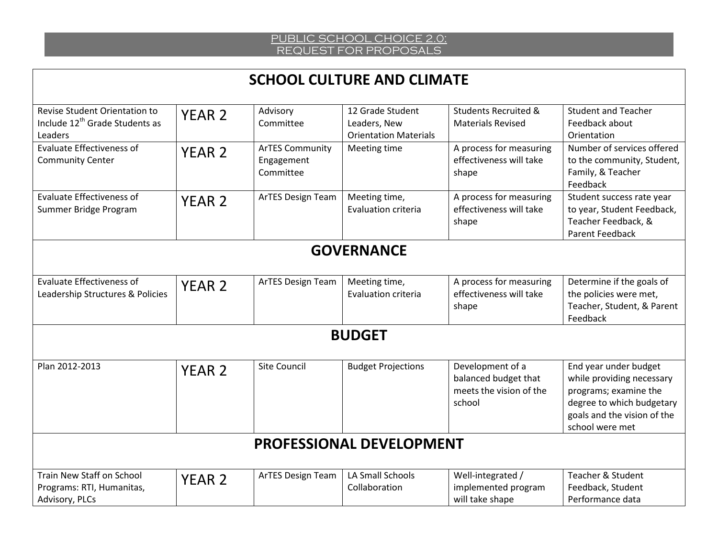# **SCHOOL CULTURE AND CLIMATE**

| Revise Student Orientation to              | YEAR <sub>2</sub>        | Advisory               | 12 Grade Student             | <b>Students Recruited &amp;</b> | <b>Student and Teacher</b>                        |  |  |
|--------------------------------------------|--------------------------|------------------------|------------------------------|---------------------------------|---------------------------------------------------|--|--|
| Include 12 <sup>th</sup> Grade Students as |                          | Committee              | Leaders, New                 | <b>Materials Revised</b>        | Feedback about                                    |  |  |
| Leaders                                    |                          |                        | <b>Orientation Materials</b> |                                 | Orientation                                       |  |  |
| <b>Evaluate Effectiveness of</b>           | <b>YEAR 2</b>            | <b>ArTES Community</b> | Meeting time                 | A process for measuring         | Number of services offered                        |  |  |
| <b>Community Center</b>                    |                          | Engagement             |                              | effectiveness will take         | to the community, Student,                        |  |  |
|                                            |                          | Committee              |                              | shape                           | Family, & Teacher                                 |  |  |
|                                            |                          |                        |                              |                                 | Feedback                                          |  |  |
| <b>Evaluate Effectiveness of</b>           | <b>YEAR 2</b>            | ArTES Design Team      | Meeting time,                | A process for measuring         | Student success rate year                         |  |  |
| Summer Bridge Program                      |                          |                        | Evaluation criteria          | effectiveness will take         | to year, Student Feedback,<br>Teacher Feedback, & |  |  |
|                                            |                          |                        |                              | shape                           | <b>Parent Feedback</b>                            |  |  |
|                                            |                          |                        |                              |                                 |                                                   |  |  |
|                                            |                          |                        | <b>GOVERNANCE</b>            |                                 |                                                   |  |  |
|                                            |                          |                        |                              |                                 |                                                   |  |  |
| <b>Evaluate Effectiveness of</b>           | <b>YEAR 2</b>            | ArTES Design Team      | Meeting time,                | A process for measuring         | Determine if the goals of                         |  |  |
| Leadership Structures & Policies           |                          |                        | <b>Evaluation criteria</b>   | effectiveness will take         | the policies were met,                            |  |  |
|                                            |                          |                        |                              | shape                           | Teacher, Student, & Parent                        |  |  |
|                                            |                          |                        |                              |                                 | Feedback                                          |  |  |
|                                            |                          |                        | <b>BUDGET</b>                |                                 |                                                   |  |  |
|                                            |                          |                        |                              |                                 |                                                   |  |  |
| Plan 2012-2013                             | <b>YEAR 2</b>            | <b>Site Council</b>    | <b>Budget Projections</b>    | Development of a                | End year under budget                             |  |  |
|                                            |                          |                        |                              | balanced budget that            | while providing necessary                         |  |  |
|                                            |                          |                        |                              | meets the vision of the         | programs; examine the                             |  |  |
|                                            |                          |                        |                              | school                          | degree to which budgetary                         |  |  |
|                                            |                          |                        |                              |                                 | goals and the vision of the                       |  |  |
|                                            |                          |                        |                              |                                 | school were met                                   |  |  |
|                                            | PROFESSIONAL DEVELOPMENT |                        |                              |                                 |                                                   |  |  |
|                                            |                          |                        |                              |                                 |                                                   |  |  |
| Train New Staff on School                  | <b>YEAR 2</b>            | ArTES Design Team      | LA Small Schools             | Well-integrated /               | Teacher & Student                                 |  |  |
| Programs: RTI, Humanitas,                  |                          |                        | Collaboration                | implemented program             | Feedback, Student                                 |  |  |
| Advisory, PLCs                             |                          |                        |                              | will take shape                 | Performance data                                  |  |  |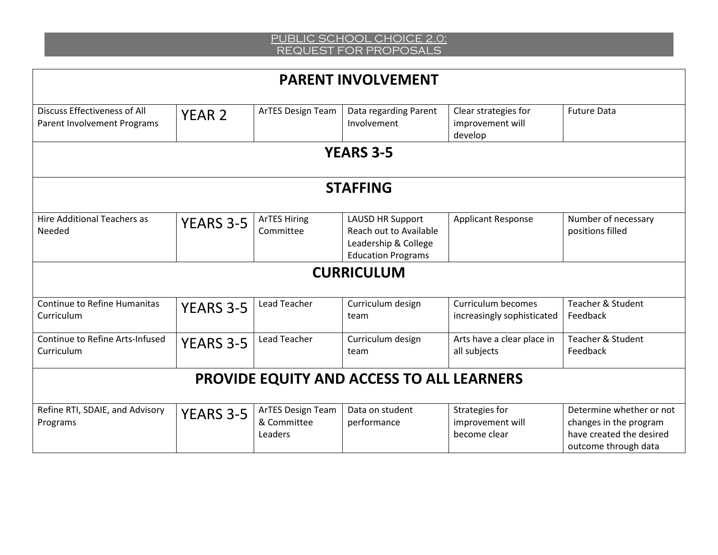| <b>PARENT INVOLVEMENT</b>                                   |                  |                                             |                                                                                                        |                                                     |                                                                                                        |  |  |
|-------------------------------------------------------------|------------------|---------------------------------------------|--------------------------------------------------------------------------------------------------------|-----------------------------------------------------|--------------------------------------------------------------------------------------------------------|--|--|
| Discuss Effectiveness of All<br>Parent Involvement Programs | <b>YEAR 2</b>    | <b>ArTES Design Team</b>                    | Data regarding Parent<br>Involvement                                                                   | Clear strategies for<br>improvement will<br>develop | <b>Future Data</b>                                                                                     |  |  |
|                                                             |                  |                                             | <b>YEARS 3-5</b>                                                                                       |                                                     |                                                                                                        |  |  |
|                                                             | <b>STAFFING</b>  |                                             |                                                                                                        |                                                     |                                                                                                        |  |  |
| <b>Hire Additional Teachers as</b><br>Needed                | <b>YEARS 3-5</b> | <b>ArTES Hiring</b><br>Committee            | <b>LAUSD HR Support</b><br>Reach out to Available<br>Leadership & College<br><b>Education Programs</b> | <b>Applicant Response</b>                           | Number of necessary<br>positions filled                                                                |  |  |
|                                                             |                  |                                             | <b>CURRICULUM</b>                                                                                      |                                                     |                                                                                                        |  |  |
| <b>Continue to Refine Humanitas</b><br>Curriculum           | <b>YEARS 3-5</b> | <b>Lead Teacher</b>                         | Curriculum design<br>team                                                                              | Curriculum becomes<br>increasingly sophisticated    | Teacher & Student<br>Feedback                                                                          |  |  |
| Continue to Refine Arts-Infused<br>Curriculum               | <b>YEARS 3-5</b> | <b>Lead Teacher</b>                         | Curriculum design<br>team                                                                              | Arts have a clear place in<br>all subjects          | <b>Teacher &amp; Student</b><br>Feedback                                                               |  |  |
| <b>PROVIDE EQUITY AND ACCESS TO ALL LEARNERS</b>            |                  |                                             |                                                                                                        |                                                     |                                                                                                        |  |  |
| Refine RTI, SDAIE, and Advisory<br>Programs                 | YEARS 3-5        | ArTES Design Team<br>& Committee<br>Leaders | Data on student<br>performance                                                                         | Strategies for<br>improvement will<br>become clear  | Determine whether or not<br>changes in the program<br>have created the desired<br>outcome through data |  |  |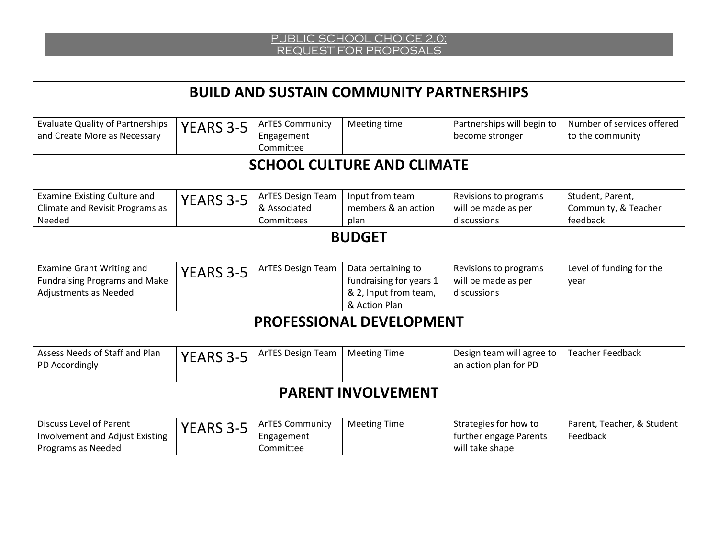| <b>BUILD AND SUSTAIN COMMUNITY PARTNERSHIPS</b>                                                   |                  |                                                   |                                                                                         |                                                                    |                                                      |
|---------------------------------------------------------------------------------------------------|------------------|---------------------------------------------------|-----------------------------------------------------------------------------------------|--------------------------------------------------------------------|------------------------------------------------------|
| <b>Evaluate Quality of Partnerships</b><br>and Create More as Necessary                           | YEARS 3-5        | <b>ArTES Community</b><br>Engagement<br>Committee | Meeting time                                                                            | Partnerships will begin to<br>become stronger                      | Number of services offered<br>to the community       |
|                                                                                                   |                  |                                                   | <b>SCHOOL CULTURE AND CLIMATE</b>                                                       |                                                                    |                                                      |
| <b>Examine Existing Culture and</b><br>Climate and Revisit Programs as<br>Needed                  | <b>YEARS 3-5</b> | ArTES Design Team<br>& Associated<br>Committees   | Input from team<br>members & an action<br>plan                                          | Revisions to programs<br>will be made as per<br>discussions        | Student, Parent,<br>Community, & Teacher<br>feedback |
| <b>BUDGET</b>                                                                                     |                  |                                                   |                                                                                         |                                                                    |                                                      |
| <b>Examine Grant Writing and</b><br><b>Fundraising Programs and Make</b><br>Adjustments as Needed | <b>YEARS 3-5</b> | ArTES Design Team                                 | Data pertaining to<br>fundraising for years 1<br>& 2, Input from team,<br>& Action Plan | Revisions to programs<br>will be made as per<br>discussions        | Level of funding for the<br>year                     |
| <b>PROFESSIONAL DEVELOPMENT</b>                                                                   |                  |                                                   |                                                                                         |                                                                    |                                                      |
| Assess Needs of Staff and Plan<br>PD Accordingly                                                  | <b>YEARS 3-5</b> | ArTES Design Team                                 | <b>Meeting Time</b>                                                                     | Design team will agree to<br>an action plan for PD                 | <b>Teacher Feedback</b>                              |
| <b>PARENT INVOLVEMENT</b>                                                                         |                  |                                                   |                                                                                         |                                                                    |                                                      |
| <b>Discuss Level of Parent</b><br><b>Involvement and Adjust Existing</b><br>Programs as Needed    | <b>YEARS 3-5</b> | <b>ArTES Community</b><br>Engagement<br>Committee | <b>Meeting Time</b>                                                                     | Strategies for how to<br>further engage Parents<br>will take shape | Parent, Teacher, & Student<br>Feedback               |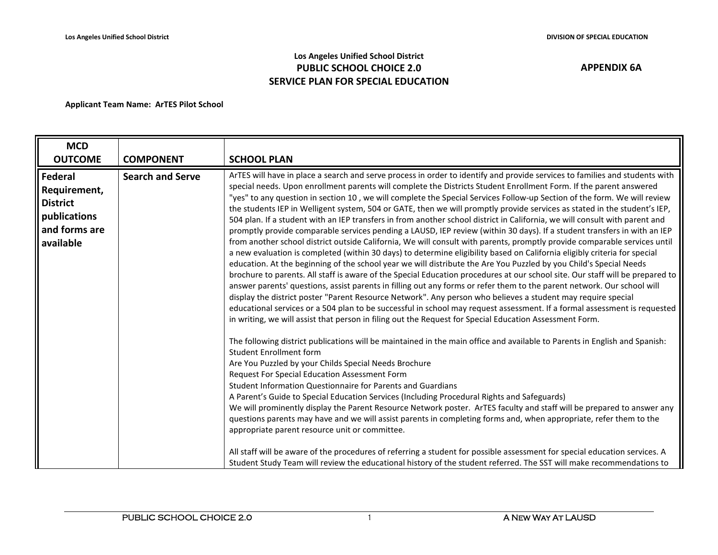## **Los Angeles Unified School District PUBLIC SCHOOL CHOICE 2.0 SERVICE PLAN FOR SPECIAL EDUCATION**

| <b>MCD</b>                                                                               |                         |                                                                                                                                                                                                                                                                                                                                                                                                                                                                                                                                                                                                                                                                                                                                                                                                                                                                                                                                                                                                                                                                                                                                                                                                                                                                                                                                                                                                                                                                                                                                                                                                                                                                                                                                                                                                                                                                                                                                                                                                                                                                                                                                                                                                                                                                                                                                                                                                                                                                                                                                                                                                                                                                                                                                                                           |
|------------------------------------------------------------------------------------------|-------------------------|---------------------------------------------------------------------------------------------------------------------------------------------------------------------------------------------------------------------------------------------------------------------------------------------------------------------------------------------------------------------------------------------------------------------------------------------------------------------------------------------------------------------------------------------------------------------------------------------------------------------------------------------------------------------------------------------------------------------------------------------------------------------------------------------------------------------------------------------------------------------------------------------------------------------------------------------------------------------------------------------------------------------------------------------------------------------------------------------------------------------------------------------------------------------------------------------------------------------------------------------------------------------------------------------------------------------------------------------------------------------------------------------------------------------------------------------------------------------------------------------------------------------------------------------------------------------------------------------------------------------------------------------------------------------------------------------------------------------------------------------------------------------------------------------------------------------------------------------------------------------------------------------------------------------------------------------------------------------------------------------------------------------------------------------------------------------------------------------------------------------------------------------------------------------------------------------------------------------------------------------------------------------------------------------------------------------------------------------------------------------------------------------------------------------------------------------------------------------------------------------------------------------------------------------------------------------------------------------------------------------------------------------------------------------------------------------------------------------------------------------------------------------------|
| <b>OUTCOME</b>                                                                           | <b>COMPONENT</b>        | <b>SCHOOL PLAN</b>                                                                                                                                                                                                                                                                                                                                                                                                                                                                                                                                                                                                                                                                                                                                                                                                                                                                                                                                                                                                                                                                                                                                                                                                                                                                                                                                                                                                                                                                                                                                                                                                                                                                                                                                                                                                                                                                                                                                                                                                                                                                                                                                                                                                                                                                                                                                                                                                                                                                                                                                                                                                                                                                                                                                                        |
| Federal<br>Requirement,<br><b>District</b><br>publications<br>and forms are<br>available | <b>Search and Serve</b> | ArTES will have in place a search and serve process in order to identify and provide services to families and students with<br>special needs. Upon enrollment parents will complete the Districts Student Enrollment Form. If the parent answered<br>"yes" to any question in section 10, we will complete the Special Services Follow-up Section of the form. We will review<br>the students IEP in Welligent system, 504 or GATE, then we will promptly provide services as stated in the student's IEP,<br>504 plan. If a student with an IEP transfers in from another school district in California, we will consult with parent and<br>promptly provide comparable services pending a LAUSD, IEP review (within 30 days). If a student transfers in with an IEP<br>from another school district outside California, We will consult with parents, promptly provide comparable services until<br>a new evaluation is completed (within 30 days) to determine eligibility based on California eligibly criteria for special<br>education. At the beginning of the school year we will distribute the Are You Puzzled by you Child's Special Needs<br>brochure to parents. All staff is aware of the Special Education procedures at our school site. Our staff will be prepared to<br>answer parents' questions, assist parents in filling out any forms or refer them to the parent network. Our school will<br>display the district poster "Parent Resource Network". Any person who believes a student may require special<br>educational services or a 504 plan to be successful in school may request assessment. If a formal assessment is requested<br>in writing, we will assist that person in filing out the Request for Special Education Assessment Form.<br>The following district publications will be maintained in the main office and available to Parents in English and Spanish:<br><b>Student Enrollment form</b><br>Are You Puzzled by your Childs Special Needs Brochure<br>Request For Special Education Assessment Form<br>Student Information Questionnaire for Parents and Guardians<br>A Parent's Guide to Special Education Services (Including Procedural Rights and Safeguards)<br>We will prominently display the Parent Resource Network poster. ArTES faculty and staff will be prepared to answer any<br>questions parents may have and we will assist parents in completing forms and, when appropriate, refer them to the<br>appropriate parent resource unit or committee.<br>All staff will be aware of the procedures of referring a student for possible assessment for special education services. A<br>Student Study Team will review the educational history of the student referred. The SST will make recommendations to |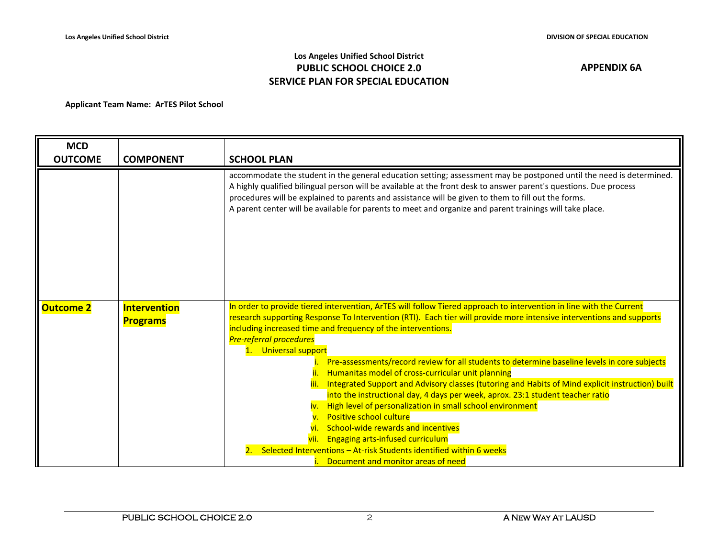## **Los Angeles Unified School District PUBLIC SCHOOL CHOICE 2.0 SERVICE PLAN FOR SPECIAL EDUCATION**

| <b>MCD</b>       |                                        |                                                                                                                                                                                                                                                                                                                                                                                                                                                                                                                                                                                                                                                                                                                                                                                                                                                                                                                                                                                                                 |
|------------------|----------------------------------------|-----------------------------------------------------------------------------------------------------------------------------------------------------------------------------------------------------------------------------------------------------------------------------------------------------------------------------------------------------------------------------------------------------------------------------------------------------------------------------------------------------------------------------------------------------------------------------------------------------------------------------------------------------------------------------------------------------------------------------------------------------------------------------------------------------------------------------------------------------------------------------------------------------------------------------------------------------------------------------------------------------------------|
| <b>OUTCOME</b>   | <b>COMPONENT</b>                       | <b>SCHOOL PLAN</b>                                                                                                                                                                                                                                                                                                                                                                                                                                                                                                                                                                                                                                                                                                                                                                                                                                                                                                                                                                                              |
|                  |                                        | accommodate the student in the general education setting; assessment may be postponed until the need is determined.<br>A highly qualified bilingual person will be available at the front desk to answer parent's questions. Due process<br>procedures will be explained to parents and assistance will be given to them to fill out the forms.<br>A parent center will be available for parents to meet and organize and parent trainings will take place.                                                                                                                                                                                                                                                                                                                                                                                                                                                                                                                                                     |
| <b>Outcome 2</b> | <b>Intervention</b><br><b>Programs</b> | In order to provide tiered intervention, ArTES will follow Tiered approach to intervention in line with the Current<br>research supporting Response To Intervention (RTI). Each tier will provide more intensive interventions and supports<br>including increased time and frequency of the interventions.<br><b>Pre-referral procedures</b><br>1. Universal support<br>Pre-assessments/record review for all students to determine baseline levels in core subjects<br>Humanitas model of cross-curricular unit planning<br>Integrated Support and Advisory classes (tutoring and Habits of Mind explicit instruction) built<br>into the instructional day, 4 days per week, aprox. 23:1 student teacher ratio<br>iv. High level of personalization in small school environment<br><b>Positive school culture</b><br>School-wide rewards and incentives<br>vii. Engaging arts-infused curriculum<br>Selected Interventions - At-risk Students identified within 6 weeks<br>Document and monitor areas of need |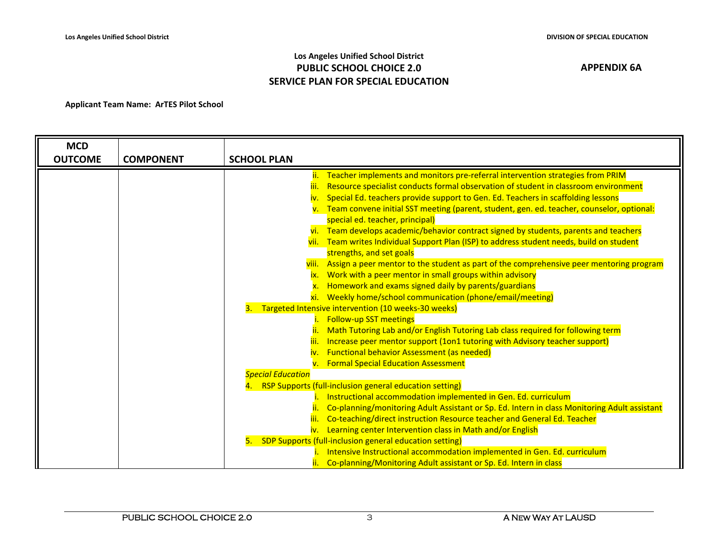## **Los Angeles Unified School District PUBLIC SCHOOL CHOICE 2.0 SERVICE PLAN FOR SPECIAL EDUCATION**

| <b>MCD</b>     |                  |                                                                                                                                                               |
|----------------|------------------|---------------------------------------------------------------------------------------------------------------------------------------------------------------|
| <b>OUTCOME</b> | <b>COMPONENT</b> | <b>SCHOOL PLAN</b>                                                                                                                                            |
|                |                  | ii. Teacher implements and monitors pre-referral intervention strategies from PRIM                                                                            |
|                |                  | Resource specialist conducts formal observation of student in classroom environment<br>iii.                                                                   |
|                |                  | Special Ed. teachers provide support to Gen. Ed. Teachers in scaffolding lessons<br>iv.                                                                       |
|                |                  | v. Team convene initial SST meeting (parent, student, gen. ed. teacher, counselor, optional:                                                                  |
|                |                  | special ed. teacher, principal)                                                                                                                               |
|                |                  | vi. Team develops academic/behavior contract signed by students, parents and teachers                                                                         |
|                |                  | vii. Team writes Individual Support Plan (ISP) to address student needs, build on student                                                                     |
|                |                  | strengths, and set goals                                                                                                                                      |
|                |                  | viii. Assign a peer mentor to the student as part of the comprehensive peer mentoring program                                                                 |
|                |                  | ix. Work with a peer mentor in small groups within advisory                                                                                                   |
|                |                  | Homework and exams signed daily by parents/guardians                                                                                                          |
|                |                  | xi. Weekly home/school communication (phone/email/meeting)                                                                                                    |
|                |                  | Targeted Intensive intervention (10 weeks-30 weeks)                                                                                                           |
|                |                  | <b>Follow-up SST meetings</b>                                                                                                                                 |
|                |                  | Math Tutoring Lab and/or English Tutoring Lab class required for following term<br>Increase peer mentor support (1on1 tutoring with Advisory teacher support) |
|                |                  | <b>Functional behavior Assessment (as needed)</b><br>iv.                                                                                                      |
|                |                  | v. Formal Special Education Assessment                                                                                                                        |
|                |                  | <b>Special Education</b>                                                                                                                                      |
|                |                  | 4. RSP Supports (full-inclusion general education setting)                                                                                                    |
|                |                  | Instructional accommodation implemented in Gen. Ed. curriculum                                                                                                |
|                |                  | Co-planning/monitoring Adult Assistant or Sp. Ed. Intern in class Monitoring Adult assistant                                                                  |
|                |                  | Co-teaching/direct instruction Resource teacher and General Ed. Teacher<br>iii.                                                                               |
|                |                  | iv. Learning center Intervention class in Math and/or English                                                                                                 |
|                |                  | SDP Supports (full-inclusion general education setting)<br>5.                                                                                                 |
|                |                  | Intensive Instructional accommodation implemented in Gen. Ed. curriculum                                                                                      |
|                |                  | Co-planning/Monitoring Adult assistant or Sp. Ed. Intern in class                                                                                             |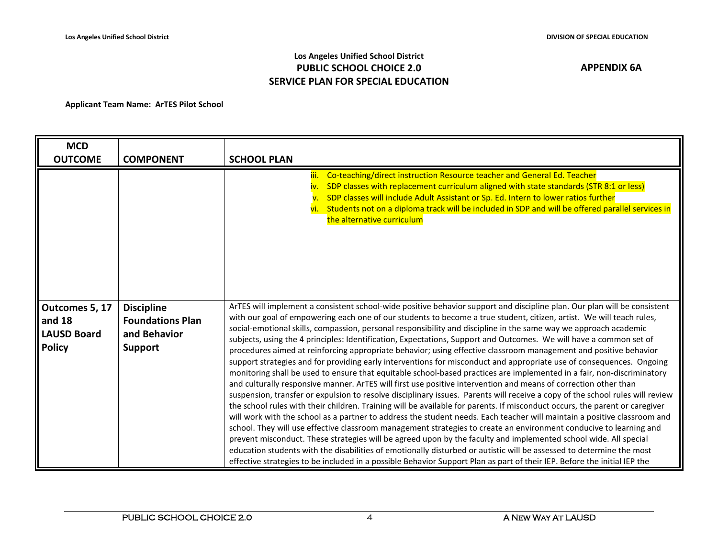## **Los Angeles Unified School District PUBLIC SCHOOL CHOICE 2.0 SERVICE PLAN FOR SPECIAL EDUCATION**

| <b>MCD</b>                                                        |                                                                                |                                                                                                                                                                                                                                                                                                                                                                                                                                                                                                                                                                                                                                                                                                                                                                                                                                                                                                                                                                                                                                                                                                                                                                                                                                                                                                                                                                                                                                                                                                                                                                                                                                                                                                                                                                                                                                                                               |
|-------------------------------------------------------------------|--------------------------------------------------------------------------------|-------------------------------------------------------------------------------------------------------------------------------------------------------------------------------------------------------------------------------------------------------------------------------------------------------------------------------------------------------------------------------------------------------------------------------------------------------------------------------------------------------------------------------------------------------------------------------------------------------------------------------------------------------------------------------------------------------------------------------------------------------------------------------------------------------------------------------------------------------------------------------------------------------------------------------------------------------------------------------------------------------------------------------------------------------------------------------------------------------------------------------------------------------------------------------------------------------------------------------------------------------------------------------------------------------------------------------------------------------------------------------------------------------------------------------------------------------------------------------------------------------------------------------------------------------------------------------------------------------------------------------------------------------------------------------------------------------------------------------------------------------------------------------------------------------------------------------------------------------------------------------|
| <b>OUTCOME</b>                                                    | <b>COMPONENT</b>                                                               | <b>SCHOOL PLAN</b>                                                                                                                                                                                                                                                                                                                                                                                                                                                                                                                                                                                                                                                                                                                                                                                                                                                                                                                                                                                                                                                                                                                                                                                                                                                                                                                                                                                                                                                                                                                                                                                                                                                                                                                                                                                                                                                            |
|                                                                   |                                                                                | Co-teaching/direct instruction Resource teacher and General Ed. Teacher<br>iii.<br>SDP classes with replacement curriculum aligned with state standards (STR 8:1 or less)<br>SDP classes will include Adult Assistant or Sp. Ed. Intern to lower ratios further<br>vi. Students not on a diploma track will be included in SDP and will be offered parallel services in<br>the alternative curriculum                                                                                                                                                                                                                                                                                                                                                                                                                                                                                                                                                                                                                                                                                                                                                                                                                                                                                                                                                                                                                                                                                                                                                                                                                                                                                                                                                                                                                                                                         |
| Outcomes 5, 17<br>and $18$<br><b>LAUSD Board</b><br><b>Policy</b> | <b>Discipline</b><br><b>Foundations Plan</b><br>and Behavior<br><b>Support</b> | ArTES will implement a consistent school-wide positive behavior support and discipline plan. Our plan will be consistent<br>with our goal of empowering each one of our students to become a true student, citizen, artist. We will teach rules,<br>social-emotional skills, compassion, personal responsibility and discipline in the same way we approach academic<br>subjects, using the 4 principles: Identification, Expectations, Support and Outcomes. We will have a common set of<br>procedures aimed at reinforcing appropriate behavior; using effective classroom management and positive behavior<br>support strategies and for providing early interventions for misconduct and appropriate use of consequences. Ongoing<br>monitoring shall be used to ensure that equitable school-based practices are implemented in a fair, non-discriminatory<br>and culturally responsive manner. ArTES will first use positive intervention and means of correction other than<br>suspension, transfer or expulsion to resolve disciplinary issues. Parents will receive a copy of the school rules will review<br>the school rules with their children. Training will be available for parents. If misconduct occurs, the parent or caregiver<br>will work with the school as a partner to address the student needs. Each teacher will maintain a positive classroom and<br>school. They will use effective classroom management strategies to create an environment conducive to learning and<br>prevent misconduct. These strategies will be agreed upon by the faculty and implemented school wide. All special<br>education students with the disabilities of emotionally disturbed or autistic will be assessed to determine the most<br>effective strategies to be included in a possible Behavior Support Plan as part of their IEP. Before the initial IEP the |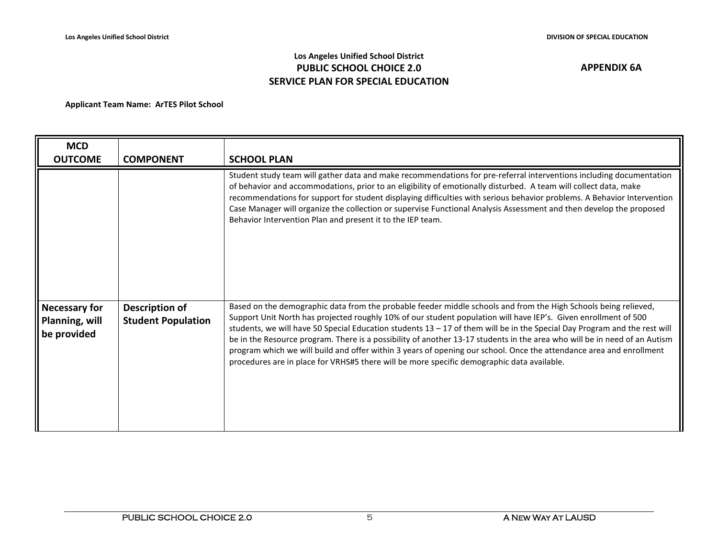## **Los Angeles Unified School District PUBLIC SCHOOL CHOICE 2.0 SERVICE PLAN FOR SPECIAL EDUCATION**

| <b>MCD</b><br><b>OUTCOME</b>                          | <b>COMPONENT</b>                            | <b>SCHOOL PLAN</b>                                                                                                                                                                                                                                                                                                                                                                                                                                                                                                                                                                                                                                                                                                  |
|-------------------------------------------------------|---------------------------------------------|---------------------------------------------------------------------------------------------------------------------------------------------------------------------------------------------------------------------------------------------------------------------------------------------------------------------------------------------------------------------------------------------------------------------------------------------------------------------------------------------------------------------------------------------------------------------------------------------------------------------------------------------------------------------------------------------------------------------|
|                                                       |                                             | Student study team will gather data and make recommendations for pre-referral interventions including documentation<br>of behavior and accommodations, prior to an eligibility of emotionally disturbed. A team will collect data, make<br>recommendations for support for student displaying difficulties with serious behavior problems. A Behavior Intervention<br>Case Manager will organize the collection or supervise Functional Analysis Assessment and then develop the proposed<br>Behavior Intervention Plan and present it to the IEP team.                                                                                                                                                             |
| <b>Necessary for</b><br>Planning, will<br>be provided | Description of<br><b>Student Population</b> | Based on the demographic data from the probable feeder middle schools and from the High Schools being relieved,<br>Support Unit North has projected roughly 10% of our student population will have IEP's. Given enrollment of 500<br>students, we will have 50 Special Education students $13 - 17$ of them will be in the Special Day Program and the rest will<br>be in the Resource program. There is a possibility of another 13-17 students in the area who will be in need of an Autism<br>program which we will build and offer within 3 years of opening our school. Once the attendance area and enrollment<br>procedures are in place for VRHS#5 there will be more specific demographic data available. |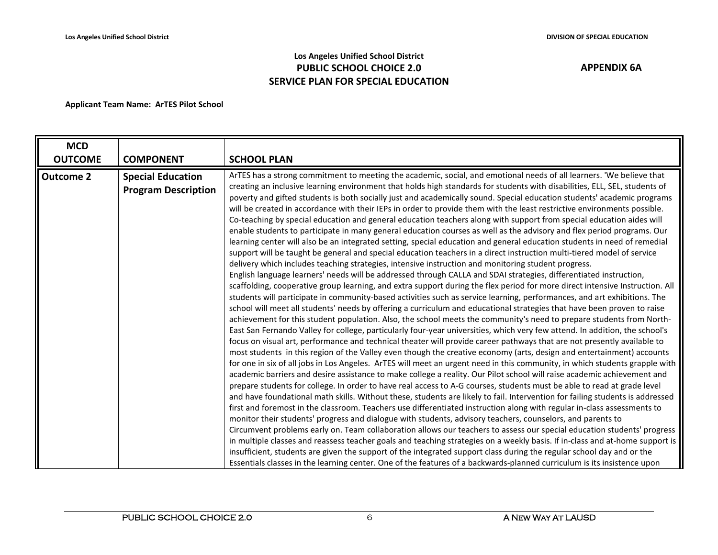## **Los Angeles Unified School District PUBLIC SCHOOL CHOICE 2.0 SERVICE PLAN FOR SPECIAL EDUCATION**

| <b>MCD</b>                         |                                                                            |                                                                                                                                                                                                                                                                                                                                                                                                                                                                                                                                                                                                                                                                                                                                                                                                                                                                                                                                                                                                                                                                                                                                                                                                                                                                                                                                                                                                                                                                                                                                                                                                                                                                                                                                                                                                                                                                                                                                                                                                                                                                                                                                                                                                                                                                                                                                                                                                                                                                                                                                                                                                                                                                                                                                                                                                                                                                                                                                                                                                                                                                 |
|------------------------------------|----------------------------------------------------------------------------|-----------------------------------------------------------------------------------------------------------------------------------------------------------------------------------------------------------------------------------------------------------------------------------------------------------------------------------------------------------------------------------------------------------------------------------------------------------------------------------------------------------------------------------------------------------------------------------------------------------------------------------------------------------------------------------------------------------------------------------------------------------------------------------------------------------------------------------------------------------------------------------------------------------------------------------------------------------------------------------------------------------------------------------------------------------------------------------------------------------------------------------------------------------------------------------------------------------------------------------------------------------------------------------------------------------------------------------------------------------------------------------------------------------------------------------------------------------------------------------------------------------------------------------------------------------------------------------------------------------------------------------------------------------------------------------------------------------------------------------------------------------------------------------------------------------------------------------------------------------------------------------------------------------------------------------------------------------------------------------------------------------------------------------------------------------------------------------------------------------------------------------------------------------------------------------------------------------------------------------------------------------------------------------------------------------------------------------------------------------------------------------------------------------------------------------------------------------------------------------------------------------------------------------------------------------------------------------------------------------------------------------------------------------------------------------------------------------------------------------------------------------------------------------------------------------------------------------------------------------------------------------------------------------------------------------------------------------------------------------------------------------------------------------------------------------------|
|                                    |                                                                            |                                                                                                                                                                                                                                                                                                                                                                                                                                                                                                                                                                                                                                                                                                                                                                                                                                                                                                                                                                                                                                                                                                                                                                                                                                                                                                                                                                                                                                                                                                                                                                                                                                                                                                                                                                                                                                                                                                                                                                                                                                                                                                                                                                                                                                                                                                                                                                                                                                                                                                                                                                                                                                                                                                                                                                                                                                                                                                                                                                                                                                                                 |
| <b>OUTCOME</b><br><b>Outcome 2</b> | <b>COMPONENT</b><br><b>Special Education</b><br><b>Program Description</b> | <b>SCHOOL PLAN</b><br>ArTES has a strong commitment to meeting the academic, social, and emotional needs of all learners. 'We believe that<br>creating an inclusive learning environment that holds high standards for students with disabilities, ELL, SEL, students of<br>poverty and gifted students is both socially just and academically sound. Special education students' academic programs<br>will be created in accordance with their IEPs in order to provide them with the least restrictive environments possible.<br>Co-teaching by special education and general education teachers along with support from special education aides will<br>enable students to participate in many general education courses as well as the advisory and flex period programs. Our<br>learning center will also be an integrated setting, special education and general education students in need of remedial<br>support will be taught be general and special education teachers in a direct instruction multi-tiered model of service<br>delivery which includes teaching strategies, intensive instruction and monitoring student progress.<br>English language learners' needs will be addressed through CALLA and SDAI strategies, differentiated instruction,<br>scaffolding, cooperative group learning, and extra support during the flex period for more direct intensive Instruction. All<br>students will participate in community-based activities such as service learning, performances, and art exhibitions. The<br>school will meet all students' needs by offering a curriculum and educational strategies that have been proven to raise<br>achievement for this student population. Also, the school meets the community's need to prepare students from North-<br>East San Fernando Valley for college, particularly four-year universities, which very few attend. In addition, the school's<br>focus on visual art, performance and technical theater will provide career pathways that are not presently available to<br>most students in this region of the Valley even though the creative economy (arts, design and entertainment) accounts<br>for one in six of all jobs in Los Angeles. ArTES will meet an urgent need in this community, in which students grapple with<br>academic barriers and desire assistance to make college a reality. Our Pilot school will raise academic achievement and<br>prepare students for college. In order to have real access to A-G courses, students must be able to read at grade level<br>and have foundational math skills. Without these, students are likely to fail. Intervention for failing students is addressed<br>first and foremost in the classroom. Teachers use differentiated instruction along with regular in-class assessments to<br>monitor their students' progress and dialogue with students, advisory teachers, counselors, and parents to<br>Circumvent problems early on. Team collaboration allows our teachers to assess our special education students' progress |
|                                    |                                                                            | in multiple classes and reassess teacher goals and teaching strategies on a weekly basis. If in-class and at-home support is<br>insufficient, students are given the support of the integrated support class during the regular school day and or the                                                                                                                                                                                                                                                                                                                                                                                                                                                                                                                                                                                                                                                                                                                                                                                                                                                                                                                                                                                                                                                                                                                                                                                                                                                                                                                                                                                                                                                                                                                                                                                                                                                                                                                                                                                                                                                                                                                                                                                                                                                                                                                                                                                                                                                                                                                                                                                                                                                                                                                                                                                                                                                                                                                                                                                                           |
|                                    |                                                                            | Essentials classes in the learning center. One of the features of a backwards-planned curriculum is its insistence upon                                                                                                                                                                                                                                                                                                                                                                                                                                                                                                                                                                                                                                                                                                                                                                                                                                                                                                                                                                                                                                                                                                                                                                                                                                                                                                                                                                                                                                                                                                                                                                                                                                                                                                                                                                                                                                                                                                                                                                                                                                                                                                                                                                                                                                                                                                                                                                                                                                                                                                                                                                                                                                                                                                                                                                                                                                                                                                                                         |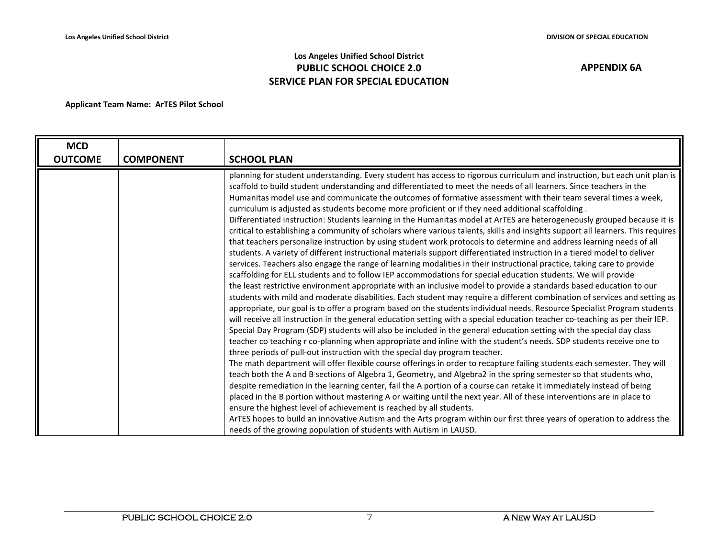## **Los Angeles Unified School District PUBLIC SCHOOL CHOICE 2.0 SERVICE PLAN FOR SPECIAL EDUCATION**

| <b>SCHOOL PLAN</b>                                                                                                                                                                            |
|-----------------------------------------------------------------------------------------------------------------------------------------------------------------------------------------------|
| planning for student understanding. Every student has access to rigorous curriculum and instruction, but each unit plan is                                                                    |
| scaffold to build student understanding and differentiated to meet the needs of all learners. Since teachers in the                                                                           |
| Humanitas model use and communicate the outcomes of formative assessment with their team several times a week,                                                                                |
| curriculum is adjusted as students become more proficient or if they need additional scaffolding.                                                                                             |
| Differentiated instruction: Students learning in the Humanitas model at ArTES are heterogeneously grouped because it is                                                                       |
| critical to establishing a community of scholars where various talents, skills and insights support all learners. This requires                                                               |
| that teachers personalize instruction by using student work protocols to determine and address learning needs of all                                                                          |
| students. A variety of different instructional materials support differentiated instruction in a tiered model to deliver                                                                      |
| services. Teachers also engage the range of learning modalities in their instructional practice, taking care to provide                                                                       |
| scaffolding for ELL students and to follow IEP accommodations for special education students. We will provide                                                                                 |
| the least restrictive environment appropriate with an inclusive model to provide a standards based education to our                                                                           |
| students with mild and moderate disabilities. Each student may require a different combination of services and setting as                                                                     |
| appropriate, our goal is to offer a program based on the students individual needs. Resource Specialist Program students                                                                      |
| will receive all instruction in the general education setting with a special education teacher co-teaching as per their IEP.                                                                  |
| Special Day Program (SDP) students will also be included in the general education setting with the special day class                                                                          |
| teacher co teaching r co-planning when appropriate and inline with the student's needs. SDP students receive one to                                                                           |
| three periods of pull-out instruction with the special day program teacher.                                                                                                                   |
| The math department will offer flexible course offerings in order to recapture failing students each semester. They will                                                                      |
| teach both the A and B sections of Algebra 1, Geometry, and Algebra2 in the spring semester so that students who,                                                                             |
| despite remediation in the learning center, fail the A portion of a course can retake it immediately instead of being                                                                         |
| placed in the B portion without mastering A or waiting until the next year. All of these interventions are in place to<br>ensure the highest level of achievement is reached by all students. |
| ArTES hopes to build an innovative Autism and the Arts program within our first three years of operation to address the                                                                       |
| needs of the growing population of students with Autism in LAUSD.                                                                                                                             |
| <b>COMPONENT</b>                                                                                                                                                                              |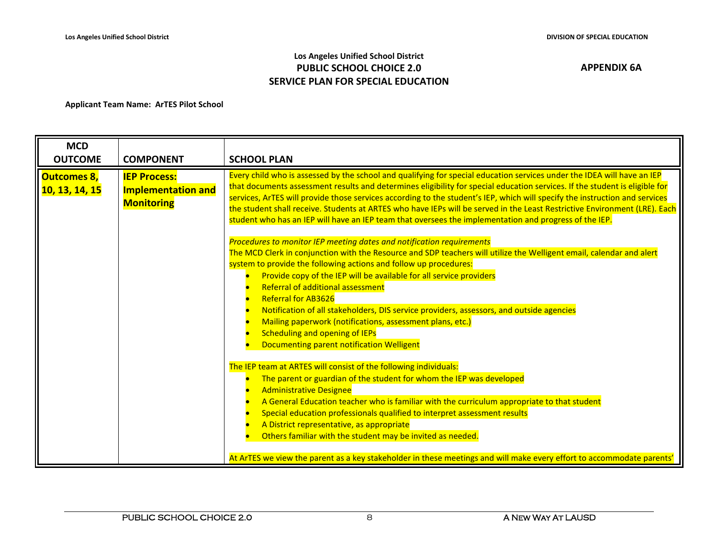## **Los Angeles Unified School District PUBLIC SCHOOL CHOICE 2.0 SERVICE PLAN FOR SPECIAL EDUCATION**

| <b>MCD</b>                                  |                                                                       |                                                                                                                                                                                                                                                                                                                                                                                                                                                                                                                                                                                                                                                             |
|---------------------------------------------|-----------------------------------------------------------------------|-------------------------------------------------------------------------------------------------------------------------------------------------------------------------------------------------------------------------------------------------------------------------------------------------------------------------------------------------------------------------------------------------------------------------------------------------------------------------------------------------------------------------------------------------------------------------------------------------------------------------------------------------------------|
| <b>OUTCOME</b>                              | <b>COMPONENT</b>                                                      | <b>SCHOOL PLAN</b>                                                                                                                                                                                                                                                                                                                                                                                                                                                                                                                                                                                                                                          |
| <b>Outcomes 8,</b><br><b>10, 13, 14, 15</b> | <b>IEP Process:</b><br><b>Implementation and</b><br><b>Monitoring</b> | Every child who is assessed by the school and qualifying for special education services under the IDEA will have an IEP<br>that documents assessment results and determines eligibility for special education services. If the student is eligible for<br>services, ArTES will provide those services according to the student's IEP, which will specify the instruction and services<br>the student shall receive. Students at ARTES who have IEPs will be served in the Least Restrictive Environment (LRE). Each<br>student who has an IEP will have an IEP team that oversees the implementation and progress of the IEP.                               |
|                                             |                                                                       | Procedures to monitor IEP meeting dates and notification requirements<br>The MCD Clerk in conjunction with the Resource and SDP teachers will utilize the Welligent email, calendar and alert<br>system to provide the following actions and follow up procedures:<br>Provide copy of the IEP will be available for all service providers<br>Referral of additional assessment<br><b>Referral for AB3626</b><br>Notification of all stakeholders, DIS service providers, assessors, and outside agencies<br>Mailing paperwork (notifications, assessment plans, etc.)<br><b>Scheduling and opening of IEPs</b><br>Documenting parent notification Welligent |
|                                             |                                                                       | The IEP team at ARTES will consist of the following individuals:<br>The parent or guardian of the student for whom the IEP was developed<br><b>Administrative Designee</b><br>A General Education teacher who is familiar with the curriculum appropriate to that student<br>Special education professionals qualified to interpret assessment results<br>A District representative, as appropriate<br>Others familiar with the student may be invited as needed.<br>At ArTES we view the parent as a key stakeholder in these meetings and will make every effort to accommodate parents'                                                                  |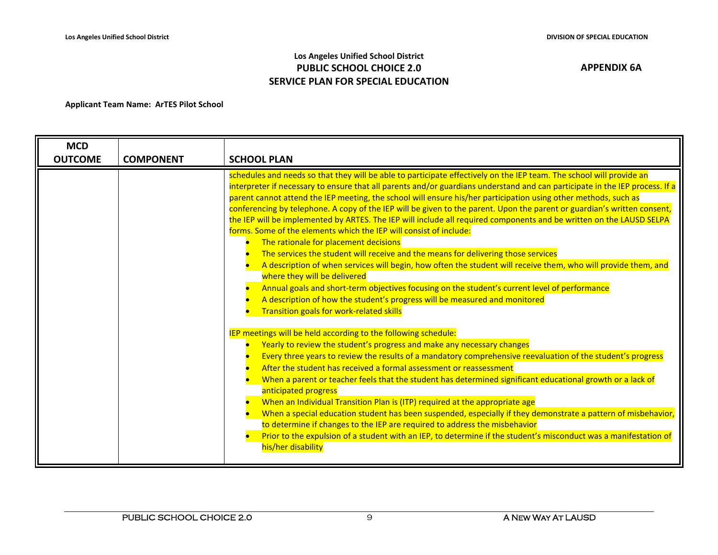## **Los Angeles Unified School District PUBLIC SCHOOL CHOICE 2.0 SERVICE PLAN FOR SPECIAL EDUCATION**

| <b>MCD</b>     |                  |                                                                                                                                                                                                                                                                                                                                                                                                                                                                                                                                                                                                                                                                                                                                                                                                                                                                                                                                                                                                                                                                                                                                                                                                                                                                                                                                                                                                                                                                                                                                                                                                                                                                                                                                                                                                                                                                                                                                                                                                                                                                                                             |
|----------------|------------------|-------------------------------------------------------------------------------------------------------------------------------------------------------------------------------------------------------------------------------------------------------------------------------------------------------------------------------------------------------------------------------------------------------------------------------------------------------------------------------------------------------------------------------------------------------------------------------------------------------------------------------------------------------------------------------------------------------------------------------------------------------------------------------------------------------------------------------------------------------------------------------------------------------------------------------------------------------------------------------------------------------------------------------------------------------------------------------------------------------------------------------------------------------------------------------------------------------------------------------------------------------------------------------------------------------------------------------------------------------------------------------------------------------------------------------------------------------------------------------------------------------------------------------------------------------------------------------------------------------------------------------------------------------------------------------------------------------------------------------------------------------------------------------------------------------------------------------------------------------------------------------------------------------------------------------------------------------------------------------------------------------------------------------------------------------------------------------------------------------------|
| <b>OUTCOME</b> | <b>COMPONENT</b> | <b>SCHOOL PLAN</b>                                                                                                                                                                                                                                                                                                                                                                                                                                                                                                                                                                                                                                                                                                                                                                                                                                                                                                                                                                                                                                                                                                                                                                                                                                                                                                                                                                                                                                                                                                                                                                                                                                                                                                                                                                                                                                                                                                                                                                                                                                                                                          |
|                |                  | schedules and needs so that they will be able to participate effectively on the IEP team. The school will provide an<br>interpreter if necessary to ensure that all parents and/or guardians understand and can participate in the IEP process. If a<br>parent cannot attend the IEP meeting, the school will ensure his/her participation using other methods, such as<br>conferencing by telephone. A copy of the IEP will be given to the parent. Upon the parent or guardian's written consent,<br>the IEP will be implemented by ARTES. The IEP will include all required components and be written on the LAUSD SELPA<br>forms. Some of the elements which the IEP will consist of include:<br>The rationale for placement decisions<br>The services the student will receive and the means for delivering those services<br>A description of when services will begin, how often the student will receive them, who will provide them, and<br>where they will be delivered<br>Annual goals and short-term objectives focusing on the student's current level of performance<br>A description of how the student's progress will be measured and monitored<br>Transition goals for work-related skills<br>IEP meetings will be held according to the following schedule:<br>Yearly to review the student's progress and make any necessary changes<br>Every three years to review the results of a mandatory comprehensive reevaluation of the student's progress<br>After the student has received a formal assessment or reassessment<br>When a parent or teacher feels that the student has determined significant educational growth or a lack of<br>anticipated progress<br>When an Individual Transition Plan is (ITP) required at the appropriate age<br>When a special education student has been suspended, especially if they demonstrate a pattern of misbehavior,<br>to determine if changes to the IEP are required to address the misbehavior<br>Prior to the expulsion of a student with an IEP, to determine if the student's misconduct was a manifestation of<br>his/her disability |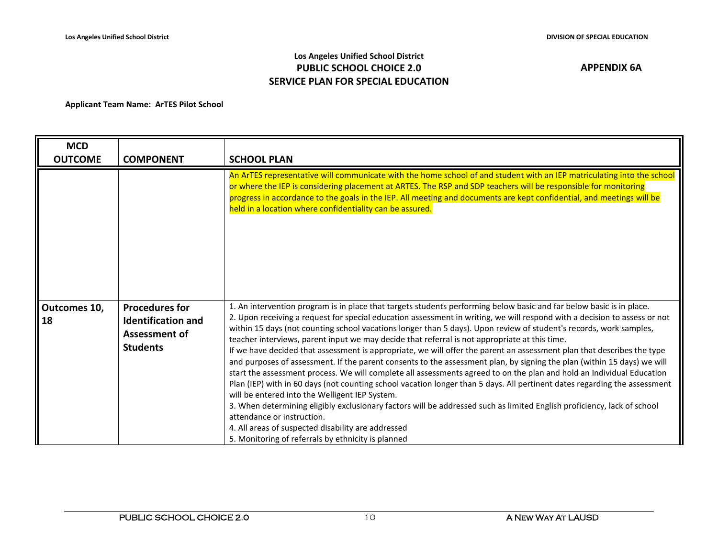## **Los Angeles Unified School District PUBLIC SCHOOL CHOICE 2.0 SERVICE PLAN FOR SPECIAL EDUCATION**

| <b>MCD</b>                |                                                                                               |                                                                                                                                                                                                                                                                                                                                                                                                                                                                                                                                                                                                                                                                                                                                                                                                                                                                                                                                                                                                                                                                                                                                                                                                                                                                                                            |
|---------------------------|-----------------------------------------------------------------------------------------------|------------------------------------------------------------------------------------------------------------------------------------------------------------------------------------------------------------------------------------------------------------------------------------------------------------------------------------------------------------------------------------------------------------------------------------------------------------------------------------------------------------------------------------------------------------------------------------------------------------------------------------------------------------------------------------------------------------------------------------------------------------------------------------------------------------------------------------------------------------------------------------------------------------------------------------------------------------------------------------------------------------------------------------------------------------------------------------------------------------------------------------------------------------------------------------------------------------------------------------------------------------------------------------------------------------|
| <b>OUTCOME</b>            | <b>COMPONENT</b>                                                                              | <b>SCHOOL PLAN</b>                                                                                                                                                                                                                                                                                                                                                                                                                                                                                                                                                                                                                                                                                                                                                                                                                                                                                                                                                                                                                                                                                                                                                                                                                                                                                         |
|                           |                                                                                               | An ArTES representative will communicate with the home school of and student with an IEP matriculating into the school<br>or where the IEP is considering placement at ARTES. The RSP and SDP teachers will be responsible for monitoring<br>progress in accordance to the goals in the IEP. All meeting and documents are kept confidential, and meetings will be<br>held in a location where confidentiality can be assured.                                                                                                                                                                                                                                                                                                                                                                                                                                                                                                                                                                                                                                                                                                                                                                                                                                                                             |
| Outcomes 10,<br><b>18</b> | <b>Procedures for</b><br><b>Identification and</b><br><b>Assessment of</b><br><b>Students</b> | 1. An intervention program is in place that targets students performing below basic and far below basic is in place.<br>2. Upon receiving a request for special education assessment in writing, we will respond with a decision to assess or not<br>within 15 days (not counting school vacations longer than 5 days). Upon review of student's records, work samples,<br>teacher interviews, parent input we may decide that referral is not appropriate at this time.<br>If we have decided that assessment is appropriate, we will offer the parent an assessment plan that describes the type<br>and purposes of assessment. If the parent consents to the assessment plan, by signing the plan (within 15 days) we will<br>start the assessment process. We will complete all assessments agreed to on the plan and hold an Individual Education<br>Plan (IEP) with in 60 days (not counting school vacation longer than 5 days. All pertinent dates regarding the assessment<br>will be entered into the Welligent IEP System.<br>3. When determining eligibly exclusionary factors will be addressed such as limited English proficiency, lack of school<br>attendance or instruction.<br>4. All areas of suspected disability are addressed<br>5. Monitoring of referrals by ethnicity is planned |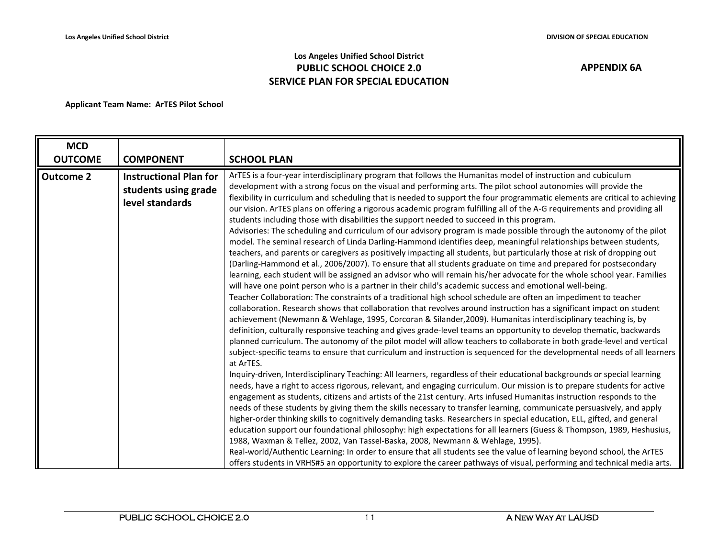## **Los Angeles Unified School District PUBLIC SCHOOL CHOICE 2.0 SERVICE PLAN FOR SPECIAL EDUCATION**

| <b>MCD</b><br><b>OUTCOME</b> | <b>COMPONENT</b>                                                         | <b>SCHOOL PLAN</b>                                                                                                                                                                                                                                                                                                                                                                                                                                                                                                                                                                                                                                                                                                                                                                                                                                                                                                                                                                                                                                                                                                                                                                                                                                                                                                                                                                                                                                                                                                                                                                                                                                                                                                                                                                                                                                                                                                                                                                                                                                                                                                                                                                                                                                                                                                                                                                                                                                                                                                                                                                                                                                                                                                                                                                                                                                                                                                                                                                                                                                                                                                                                                                       |
|------------------------------|--------------------------------------------------------------------------|------------------------------------------------------------------------------------------------------------------------------------------------------------------------------------------------------------------------------------------------------------------------------------------------------------------------------------------------------------------------------------------------------------------------------------------------------------------------------------------------------------------------------------------------------------------------------------------------------------------------------------------------------------------------------------------------------------------------------------------------------------------------------------------------------------------------------------------------------------------------------------------------------------------------------------------------------------------------------------------------------------------------------------------------------------------------------------------------------------------------------------------------------------------------------------------------------------------------------------------------------------------------------------------------------------------------------------------------------------------------------------------------------------------------------------------------------------------------------------------------------------------------------------------------------------------------------------------------------------------------------------------------------------------------------------------------------------------------------------------------------------------------------------------------------------------------------------------------------------------------------------------------------------------------------------------------------------------------------------------------------------------------------------------------------------------------------------------------------------------------------------------------------------------------------------------------------------------------------------------------------------------------------------------------------------------------------------------------------------------------------------------------------------------------------------------------------------------------------------------------------------------------------------------------------------------------------------------------------------------------------------------------------------------------------------------------------------------------------------------------------------------------------------------------------------------------------------------------------------------------------------------------------------------------------------------------------------------------------------------------------------------------------------------------------------------------------------------------------------------------------------------------------------------------------------------|
| <b>Outcome 2</b>             | <b>Instructional Plan for</b><br>students using grade<br>level standards | ArTES is a four-year interdisciplinary program that follows the Humanitas model of instruction and cubiculum<br>development with a strong focus on the visual and performing arts. The pilot school autonomies will provide the<br>flexibility in curriculum and scheduling that is needed to support the four programmatic elements are critical to achieving<br>our vision. ArTES plans on offering a rigorous academic program fulfilling all of the A-G requirements and providing all<br>students including those with disabilities the support needed to succeed in this program.<br>Advisories: The scheduling and curriculum of our advisory program is made possible through the autonomy of the pilot<br>model. The seminal research of Linda Darling-Hammond identifies deep, meaningful relationships between students,<br>teachers, and parents or caregivers as positively impacting all students, but particularly those at risk of dropping out<br>(Darling-Hammond et al., 2006/2007). To ensure that all students graduate on time and prepared for postsecondary<br>learning, each student will be assigned an advisor who will remain his/her advocate for the whole school year. Families<br>will have one point person who is a partner in their child's academic success and emotional well-being.<br>Teacher Collaboration: The constraints of a traditional high school schedule are often an impediment to teacher<br>collaboration. Research shows that collaboration that revolves around instruction has a significant impact on student<br>achievement (Newmann & Wehlage, 1995, Corcoran & Silander, 2009). Humanitas interdisciplinary teaching is, by<br>definition, culturally responsive teaching and gives grade-level teams an opportunity to develop thematic, backwards<br>planned curriculum. The autonomy of the pilot model will allow teachers to collaborate in both grade-level and vertical<br>subject-specific teams to ensure that curriculum and instruction is sequenced for the developmental needs of all learners<br>at ArTES.<br>Inquiry-driven, Interdisciplinary Teaching: All learners, regardless of their educational backgrounds or special learning<br>needs, have a right to access rigorous, relevant, and engaging curriculum. Our mission is to prepare students for active<br>engagement as students, citizens and artists of the 21st century. Arts infused Humanitas instruction responds to the<br>needs of these students by giving them the skills necessary to transfer learning, communicate persuasively, and apply<br>higher-order thinking skills to cognitively demanding tasks. Researchers in special education, ELL, gifted, and general<br>education support our foundational philosophy: high expectations for all learners (Guess & Thompson, 1989, Heshusius,<br>1988, Waxman & Tellez, 2002, Van Tassel-Baska, 2008, Newmann & Wehlage, 1995).<br>Real-world/Authentic Learning: In order to ensure that all students see the value of learning beyond school, the ArTES<br>offers students in VRHS#5 an opportunity to explore the career pathways of visual, performing and technical media arts. |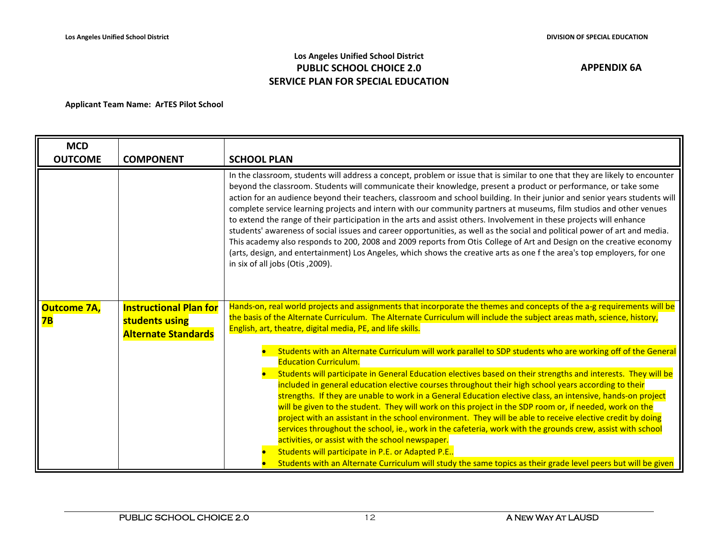## **Los Angeles Unified School District PUBLIC SCHOOL CHOICE 2.0 SERVICE PLAN FOR SPECIAL EDUCATION**

| <b>MCD</b>               |                                                                               |                                                                                                                                                                                                                                                                                                                                                                                                                                                                                                                                                                                                                                                                                                                                                                                                                                                                                                                                                                                                                                                    |
|--------------------------|-------------------------------------------------------------------------------|----------------------------------------------------------------------------------------------------------------------------------------------------------------------------------------------------------------------------------------------------------------------------------------------------------------------------------------------------------------------------------------------------------------------------------------------------------------------------------------------------------------------------------------------------------------------------------------------------------------------------------------------------------------------------------------------------------------------------------------------------------------------------------------------------------------------------------------------------------------------------------------------------------------------------------------------------------------------------------------------------------------------------------------------------|
| <b>OUTCOME</b>           | <b>COMPONENT</b>                                                              | <b>SCHOOL PLAN</b>                                                                                                                                                                                                                                                                                                                                                                                                                                                                                                                                                                                                                                                                                                                                                                                                                                                                                                                                                                                                                                 |
|                          |                                                                               | In the classroom, students will address a concept, problem or issue that is similar to one that they are likely to encounter<br>beyond the classroom. Students will communicate their knowledge, present a product or performance, or take some<br>action for an audience beyond their teachers, classroom and school building. In their junior and senior years students will<br>complete service learning projects and intern with our community partners at museums, film studios and other venues<br>to extend the range of their participation in the arts and assist others. Involvement in these projects will enhance<br>students' awareness of social issues and career opportunities, as well as the social and political power of art and media.<br>This academy also responds to 200, 2008 and 2009 reports from Otis College of Art and Design on the creative economy<br>(arts, design, and entertainment) Los Angeles, which shows the creative arts as one f the area's top employers, for one<br>in six of all jobs (Otis, 2009). |
| <b>Outcome 7A,</b><br>7B | <b>Instructional Plan for</b><br>students using<br><b>Alternate Standards</b> | Hands-on, real world projects and assignments that incorporate the themes and concepts of the a-g requirements will be<br>the basis of the Alternate Curriculum. The Alternate Curriculum will include the subject areas math, science, history,<br>English, art, theatre, digital media, PE, and life skills.                                                                                                                                                                                                                                                                                                                                                                                                                                                                                                                                                                                                                                                                                                                                     |
|                          |                                                                               | Students with an Alternate Curriculum will work parallel to SDP students who are working off of the General<br><b>Education Curriculum.</b>                                                                                                                                                                                                                                                                                                                                                                                                                                                                                                                                                                                                                                                                                                                                                                                                                                                                                                        |
|                          |                                                                               | Students will participate in General Education electives based on their strengths and interests. They will be<br>included in general education elective courses throughout their high school years according to their<br>strengths. If they are unable to work in a General Education elective class, an intensive, hands-on project<br>will be given to the student. They will work on this project in the SDP room or, if needed, work on the<br>project with an assistant in the school environment. They will be able to receive elective credit by doing<br>services throughout the school, ie., work in the cafeteria, work with the grounds crew, assist with school<br>activities, or assist with the school newspaper.<br>Students will participate in P.E. or Adapted P.E<br>Students with an Alternate Curriculum will study the same topics as their grade level peers but will be given                                                                                                                                               |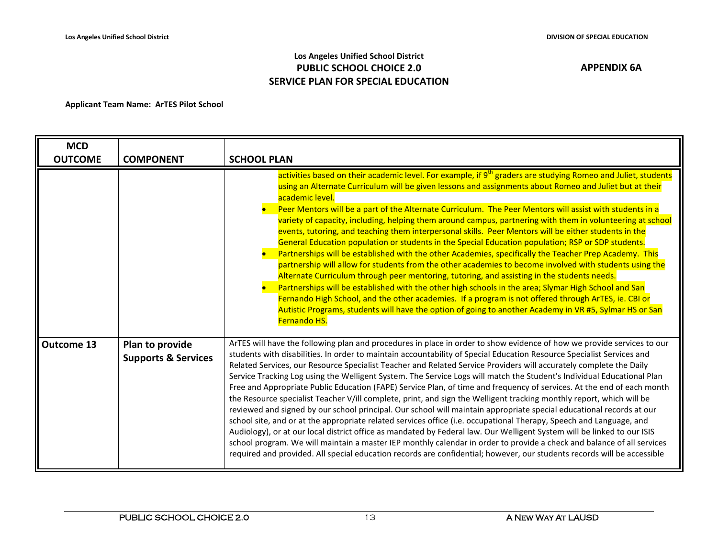## **Los Angeles Unified School District PUBLIC SCHOOL CHOICE 2.0 SERVICE PLAN FOR SPECIAL EDUCATION**

| <b>MCD</b><br><b>OUTCOME</b> | <b>COMPONENT</b>                                  | <b>SCHOOL PLAN</b>                                                                                                                                                                                                                                                                                                                                                                                                                                                                                                                                                                                                                                                                                                                                                                                                                                                                                                                                                                                                                                                                                                                                                                                                                                                                                                                                                               |
|------------------------------|---------------------------------------------------|----------------------------------------------------------------------------------------------------------------------------------------------------------------------------------------------------------------------------------------------------------------------------------------------------------------------------------------------------------------------------------------------------------------------------------------------------------------------------------------------------------------------------------------------------------------------------------------------------------------------------------------------------------------------------------------------------------------------------------------------------------------------------------------------------------------------------------------------------------------------------------------------------------------------------------------------------------------------------------------------------------------------------------------------------------------------------------------------------------------------------------------------------------------------------------------------------------------------------------------------------------------------------------------------------------------------------------------------------------------------------------|
|                              |                                                   | activities based on their academic level. For example, if 9 <sup>th</sup> graders are studying Romeo and Juliet, students<br>using an Alternate Curriculum will be given lessons and assignments about Romeo and Juliet but at their<br>academic level.<br>Peer Mentors will be a part of the Alternate Curriculum. The Peer Mentors will assist with students in a<br>variety of capacity, including, helping them around campus, partnering with them in volunteering at school<br>events, tutoring, and teaching them interpersonal skills. Peer Mentors will be either students in the<br>General Education population or students in the Special Education population; RSP or SDP students.<br>Partnerships will be established with the other Academies, specifically the Teacher Prep Academy. This<br>partnership will allow for students from the other academies to become involved with students using the<br>Alternate Curriculum through peer mentoring, tutoring, and assisting in the students needs.<br>Partnerships will be established with the other high schools in the area; Slymar High School and San<br>Fernando High School, and the other academies. If a program is not offered through ArTES, ie. CBI or<br>Autistic Programs, students will have the option of going to another Academy in VR #5, Sylmar HS or San<br>Fernando HS.                  |
| <b>Outcome 13</b>            | Plan to provide<br><b>Supports &amp; Services</b> | ArTES will have the following plan and procedures in place in order to show evidence of how we provide services to our<br>students with disabilities. In order to maintain accountability of Special Education Resource Specialist Services and<br>Related Services, our Resource Specialist Teacher and Related Service Providers will accurately complete the Daily<br>Service Tracking Log using the Welligent System. The Service Logs will match the Student's Individual Educational Plan<br>Free and Appropriate Public Education (FAPE) Service Plan, of time and frequency of services. At the end of each month<br>the Resource specialist Teacher V/ill complete, print, and sign the Welligent tracking monthly report, which will be<br>reviewed and signed by our school principal. Our school will maintain appropriate special educational records at our<br>school site, and or at the appropriate related services office (i.e. occupational Therapy, Speech and Language, and<br>Audiology), or at our local district office as mandated by Federal law. Our Welligent System will be linked to our ISIS<br>school program. We will maintain a master IEP monthly calendar in order to provide a check and balance of all services<br>required and provided. All special education records are confidential; however, our students records will be accessible |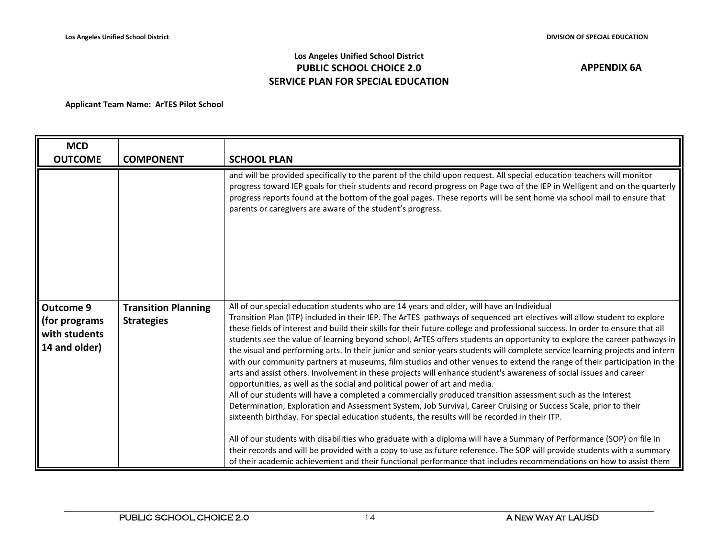## **Los Angeles Unified School District PUBLIC SCHOOL CHOICE 2.0 SERVICE PLAN FOR SPECIAL EDUCATION**

| <b>MCD</b>                                                    |                                                 |                                                                                                                                                                                                                                                                                                                                                                                                                                                                                                                                                                                                                                                                                                                                                                                                                                                                                                                                                                                                                                                                                                                                                                                                                                                                                                                                                                                                                                                                                                                                                                                                                                                                    |
|---------------------------------------------------------------|-------------------------------------------------|--------------------------------------------------------------------------------------------------------------------------------------------------------------------------------------------------------------------------------------------------------------------------------------------------------------------------------------------------------------------------------------------------------------------------------------------------------------------------------------------------------------------------------------------------------------------------------------------------------------------------------------------------------------------------------------------------------------------------------------------------------------------------------------------------------------------------------------------------------------------------------------------------------------------------------------------------------------------------------------------------------------------------------------------------------------------------------------------------------------------------------------------------------------------------------------------------------------------------------------------------------------------------------------------------------------------------------------------------------------------------------------------------------------------------------------------------------------------------------------------------------------------------------------------------------------------------------------------------------------------------------------------------------------------|
| <b>OUTCOME</b>                                                | <b>COMPONENT</b>                                | <b>SCHOOL PLAN</b>                                                                                                                                                                                                                                                                                                                                                                                                                                                                                                                                                                                                                                                                                                                                                                                                                                                                                                                                                                                                                                                                                                                                                                                                                                                                                                                                                                                                                                                                                                                                                                                                                                                 |
|                                                               |                                                 | and will be provided specifically to the parent of the child upon request. All special education teachers will monitor<br>progress toward IEP goals for their students and record progress on Page two of the IEP in Welligent and on the quarterly<br>progress reports found at the bottom of the goal pages. These reports will be sent home via school mail to ensure that<br>parents or caregivers are aware of the student's progress.                                                                                                                                                                                                                                                                                                                                                                                                                                                                                                                                                                                                                                                                                                                                                                                                                                                                                                                                                                                                                                                                                                                                                                                                                        |
| Outcome 9<br>(for programs)<br>with students<br>14 and older) | <b>Transition Planning</b><br><b>Strategies</b> | All of our special education students who are 14 years and older, will have an Individual<br>Transition Plan (ITP) included in their IEP. The ArTES pathways of sequenced art electives will allow student to explore<br>these fields of interest and build their skills for their future college and professional success. In order to ensure that all<br>students see the value of learning beyond school, ArTES offers students an opportunity to explore the career pathways in<br>the visual and performing arts. In their junior and senior years students will complete service learning projects and intern<br>with our community partners at museums, film studios and other venues to extend the range of their participation in the<br>arts and assist others. Involvement in these projects will enhance student's awareness of social issues and career<br>opportunities, as well as the social and political power of art and media.<br>All of our students will have a completed a commercially produced transition assessment such as the Interest<br>Determination, Exploration and Assessment System, Job Survival, Career Cruising or Success Scale, prior to their<br>sixteenth birthday. For special education students, the results will be recorded in their ITP.<br>All of our students with disabilities who graduate with a diploma will have a Summary of Performance (SOP) on file in<br>their records and will be provided with a copy to use as future reference. The SOP will provide students with a summary<br>of their academic achievement and their functional performance that includes recommendations on how to assist them |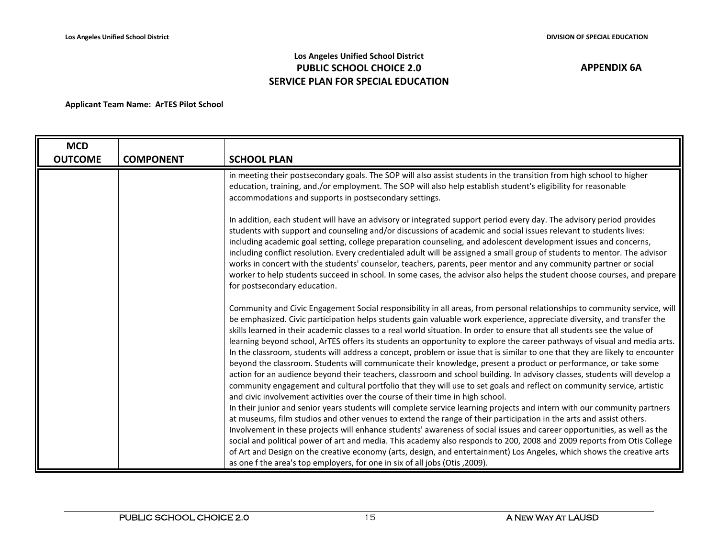## **Los Angeles Unified School District PUBLIC SCHOOL CHOICE 2.0 SERVICE PLAN FOR SPECIAL EDUCATION**

| <b>MCD</b>     |                  |                                                                                                                                                                                                                                                                                                                                                                                                                                                                                                                                                                                                                                                                                                                                                                                                                                                                                                                                                                                                                                                                                                            |
|----------------|------------------|------------------------------------------------------------------------------------------------------------------------------------------------------------------------------------------------------------------------------------------------------------------------------------------------------------------------------------------------------------------------------------------------------------------------------------------------------------------------------------------------------------------------------------------------------------------------------------------------------------------------------------------------------------------------------------------------------------------------------------------------------------------------------------------------------------------------------------------------------------------------------------------------------------------------------------------------------------------------------------------------------------------------------------------------------------------------------------------------------------|
| <b>OUTCOME</b> | <b>COMPONENT</b> | <b>SCHOOL PLAN</b>                                                                                                                                                                                                                                                                                                                                                                                                                                                                                                                                                                                                                                                                                                                                                                                                                                                                                                                                                                                                                                                                                         |
|                |                  | in meeting their postsecondary goals. The SOP will also assist students in the transition from high school to higher<br>education, training, and./or employment. The SOP will also help establish student's eligibility for reasonable<br>accommodations and supports in postsecondary settings.                                                                                                                                                                                                                                                                                                                                                                                                                                                                                                                                                                                                                                                                                                                                                                                                           |
|                |                  | In addition, each student will have an advisory or integrated support period every day. The advisory period provides<br>students with support and counseling and/or discussions of academic and social issues relevant to students lives:<br>including academic goal setting, college preparation counseling, and adolescent development issues and concerns,<br>including conflict resolution. Every credentialed adult will be assigned a small group of students to mentor. The advisor<br>works in concert with the students' counselor, teachers, parents, peer mentor and any community partner or social<br>worker to help students succeed in school. In some cases, the advisor also helps the student choose courses, and prepare<br>for postsecondary education.                                                                                                                                                                                                                                                                                                                                |
|                |                  | Community and Civic Engagement Social responsibility in all areas, from personal relationships to community service, will<br>be emphasized. Civic participation helps students gain valuable work experience, appreciate diversity, and transfer the<br>skills learned in their academic classes to a real world situation. In order to ensure that all students see the value of<br>learning beyond school, ArTES offers its students an opportunity to explore the career pathways of visual and media arts.<br>In the classroom, students will address a concept, problem or issue that is similar to one that they are likely to encounter<br>beyond the classroom. Students will communicate their knowledge, present a product or performance, or take some<br>action for an audience beyond their teachers, classroom and school building. In advisory classes, students will develop a<br>community engagement and cultural portfolio that they will use to set goals and reflect on community service, artistic<br>and civic involvement activities over the course of their time in high school. |
|                |                  | In their junior and senior years students will complete service learning projects and intern with our community partners<br>at museums, film studios and other venues to extend the range of their participation in the arts and assist others.<br>Involvement in these projects will enhance students' awareness of social issues and career opportunities, as well as the<br>social and political power of art and media. This academy also responds to 200, 2008 and 2009 reports from Otis College<br>of Art and Design on the creative economy (arts, design, and entertainment) Los Angeles, which shows the creative arts<br>as one f the area's top employers, for one in six of all jobs (Otis, 2009).                                                                                                                                                                                                                                                                                                                                                                                            |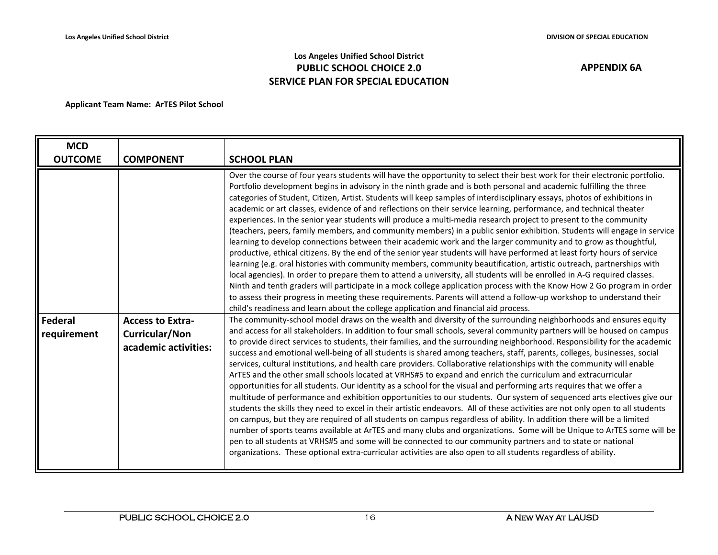## **Los Angeles Unified School District PUBLIC SCHOOL CHOICE 2.0 SERVICE PLAN FOR SPECIAL EDUCATION**

| <b>MCD</b>             |                                                                   |                                                                                                                                                                                                                                                                                                                                                                                                                                                                                                                                                                                                                                                                                                                                                                                                                                                                                                                                                                                                                                                                                                                                                                                                                                                                                                                                                                                                                                                                                                                                                                                                                                                                                                                                                                                                                                                                                                                                                                                                                                                                                                                                                                                                                                                                                                                                                                                                                                                                                                                                                                                                                                                                                                                                                                                                                                                                                                                                                                                                                                                                                                                                                                                                                      |
|------------------------|-------------------------------------------------------------------|----------------------------------------------------------------------------------------------------------------------------------------------------------------------------------------------------------------------------------------------------------------------------------------------------------------------------------------------------------------------------------------------------------------------------------------------------------------------------------------------------------------------------------------------------------------------------------------------------------------------------------------------------------------------------------------------------------------------------------------------------------------------------------------------------------------------------------------------------------------------------------------------------------------------------------------------------------------------------------------------------------------------------------------------------------------------------------------------------------------------------------------------------------------------------------------------------------------------------------------------------------------------------------------------------------------------------------------------------------------------------------------------------------------------------------------------------------------------------------------------------------------------------------------------------------------------------------------------------------------------------------------------------------------------------------------------------------------------------------------------------------------------------------------------------------------------------------------------------------------------------------------------------------------------------------------------------------------------------------------------------------------------------------------------------------------------------------------------------------------------------------------------------------------------------------------------------------------------------------------------------------------------------------------------------------------------------------------------------------------------------------------------------------------------------------------------------------------------------------------------------------------------------------------------------------------------------------------------------------------------------------------------------------------------------------------------------------------------------------------------------------------------------------------------------------------------------------------------------------------------------------------------------------------------------------------------------------------------------------------------------------------------------------------------------------------------------------------------------------------------------------------------------------------------------------------------------------------------|
| <b>OUTCOME</b>         | <b>COMPONENT</b>                                                  | <b>SCHOOL PLAN</b>                                                                                                                                                                                                                                                                                                                                                                                                                                                                                                                                                                                                                                                                                                                                                                                                                                                                                                                                                                                                                                                                                                                                                                                                                                                                                                                                                                                                                                                                                                                                                                                                                                                                                                                                                                                                                                                                                                                                                                                                                                                                                                                                                                                                                                                                                                                                                                                                                                                                                                                                                                                                                                                                                                                                                                                                                                                                                                                                                                                                                                                                                                                                                                                                   |
| Federal<br>requirement | <b>Access to Extra-</b><br>Curricular/Non<br>academic activities: | Over the course of four years students will have the opportunity to select their best work for their electronic portfolio.<br>Portfolio development begins in advisory in the ninth grade and is both personal and academic fulfilling the three<br>categories of Student, Citizen, Artist. Students will keep samples of interdisciplinary essays, photos of exhibitions in<br>academic or art classes, evidence of and reflections on their service learning, performance, and technical theater<br>experiences. In the senior year students will produce a multi-media research project to present to the community<br>(teachers, peers, family members, and community members) in a public senior exhibition. Students will engage in service<br>learning to develop connections between their academic work and the larger community and to grow as thoughtful,<br>productive, ethical citizens. By the end of the senior year students will have performed at least forty hours of service<br>learning (e.g. oral histories with community members, community beautification, artistic outreach, partnerships with<br>local agencies). In order to prepare them to attend a university, all students will be enrolled in A-G required classes.<br>Ninth and tenth graders will participate in a mock college application process with the Know How 2 Go program in order<br>to assess their progress in meeting these requirements. Parents will attend a follow-up workshop to understand their<br>child's readiness and learn about the college application and financial aid process.<br>The community-school model draws on the wealth and diversity of the surrounding neighborhoods and ensures equity<br>and access for all stakeholders. In addition to four small schools, several community partners will be housed on campus<br>to provide direct services to students, their families, and the surrounding neighborhood. Responsibility for the academic<br>success and emotional well-being of all students is shared among teachers, staff, parents, colleges, businesses, social<br>services, cultural institutions, and health care providers. Collaborative relationships with the community will enable<br>ArTES and the other small schools located at VRHS#5 to expand and enrich the curriculum and extracurricular<br>opportunities for all students. Our identity as a school for the visual and performing arts requires that we offer a<br>multitude of performance and exhibition opportunities to our students. Our system of sequenced arts electives give our<br>students the skills they need to excel in their artistic endeavors. All of these activities are not only open to all students<br>on campus, but they are required of all students on campus regardless of ability. In addition there will be a limited<br>number of sports teams available at ArTES and many clubs and organizations. Some will be Unique to ArTES some will be<br>pen to all students at VRHS#5 and some will be connected to our community partners and to state or national<br>organizations. These optional extra-curricular activities are also open to all students regardless of ability. |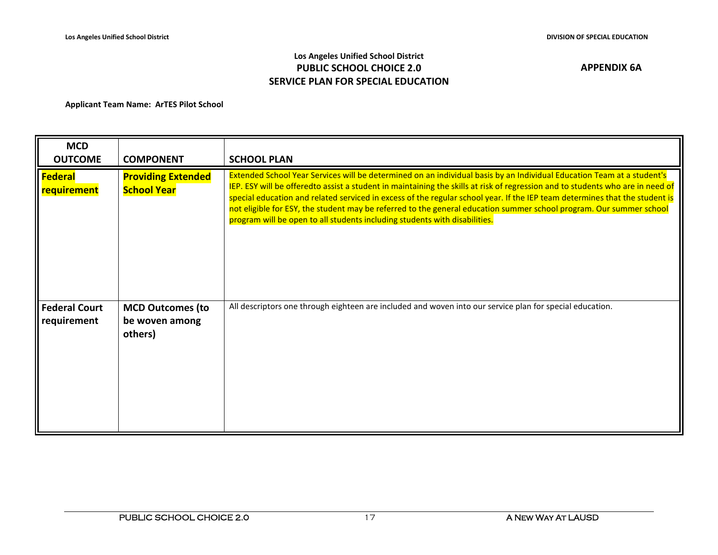## **Los Angeles Unified School District PUBLIC SCHOOL CHOICE 2.0 SERVICE PLAN FOR SPECIAL EDUCATION**

| <b>MCD</b><br><b>OUTCOME</b>         | <b>COMPONENT</b>                                     | <b>SCHOOL PLAN</b>                                                                                                                                                                                                                                                                                                                                                                                                                                                                                                                                                                           |
|--------------------------------------|------------------------------------------------------|----------------------------------------------------------------------------------------------------------------------------------------------------------------------------------------------------------------------------------------------------------------------------------------------------------------------------------------------------------------------------------------------------------------------------------------------------------------------------------------------------------------------------------------------------------------------------------------------|
| <b>Federal</b><br><b>requirement</b> | <b>Providing Extended</b><br><b>School Year</b>      | Extended School Year Services will be determined on an individual basis by an Individual Education Team at a student's<br>IEP. ESY will be offeredto assist a student in maintaining the skills at risk of regression and to students who are in need of<br>special education and related serviced in excess of the regular school year. If the IEP team determines that the student is<br>not eligible for ESY, the student may be referred to the general education summer school program. Our summer school<br>program will be open to all students including students with disabilities. |
| <b>Federal Court</b><br>requirement  | <b>MCD Outcomes (to</b><br>be woven among<br>others) | All descriptors one through eighteen are included and woven into our service plan for special education.                                                                                                                                                                                                                                                                                                                                                                                                                                                                                     |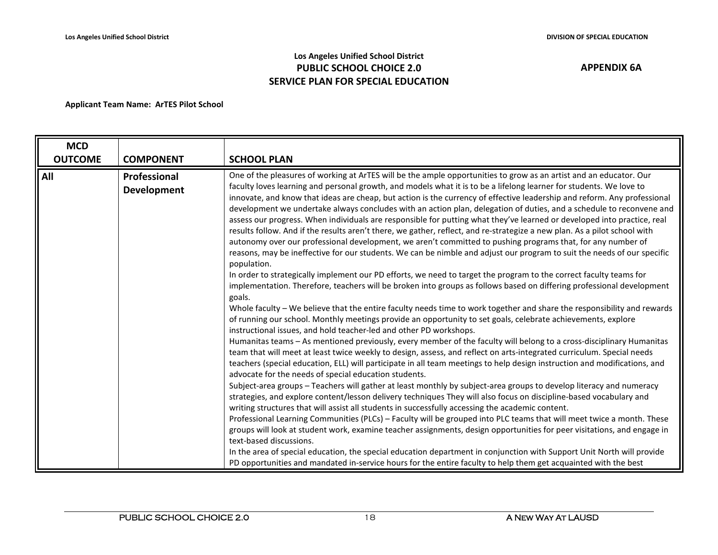## **Los Angeles Unified School District PUBLIC SCHOOL CHOICE 2.0 SERVICE PLAN FOR SPECIAL EDUCATION**

| <b>MCD</b><br><b>OUTCOME</b> | <b>COMPONENT</b>            | <b>SCHOOL PLAN</b>                                                                                                                                                                                                                                                                                                                                                                                                                                                                                                                                                                                                                                                                                                                                                                                                                                                                                                                                                                                                                                                                                                                                                                                                                                                                                                                                                                                                                                                                                                                                                                                                                                                                                                                                                                                                                                                                                                                                                                                                                                                                                                                                                                                                                                                                                                                                                                                                                                                                                                                                                                                                                                                                                                                                                                                                                                                                                           |
|------------------------------|-----------------------------|--------------------------------------------------------------------------------------------------------------------------------------------------------------------------------------------------------------------------------------------------------------------------------------------------------------------------------------------------------------------------------------------------------------------------------------------------------------------------------------------------------------------------------------------------------------------------------------------------------------------------------------------------------------------------------------------------------------------------------------------------------------------------------------------------------------------------------------------------------------------------------------------------------------------------------------------------------------------------------------------------------------------------------------------------------------------------------------------------------------------------------------------------------------------------------------------------------------------------------------------------------------------------------------------------------------------------------------------------------------------------------------------------------------------------------------------------------------------------------------------------------------------------------------------------------------------------------------------------------------------------------------------------------------------------------------------------------------------------------------------------------------------------------------------------------------------------------------------------------------------------------------------------------------------------------------------------------------------------------------------------------------------------------------------------------------------------------------------------------------------------------------------------------------------------------------------------------------------------------------------------------------------------------------------------------------------------------------------------------------------------------------------------------------------------------------------------------------------------------------------------------------------------------------------------------------------------------------------------------------------------------------------------------------------------------------------------------------------------------------------------------------------------------------------------------------------------------------------------------------------------------------------------------------|
| All                          | Professional<br>Development | One of the pleasures of working at ArTES will be the ample opportunities to grow as an artist and an educator. Our<br>faculty loves learning and personal growth, and models what it is to be a lifelong learner for students. We love to<br>innovate, and know that ideas are cheap, but action is the currency of effective leadership and reform. Any professional<br>development we undertake always concludes with an action plan, delegation of duties, and a schedule to reconvene and<br>assess our progress. When individuals are responsible for putting what they've learned or developed into practice, real<br>results follow. And if the results aren't there, we gather, reflect, and re-strategize a new plan. As a pilot school with<br>autonomy over our professional development, we aren't committed to pushing programs that, for any number of<br>reasons, may be ineffective for our students. We can be nimble and adjust our program to suit the needs of our specific<br>population.<br>In order to strategically implement our PD efforts, we need to target the program to the correct faculty teams for<br>implementation. Therefore, teachers will be broken into groups as follows based on differing professional development<br>goals.<br>Whole faculty - We believe that the entire faculty needs time to work together and share the responsibility and rewards<br>of running our school. Monthly meetings provide an opportunity to set goals, celebrate achievements, explore<br>instructional issues, and hold teacher-led and other PD workshops.<br>Humanitas teams - As mentioned previously, every member of the faculty will belong to a cross-disciplinary Humanitas<br>team that will meet at least twice weekly to design, assess, and reflect on arts-integrated curriculum. Special needs<br>teachers (special education, ELL) will participate in all team meetings to help design instruction and modifications, and<br>advocate for the needs of special education students.<br>Subject-area groups - Teachers will gather at least monthly by subject-area groups to develop literacy and numeracy<br>strategies, and explore content/lesson delivery techniques They will also focus on discipline-based vocabulary and<br>writing structures that will assist all students in successfully accessing the academic content.<br>Professional Learning Communities (PLCs) - Faculty will be grouped into PLC teams that will meet twice a month. These<br>groups will look at student work, examine teacher assignments, design opportunities for peer visitations, and engage in<br>text-based discussions.<br>In the area of special education, the special education department in conjunction with Support Unit North will provide<br>PD opportunities and mandated in-service hours for the entire faculty to help them get acquainted with the best |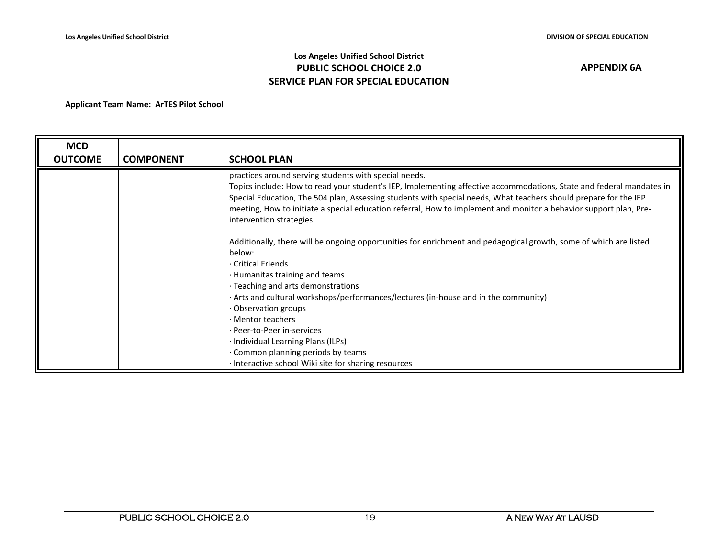## **Los Angeles Unified School District PUBLIC SCHOOL CHOICE 2.0 SERVICE PLAN FOR SPECIAL EDUCATION**

| <b>MCD</b><br><b>OUTCOME</b> | <b>COMPONENT</b> | <b>SCHOOL PLAN</b>                                                                                                                                                                                                                                                                                                                                                                                                                                |
|------------------------------|------------------|---------------------------------------------------------------------------------------------------------------------------------------------------------------------------------------------------------------------------------------------------------------------------------------------------------------------------------------------------------------------------------------------------------------------------------------------------|
|                              |                  | practices around serving students with special needs.<br>Topics include: How to read your student's IEP, Implementing affective accommodations, State and federal mandates in<br>Special Education, The 504 plan, Assessing students with special needs, What teachers should prepare for the IEP<br>meeting, How to initiate a special education referral, How to implement and monitor a behavior support plan, Pre-<br>intervention strategies |
|                              |                  | Additionally, there will be ongoing opportunities for enrichment and pedagogical growth, some of which are listed<br>below:<br>· Critical Friends<br>· Humanitas training and teams<br>· Teaching and arts demonstrations                                                                                                                                                                                                                         |
|                              |                  | Arts and cultural workshops/performances/lectures (in-house and in the community)<br>Observation groups<br>· Mentor teachers<br>· Peer-to-Peer in-services<br>· Individual Learning Plans (ILPs)<br>Common planning periods by teams<br>· Interactive school Wiki site for sharing resources                                                                                                                                                      |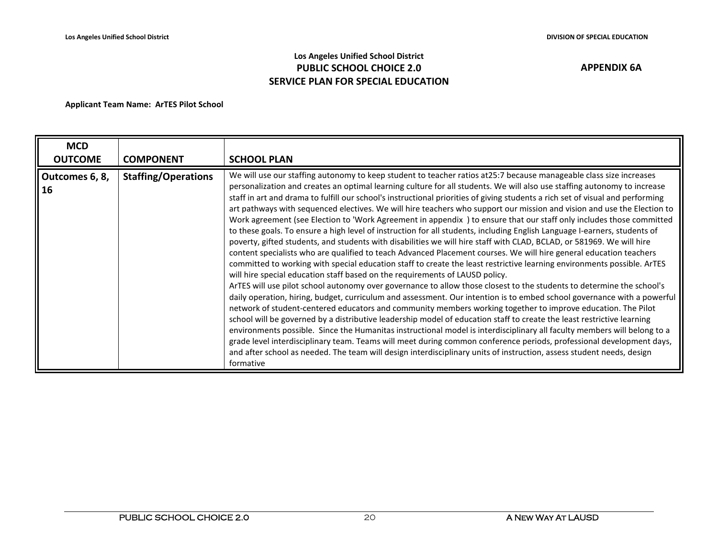## **Los Angeles Unified School District PUBLIC SCHOOL CHOICE 2.0 SERVICE PLAN FOR SPECIAL EDUCATION**

| <b>MCD</b><br><b>OUTCOME</b> | <b>COMPONENT</b>           | <b>SCHOOL PLAN</b>                                                                                                                                                                                                                                                                                                                                                                                                                                                                                                                                                                                                                                                                                                                                                                                                                                                                                                                                                                                                                                                                                                                                                                                                                                                                                                                                                                                                                                                                                                                                                                                                                                                                                                                                                                                                                                                                                                                                                                                                                                                                                                |
|------------------------------|----------------------------|-------------------------------------------------------------------------------------------------------------------------------------------------------------------------------------------------------------------------------------------------------------------------------------------------------------------------------------------------------------------------------------------------------------------------------------------------------------------------------------------------------------------------------------------------------------------------------------------------------------------------------------------------------------------------------------------------------------------------------------------------------------------------------------------------------------------------------------------------------------------------------------------------------------------------------------------------------------------------------------------------------------------------------------------------------------------------------------------------------------------------------------------------------------------------------------------------------------------------------------------------------------------------------------------------------------------------------------------------------------------------------------------------------------------------------------------------------------------------------------------------------------------------------------------------------------------------------------------------------------------------------------------------------------------------------------------------------------------------------------------------------------------------------------------------------------------------------------------------------------------------------------------------------------------------------------------------------------------------------------------------------------------------------------------------------------------------------------------------------------------|
| Outcomes 6, 8,<br>ll 16      | <b>Staffing/Operations</b> | We will use our staffing autonomy to keep student to teacher ratios at25:7 because manageable class size increases<br>personalization and creates an optimal learning culture for all students. We will also use staffing autonomy to increase<br>staff in art and drama to fulfill our school's instructional priorities of giving students a rich set of visual and performing<br>art pathways with sequenced electives. We will hire teachers who support our mission and vision and use the Election to<br>Work agreement (see Election to 'Work Agreement in appendix) to ensure that our staff only includes those committed<br>to these goals. To ensure a high level of instruction for all students, including English Language I-earners, students of<br>poverty, gifted students, and students with disabilities we will hire staff with CLAD, BCLAD, or 581969. We will hire<br>content specialists who are qualified to teach Advanced Placement courses. We will hire general education teachers<br>committed to working with special education staff to create the least restrictive learning environments possible. ArTES<br>will hire special education staff based on the requirements of LAUSD policy.<br>ArTES will use pilot school autonomy over governance to allow those closest to the students to determine the school's<br>daily operation, hiring, budget, curriculum and assessment. Our intention is to embed school governance with a powerful<br>network of student-centered educators and community members working together to improve education. The Pilot<br>school will be governed by a distributive leadership model of education staff to create the least restrictive learning<br>environments possible. Since the Humanitas instructional model is interdisciplinary all faculty members will belong to a<br>grade level interdisciplinary team. Teams will meet during common conference periods, professional development days,<br>and after school as needed. The team will design interdisciplinary units of instruction, assess student needs, design<br>formative |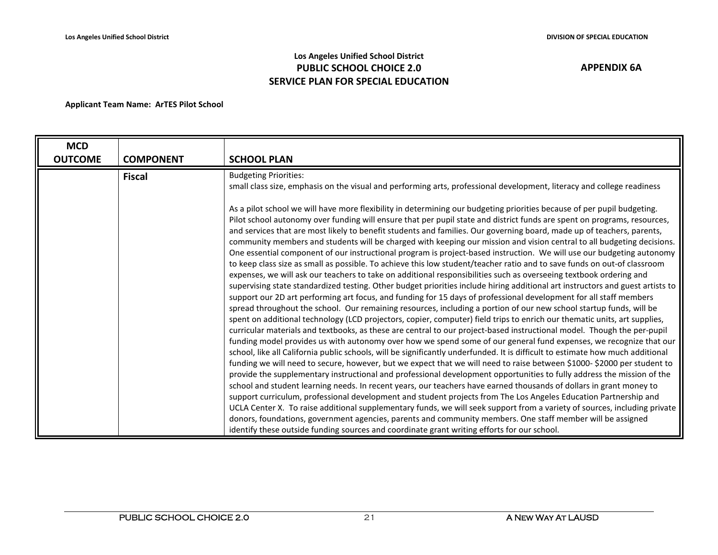## **Los Angeles Unified School District PUBLIC SCHOOL CHOICE 2.0 SERVICE PLAN FOR SPECIAL EDUCATION**

| <b>MCD</b><br><b>OUTCOME</b> | <b>COMPONENT</b> | <b>SCHOOL PLAN</b>                                                                                                                                                                                                                                                                                                                                                                                                                                                                                                                                                                                                                                                                                                                                                                                                                                                                                                                                                                                                                                                                                                                                                                                                                                                                                                                                                                                                                                                                                                                                                                                                                                                                                                                                                                                                                                                                                                                                                                                                                                                                                                                                                                                                                                                                                                                                                                                                                                                                                                                                                                                                          |
|------------------------------|------------------|-----------------------------------------------------------------------------------------------------------------------------------------------------------------------------------------------------------------------------------------------------------------------------------------------------------------------------------------------------------------------------------------------------------------------------------------------------------------------------------------------------------------------------------------------------------------------------------------------------------------------------------------------------------------------------------------------------------------------------------------------------------------------------------------------------------------------------------------------------------------------------------------------------------------------------------------------------------------------------------------------------------------------------------------------------------------------------------------------------------------------------------------------------------------------------------------------------------------------------------------------------------------------------------------------------------------------------------------------------------------------------------------------------------------------------------------------------------------------------------------------------------------------------------------------------------------------------------------------------------------------------------------------------------------------------------------------------------------------------------------------------------------------------------------------------------------------------------------------------------------------------------------------------------------------------------------------------------------------------------------------------------------------------------------------------------------------------------------------------------------------------------------------------------------------------------------------------------------------------------------------------------------------------------------------------------------------------------------------------------------------------------------------------------------------------------------------------------------------------------------------------------------------------------------------------------------------------------------------------------------------------|
|                              | <b>Fiscal</b>    | <b>Budgeting Priorities:</b><br>small class size, emphasis on the visual and performing arts, professional development, literacy and college readiness                                                                                                                                                                                                                                                                                                                                                                                                                                                                                                                                                                                                                                                                                                                                                                                                                                                                                                                                                                                                                                                                                                                                                                                                                                                                                                                                                                                                                                                                                                                                                                                                                                                                                                                                                                                                                                                                                                                                                                                                                                                                                                                                                                                                                                                                                                                                                                                                                                                                      |
|                              |                  | As a pilot school we will have more flexibility in determining our budgeting priorities because of per pupil budgeting.<br>Pilot school autonomy over funding will ensure that per pupil state and district funds are spent on programs, resources,<br>and services that are most likely to benefit students and families. Our governing board, made up of teachers, parents,<br>community members and students will be charged with keeping our mission and vision central to all budgeting decisions.<br>One essential component of our instructional program is project-based instruction. We will use our budgeting autonomy<br>to keep class size as small as possible. To achieve this low student/teacher ratio and to save funds on out-of classroom<br>expenses, we will ask our teachers to take on additional responsibilities such as overseeing textbook ordering and<br>supervising state standardized testing. Other budget priorities include hiring additional art instructors and guest artists to<br>support our 2D art performing art focus, and funding for 15 days of professional development for all staff members<br>spread throughout the school. Our remaining resources, including a portion of our new school startup funds, will be<br>spent on additional technology (LCD projectors, copier, computer) field trips to enrich our thematic units, art supplies,<br>curricular materials and textbooks, as these are central to our project-based instructional model. Though the per-pupil<br>funding model provides us with autonomy over how we spend some of our general fund expenses, we recognize that our<br>school, like all California public schools, will be significantly underfunded. It is difficult to estimate how much additional<br>funding we will need to secure, however, but we expect that we will need to raise between \$1000- \$2000 per student to<br>provide the supplementary instructional and professional development opportunities to fully address the mission of the<br>school and student learning needs. In recent years, our teachers have earned thousands of dollars in grant money to<br>support curriculum, professional development and student projects from The Los Angeles Education Partnership and<br>UCLA Center X. To raise additional supplementary funds, we will seek support from a variety of sources, including private<br>donors, foundations, government agencies, parents and community members. One staff member will be assigned<br>identify these outside funding sources and coordinate grant writing efforts for our school. |